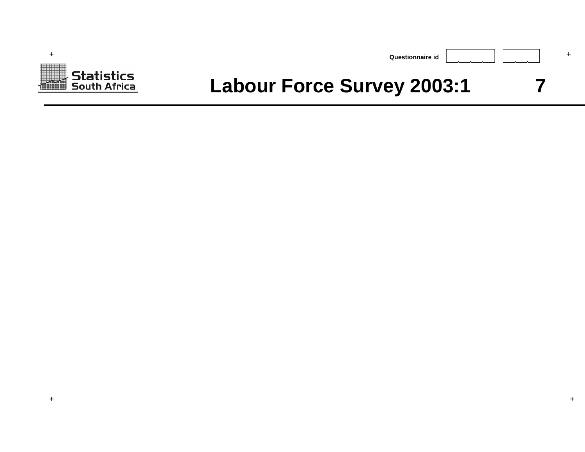**+Statistics**<br>South Africa

# Labour Force Survey 2003:1 7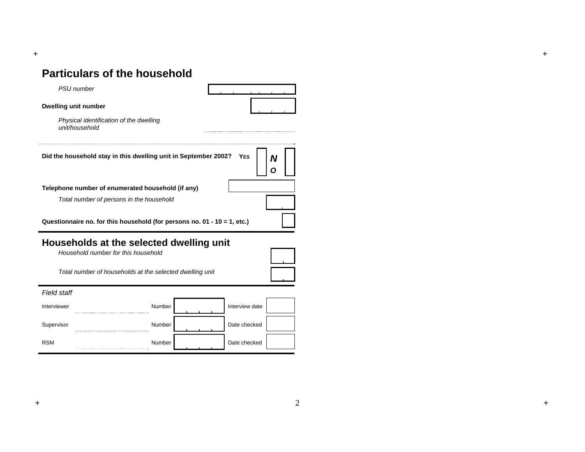#### **+ +**

### **Particulars of the household**

*PSU number* 



*O*

*Physical identification of the dwelling unit/household* 

Did the household stay in this dwelling unit in September 2002? YES **N** 

**Telephone number of enumerated household (if any)** 

*Total number of persons in the household* 

**Questionnaire no. for this household (for persons no. 01 - 10 = 1, etc.)** 

### **Households at the selected dwelling unit**

*Household number for this household Total number of households at the selected dwelling unit Field staff* Interviewer **Interviewer Interview date** Supervisor Number Number Date checked RSM Number Date checked

 $\boldsymbol{+}$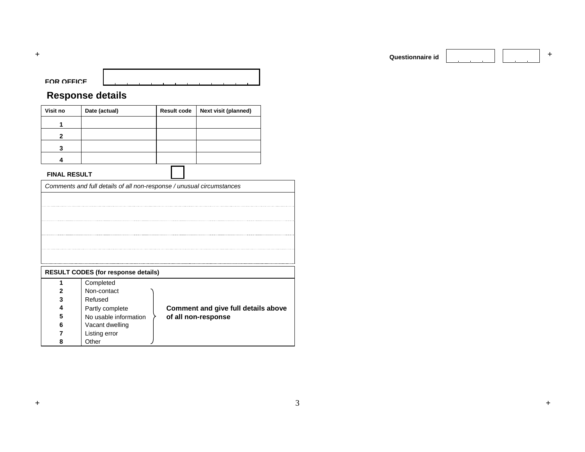| <b>FOR OFFICE</b> |  |  |  |  |  |  |
|-------------------|--|--|--|--|--|--|

## **Response details**

| Visit no | Date (actual) | <b>Result code</b> | Next visit (planned) |
|----------|---------------|--------------------|----------------------|
|          |               |                    |                      |
| ≏        |               |                    |                      |
| 3        |               |                    |                      |
|          |               |                    |                      |

#### **FINAL RESULT**

| Comments and full details of all non-response / unusual circumstances |  |  |  |  |  |  |  |  |
|-----------------------------------------------------------------------|--|--|--|--|--|--|--|--|
|                                                                       |  |  |  |  |  |  |  |  |
|                                                                       |  |  |  |  |  |  |  |  |
|                                                                       |  |  |  |  |  |  |  |  |
|                                                                       |  |  |  |  |  |  |  |  |
|                                                                       |  |  |  |  |  |  |  |  |
|                                                                       |  |  |  |  |  |  |  |  |
|                                                                       |  |  |  |  |  |  |  |  |

|              | <b>RESULT CODES (for response details)</b> |                                     |
|--------------|--------------------------------------------|-------------------------------------|
|              | Completed                                  |                                     |
| $\mathbf{2}$ | Non-contact                                |                                     |
| 3            | Refused                                    |                                     |
| 4            | Partly complete                            | Comment and give full details above |
| 5            | No usable information                      | of all non-response                 |
| 6            | Vacant dwelling                            |                                     |
|              | Listing error                              |                                     |
| 8            | Other                                      |                                     |

**+**

**Questionnaire id<sup>+</sup>**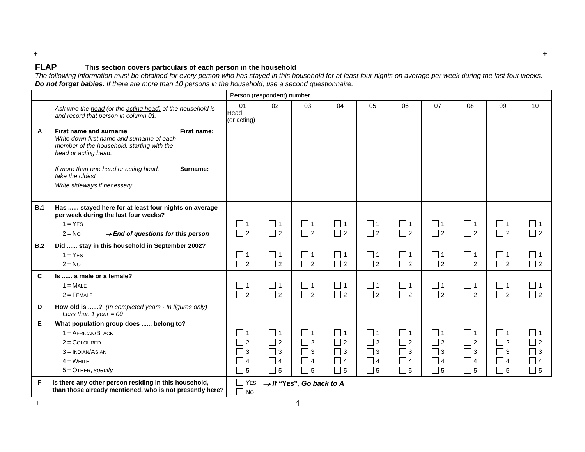#### **FLAPThis section covers particulars of each person in the household**

*The following information must be obtained for every person who has stayed in this household for at least four nights on average per week during the last four weeks. Do not forget babies. If there are more than 10 persons in the household, use a second questionnaire.*

|     |                                                                                                                                                          |                                                          | Person (respondent) number           |                      |                      |                      |                      |                      |                      |                      |                      |
|-----|----------------------------------------------------------------------------------------------------------------------------------------------------------|----------------------------------------------------------|--------------------------------------|----------------------|----------------------|----------------------|----------------------|----------------------|----------------------|----------------------|----------------------|
|     | Ask who the head (or the acting head) of the household is<br>and record that person in column 01.                                                        | 01<br>Head<br>(or acting)                                | 02                                   | 03                   | 04                   | 05                   | 06                   | 07                   | 08                   | 09                   | 10                   |
| A   | First name and surname<br>First name:<br>Write down first name and surname of each<br>member of the household, starting with the<br>head or acting head. |                                                          |                                      |                      |                      |                      |                      |                      |                      |                      |                      |
|     | If more than one head or acting head,<br>Surname:<br>take the oldest<br>Write sideways if necessary                                                      |                                                          |                                      |                      |                      |                      |                      |                      |                      |                      |                      |
| B.1 | Has  stayed here for at least four nights on average<br>per week during the last four weeks?                                                             |                                                          |                                      |                      |                      |                      |                      |                      |                      |                      |                      |
|     | $1 = YES$<br>$2 = No$<br>$\rightarrow$ End of questions for this person                                                                                  | $\Box$ 1<br>$\Box$ 2                                     | $\Box$ 1<br>$\Box$ 2                 | $\Box$ 1<br>$\Box$ 2 | $\Box$ 1<br>$\Box$ 2 | $\Box$ 1<br>$\Box$ 2 | $\Box$ 1<br>$\Box$ 2 | $\Box$ 1<br>$\Box$ 2 | $\Box$ 1<br>$\Box$ 2 | $\Box$ 1<br>$\Box$ 2 | $\Box$ 1<br>$\Box$ 2 |
| B.2 | Did  stay in this household in September 2002?                                                                                                           |                                                          |                                      |                      |                      |                      |                      |                      |                      |                      |                      |
|     | $1 = YES$                                                                                                                                                | $\Box$ 1                                                 | $\Box$ 1                             | $\Box$ 1             | $\Box$ 1             | $\Box$ 1             | $\Box$ 1             | $\Box$ 1             | $\Box$ 1             | $\Box$ 1             | $\Box$ 1             |
|     | $2 = No$                                                                                                                                                 | $\Box$ 2                                                 | $\Box$ 2                             | $\Box$ 2             | $\Box$ 2             | $\Box$ 2             | $\Box$ 2             | $\Box$ 2             | $\Box$ 2             | $\Box$ 2             | $\Box$ 2             |
| C   | Is  a male or a female?                                                                                                                                  |                                                          |                                      |                      |                      |                      |                      |                      |                      |                      |                      |
|     | $1 = MALE$                                                                                                                                               | $\Box$ 1                                                 | $\square$ 1                          | $\Box$ 1             | $\Box$ 1             | $\Box$ 1             | $\Box$ 1             | $\Box$ 1             | $\Box$ 1             | $\Box$ 1             | $\Box$ 1             |
|     | $2 =$ FEMALE                                                                                                                                             | $\Box$ 2                                                 | $\Box$ 2                             | $\Box$ 2             | $\Box$ 2             | $\Box$ 2             | $\Box$ 2             | $\Box$ 2             | $\Box$ 2             | $\Box$ 2             | $\Box$ 2             |
| D   | How old is ? (In completed years - In figures only)<br>Less than 1 year = $00$                                                                           |                                                          |                                      |                      |                      |                      |                      |                      |                      |                      |                      |
| Е   | What population group does  belong to?                                                                                                                   |                                                          |                                      |                      |                      |                      |                      |                      |                      |                      |                      |
|     | $1 = AFRICAN/BLACK$                                                                                                                                      | $\Box$ 1                                                 | $\Box$ 1                             | $\Box$ 1             | $\Box$ 1             | $\Box$ 1             | $\Box$ 1             | $\square$ 1          | $\Box$ 1             | $\Box$ 1             | $\square$ 1          |
|     | $2 =$ COLOURED                                                                                                                                           | $\Box$ 2                                                 | $\Box$ 2                             | $\Box$ 2             | $\Box$ 2             | $\Box$ 2             | $\Box$ 2             | $\Box$ 2             | $\Box$ 2             | $\Box$ 2             | $\Box$ 2             |
|     | $3 =$ INDIAN/ASIAN                                                                                                                                       | $\Box$ 3                                                 | $\Box$ 3                             | $\Box$ 3             | $\Box$ 3             | $\Box$ 3             | $\Box$ 3             | $\Box$ 3             | $\Box$ 3             | $\Box$ 3             | $\Box$ 3             |
|     | $4 =$ WHITE                                                                                                                                              | $\overline{\phantom{0}}$ 4<br>$\overline{\phantom{a}}$ 5 | $\Box$ 4<br>$\Box$ 5                 | $\Box$ 4<br>$\Box$ 5 | $\Box$ 4<br>$\Box$ 5 | $\Box$ 4<br>$\Box$ 5 | $\Box$ 4<br>$\Box$ 5 | $\Box$ 4<br>$\Box$ 5 | $\Box$ 4<br>$\Box$ 5 | $\Box$ 4<br>$\Box$ 5 | $\Box$ 4<br>$\Box$ 5 |
|     | $5 =$ OTHER, specify                                                                                                                                     |                                                          |                                      |                      |                      |                      |                      |                      |                      |                      |                      |
| F   | Is there any other person residing in this household,<br>than those already mentioned, who is not presently here?                                        | $\Box$ Yes<br>$\Box$ No                                  | $\rightarrow$ If "YES", Go back to A |                      |                      |                      |                      |                      |                      |                      |                      |

**+ +**  $\boldsymbol{+}$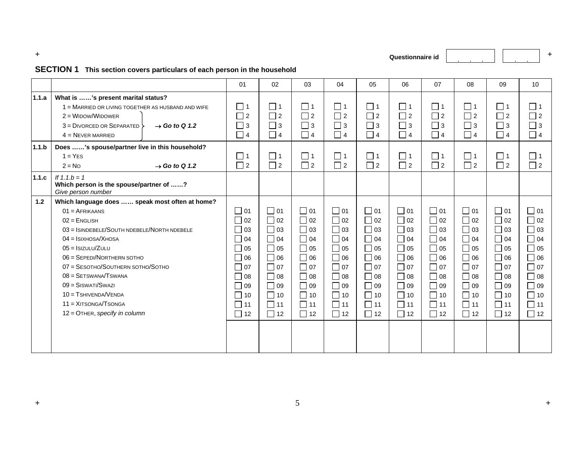**+**

**Questionnaire id**  $\begin{vmatrix} 1 & 1 \\ 1 & 1 \end{vmatrix}$  +

#### **SECTION 1 This section covers particulars of each person in the household**

|       |                                                                                                                                                                                                                                                                                                                                                                                                    | 01                                                                                                                                            | 02                                                                                                                                                       | 03                                                                                                                                                  | 04                                                                                                                                                             | 05                                                                                                                                                       | 06                                                                                                                                                       | 07                                                                                                                                                             | 08                                                                                                                                                       | 09                                                                                                                                                       | 10                                                                                                                                                |
|-------|----------------------------------------------------------------------------------------------------------------------------------------------------------------------------------------------------------------------------------------------------------------------------------------------------------------------------------------------------------------------------------------------------|-----------------------------------------------------------------------------------------------------------------------------------------------|----------------------------------------------------------------------------------------------------------------------------------------------------------|-----------------------------------------------------------------------------------------------------------------------------------------------------|----------------------------------------------------------------------------------------------------------------------------------------------------------------|----------------------------------------------------------------------------------------------------------------------------------------------------------|----------------------------------------------------------------------------------------------------------------------------------------------------------|----------------------------------------------------------------------------------------------------------------------------------------------------------------|----------------------------------------------------------------------------------------------------------------------------------------------------------|----------------------------------------------------------------------------------------------------------------------------------------------------------|---------------------------------------------------------------------------------------------------------------------------------------------------|
| 1.1.a | What is 's present marital status?<br>1 = MARRIED OR LIVING TOGETHER AS HUSBAND AND WIFE<br>$2 =$ Widow/Widower<br>$3 = Div$ OR SEPARATED $\overline{\phantom{a}}$<br>$\rightarrow$ Go to Q 1.2<br>$4 =$ NEVER MARRIED                                                                                                                                                                             | $\Box$ 1<br>$\Box$ 2<br>$\Box$ 3<br>$\Box$ 4                                                                                                  | $\Box$ 1<br>$\Box$ 2<br>$\Box$ 3<br>$\Box$ 4                                                                                                             | $\Box$ 1<br>$\Box$ 2<br>$\Box$ 3<br>$\Box$ 4                                                                                                        | $\Box$ 1<br>$\Box$ 2<br>$\Box$ 3<br>$\Box$ 4                                                                                                                   | $\Box$ 1<br>$\Box$ 2<br>$\Box$ 3<br>$\Box$ 4                                                                                                             | $\Box$ 1<br>$\Box$ 2<br>$\Box$ 3<br>$\Box$ 4                                                                                                             | $\Box$ 1<br>$\Box$ 2<br>$\sqsupset$ 3<br>$\Box$ 4                                                                                                              | $\Box$ 1<br>$\Box$ 2<br>$\Box$ 3<br>$\Box$ 4                                                                                                             | $\Box$ 1<br>$\Box$ 2<br>$\Box$ 3<br>$\Box$ 4                                                                                                             | □ 1<br>$\sqsupset$ 2<br>$\sqsupset$ 3<br>$\Box$ 4                                                                                                 |
| 1.1.b | Does 's spouse/partner live in this household?<br>$1 = YES$<br>$2 = No$<br>$\rightarrow$ Go to Q 1.2                                                                                                                                                                                                                                                                                               | $\Box$ 1<br>$\Box$ 2                                                                                                                          | $\Box$ 1<br>$\Box$ 2                                                                                                                                     | $\Box$ 1<br>$\Box$ 2                                                                                                                                | $\Box$ 1<br>$\Box$ 2                                                                                                                                           | $\Box$ 1<br>$\Box$ 2                                                                                                                                     | $\Box$ 1<br>$\Box$ 2                                                                                                                                     | $\Box$ 1<br>$\Box$ 2                                                                                                                                           | $\Box$ 1<br>$\Box$ 2                                                                                                                                     | $\Box$ 1<br>$\Box$ 2                                                                                                                                     | $\overline{\phantom{1}}$ 1<br>$\Box$ 2                                                                                                            |
| 1.1.c | If $1.1.b = 1$<br>Which person is the spouse/partner of ?<br>Give person number                                                                                                                                                                                                                                                                                                                    |                                                                                                                                               |                                                                                                                                                          |                                                                                                                                                     |                                                                                                                                                                |                                                                                                                                                          |                                                                                                                                                          |                                                                                                                                                                |                                                                                                                                                          |                                                                                                                                                          |                                                                                                                                                   |
| 1.2   | Which language does  speak most often at home?<br>$01 = AFRIKAANS$<br>$02$ = ENGLISH<br>03 = ISINDEBELE/SOUTH NDEBELE/NORTH NDEBELE<br>$04 =$ ISIXHOSA/XHOSA<br>$05 =$ Isizulu/Zulu<br>$06 =$ SEPEDI/NORTHERN SOTHO<br>07 = SESOTHO/SOUTHERN SOTHO/SOTHO<br>$08 =$ SETSWANA/TSWANA<br>$09 =$ SISWATI/SWAZI<br>$10 = T$ SHIVENDA/VENDA<br>$11 = XITSONGA/TSONGA$<br>$12 =$ OTHER, specify in column | $\Box$ 01<br>$\Box$ 02<br>$\Box$ 03<br>$\Box$ 04<br>$\Box$ 05<br>$\Box$ 06<br>$\Box$ 07<br>$\Box$ 08<br>$\Box$ 09<br>10<br>11<br>$\Box$<br>12 | $\Box$ 01<br>$\Box$ 02<br>$\Box$ 03<br>$\Box$ 04<br>$\Box$ 05<br>$\Box$ 06<br>$\Box$ 07<br>$\Box$ 08<br>$\Box$ 09<br>$\Box$ 10<br>$\Box$ 11<br>$\Box$ 12 | $\Box$ 01<br>$\Box$ 02<br>□ 03<br>$\Box$ 04<br>$\Box$ 05<br>$\Box$ 06<br>$\Box$ 07<br>$\Box$ 08<br>$\Box$ 09<br>$\Box$ 10<br>$\Box$ 11<br>$\Box$ 12 | $\Box$ 01<br>$\Box$ 02<br>$\Box$ 03<br>$\Box$ 04<br>$\Box$ 05<br>$\Box$ 06<br>$\Box$ 07<br>$\Box$ 08<br>$\Box$ 09<br>$\Box$<br>10<br>$\Box$<br>11<br>$\Box$ 12 | $\Box$ 01<br>$\Box$ 02<br>$\Box$ 03<br>$\Box$ 04<br>$\Box$ 05<br>$\Box$ 06<br>$\Box$ 07<br>$\Box$ 08<br>$\Box$ 09<br>$\Box$ 10<br>$\Box$ 11<br>$\Box$ 12 | $\Box$ 01<br>$\Box$ 02<br>$\Box$ 03<br>$\Box$ 04<br>$\Box$ 05<br>$\Box$ 06<br>$\Box$ 07<br>$\Box$ 08<br>$\Box$ 09<br>$\Box$ 10<br>$\Box$ 11<br>$\Box$ 12 | $\Box$ 01<br>$\Box$ 02<br>$\Box$ 03<br>$\Box$ 04<br>$\Box$ 05<br>$\Box$ 06<br>$\Box$ 07<br>$\Box$ 08<br>$\Box$ 09<br>$\Box$<br>10<br>$\Box$<br>11<br>$\Box$ 12 | $\Box$ 01<br>$\Box$ 02<br>$\Box$ 03<br>$\Box$ 04<br>$\Box$ 05<br>$\Box$ 06<br>$\Box$ 07<br>$\Box$ 08<br>$\Box$ 09<br>$\Box$ 10<br>$\Box$ 11<br>$\Box$ 12 | $\Box$ 01<br>$\Box$ 02<br>$\Box$ 03<br>$\Box$ 04<br>$\Box$ 05<br>$\Box$ 06<br>$\Box$ 07<br>$\Box$ 08<br>$\Box$ 09<br>$\Box$ 10<br>$\Box$ 11<br>$\Box$ 12 | $\Box$ 01<br>$\Box$ 02<br>$\Box$ 03<br>$\Box$ 04<br>$\Box$ 05<br>$\Box$ 06<br>$\Box$ 07<br>$\Box$ 08<br>$\Box$ 09<br>$\Box$ 10<br>11<br>$\Box$ 12 |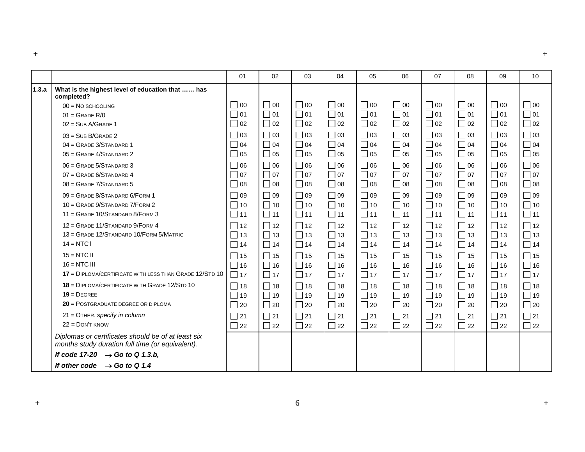|       |                                                                                                        | 01        | 02        | 03        | 04        | 05        | 06        | 07        | 08        | 09        | 10        |
|-------|--------------------------------------------------------------------------------------------------------|-----------|-----------|-----------|-----------|-----------|-----------|-----------|-----------|-----------|-----------|
| 1.3.a | What is the highest level of education that  has<br>completed?                                         |           |           |           |           |           |           |           |           |           |           |
|       | $00 = No$ SCHOOLING                                                                                    | $\Box$ 00 | $\Box$ 00 | $\Box$ 00 | $\Box$ 00 | $\Box$ 00 | $\Box$ 00 | $\Box$ 00 | $\Box$ 00 | $\Box$ 00 | $\Box$ 00 |
|       | $01 =$ GRADE R/0                                                                                       | $\Box$ 01 | $\Box$ 01 | $\Box$ 01 | $\Box$ 01 | $\Box$ 01 | $\Box$ 01 | $\Box$ 01 | $\Box$ 01 | $\Box$ 01 | $\Box$ 01 |
|       | $02 =$ SUB A/GRADE 1                                                                                   | $\Box$ 02 | $\Box$ 02 | $\Box$ 02 | $\Box$ 02 | $\Box$ 02 | $\Box$ 02 | $\Box$ 02 | $\Box$ 02 | $\Box$ 02 | $\Box$ 02 |
|       | $03 = SUB B/GRAPH2$                                                                                    | $\Box$ 03 | $\Box$ 03 | $\Box$ 03 | $\Box$ 03 | $\Box$ 03 | $\Box$ 03 | $\Box$ 03 | $\Box$ 03 | $\Box$ 03 | $\Box$ 03 |
|       | 04 = GRADE 3/STANDARD 1                                                                                | $\Box$ 04 | $\Box$ 04 | $\Box$ 04 | $\Box$ 04 | $\Box$ 04 | $\Box$ 04 | $\Box$ 04 | $\Box$ 04 | $\Box$ 04 | $\Box$ 04 |
|       | 05 = GRADE 4/STANDARD 2                                                                                | $\Box$ 05 | $\Box$ 05 | $\Box$ 05 | $\Box$ 05 | $\Box$ 05 | $\Box$ 05 | $\Box$ 05 | $\Box$ 05 | $\Box$ 05 | $\Box$ 05 |
|       | 06 = GRADE 5/STANDARD 3                                                                                | $\Box$ 06 | $\Box$ 06 | $\Box$ 06 | $\Box$ 06 | $\Box$ 06 | $\Box$ 06 | $\Box$ 06 | $\Box$ 06 | $\Box$ 06 | $\Box$ 06 |
|       | $07 =$ GRADE 6/STANDARD 4                                                                              | $\Box$ 07 | $\Box$ 07 | $\Box$ 07 | $\Box$ 07 | $\Box$ 07 | $\Box$ 07 | $\Box$ 07 | $\Box$ 07 | $\Box$ 07 | $\Box$ 07 |
|       | $08 =$ GRADE $7/$ STANDARD 5                                                                           | $\Box$ 08 | $\Box$ 08 | $\Box$ 08 | $\Box$ 08 | $\Box$ 08 | $\Box$ 08 | $\Box$ 08 | $\Box$ 08 | $\Box$ 08 | $\Box$ 08 |
|       | 09 = GRADE 8/STANDARD 6/FORM 1                                                                         | $\Box$ 09 | $\Box$ 09 | $\Box$ 09 | $\Box$ 09 | $\Box$ 09 | $\Box$ 09 | $\Box$ 09 | $\Box$ 09 | $\Box$ 09 | $\Box$ 09 |
|       | 10 = GRADE 9/STANDARD 7/FORM 2                                                                         | $\Box$ 10 | $\Box$ 10 | $\Box$ 10 | $\Box$ 10 | $\Box$ 10 | $\Box$ 10 | $\Box$ 10 | $\Box$ 10 | $\Box$ 10 | $\Box$ 10 |
|       | 11 = GRADE 10/STANDARD 8/FORM 3                                                                        | $\Box$ 11 | $\Box$ 11 | $\Box$ 11 | $\Box$ 11 | $\Box$ 11 | $\Box$ 11 | $\Box$ 11 | $\Box$ 11 | $\Box$ 11 | $\Box$ 11 |
|       | 12 = GRADE 11/STANDARD 9/FORM 4                                                                        | $\Box$ 12 | $\Box$ 12 | $\Box$ 12 | $\Box$ 12 | $\Box$ 12 | $\Box$ 12 | $\Box$ 12 | $\Box$ 12 | $\Box$ 12 | $\Box$ 12 |
|       | 13 = GRADE 12/STANDARD 10/FORM 5/MATRIC                                                                | $\Box$ 13 | $\Box$ 13 | $\Box$ 13 | $\Box$ 13 | $\Box$ 13 | $\Box$ 13 | $\Box$ 13 | $\Box$ 13 | $\Box$ 13 | $\Box$ 13 |
|       | $14 = NTCI$                                                                                            | $\Box$ 14 | $\Box$ 14 | $\Box$ 14 | $\Box$ 14 | $\Box$ 14 | $\Box$ 14 | $\Box$ 14 | $\Box$ 14 | $\Box$ 14 | $\Box$ 14 |
|       | $15 = NTC$ II                                                                                          | $\Box$ 15 | $\Box$ 15 | $\Box$ 15 | $\Box$ 15 | $\Box$ 15 | $\Box$ 15 | $\Box$ 15 | $\Box$ 15 | $\Box$ 15 | $\Box$ 15 |
|       | $16 = NTC$ III                                                                                         | $\Box$ 16 | $\Box$ 16 | $\Box$ 16 | $\Box$ 16 | $\Box$ 16 | $\Box$ 16 | $\Box$ 16 | $\Box$ 16 | $\Box$ 16 | $\Box$ 16 |
|       | 17 = DIPLOMA/CERTIFICATE WITH LESS THAN GRADE 12/STD 10                                                | $\Box$ 17 | $\Box$ 17 | $\Box$ 17 | $\Box$ 17 | $\Box$ 17 | $\Box$ 17 | $\Box$ 17 | $\Box$ 17 | $\Box$ 17 | $\Box$ 17 |
|       | 18 = DIPLOMA/CERTIFICATE WITH GRADE 12/STD 10                                                          | $\Box$ 18 | $\Box$ 18 | $\Box$ 18 | $\Box$ 18 | $\Box$ 18 | $\Box$ 18 | $\Box$ 18 | $\Box$ 18 | $\Box$ 18 | $\Box$ 18 |
|       | $19 =$ DEGREE                                                                                          | $\Box$ 19 | $\Box$ 19 | $\Box$ 19 | $\Box$ 19 | $\Box$ 19 | $\Box$ 19 | $\Box$ 19 | $\Box$ 19 | $\Box$ 19 | $\Box$ 19 |
|       | 20 = POSTGRADUATE DEGREE OR DIPLOMA                                                                    | $\Box$ 20 | $\Box$ 20 | $\Box$ 20 | $\Box$ 20 | $\Box$ 20 | $\Box$ 20 | $\Box$ 20 | $\Box$ 20 | $\Box$ 20 | $\Box$ 20 |
|       | 21 = OTHER, specify in column                                                                          | $\Box$ 21 | $\Box$ 21 | $\Box$ 21 | $\Box$ 21 | $\Box$ 21 | $\Box$ 21 | $\Box$ 21 | $\Box$ 21 | $\Box$ 21 | $\Box$ 21 |
|       | $22 =$ DON'T KNOW                                                                                      | $\Box$ 22 | $\Box$ 22 | $\Box$ 22 | $\Box$ 22 | $\Box$ 22 | $\Box$ 22 | $\Box$ 22 | $\Box$ 22 | $\Box$ 22 | $\Box$ 22 |
|       | Diplomas or certificates should be of at least six<br>months study duration full time (or equivalent). |           |           |           |           |           |           |           |           |           |           |
|       | If code 17-20 $\rightarrow$ Go to Q 1.3.b,                                                             |           |           |           |           |           |           |           |           |           |           |
|       | If other code $\rightarrow$ Go to Q 1.4                                                                |           |           |           |           |           |           |           |           |           |           |

**+ +**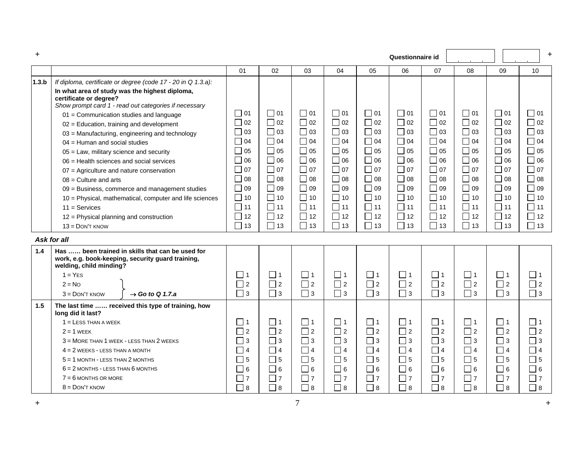| $\pm$ |                                                                                                                                                                                                                                                                                                                                                                                                       |                                                                                                                                                                                                                                                                                                                                        |                                                                                                                                                                        |                                                                                                                                                           |                                                                                                                                                                                  |                                                                                                                                                                 |                                                                                                                                                                       | Questionnaire id                                                                                                                           |                                                                                                                                                                          |                                                                                                                                                                 |                                                                                                                                                                       | $+$                                                                                                                                     |
|-------|-------------------------------------------------------------------------------------------------------------------------------------------------------------------------------------------------------------------------------------------------------------------------------------------------------------------------------------------------------------------------------------------------------|----------------------------------------------------------------------------------------------------------------------------------------------------------------------------------------------------------------------------------------------------------------------------------------------------------------------------------------|------------------------------------------------------------------------------------------------------------------------------------------------------------------------|-----------------------------------------------------------------------------------------------------------------------------------------------------------|----------------------------------------------------------------------------------------------------------------------------------------------------------------------------------|-----------------------------------------------------------------------------------------------------------------------------------------------------------------|-----------------------------------------------------------------------------------------------------------------------------------------------------------------------|--------------------------------------------------------------------------------------------------------------------------------------------|--------------------------------------------------------------------------------------------------------------------------------------------------------------------------|-----------------------------------------------------------------------------------------------------------------------------------------------------------------|-----------------------------------------------------------------------------------------------------------------------------------------------------------------------|-----------------------------------------------------------------------------------------------------------------------------------------|
|       |                                                                                                                                                                                                                                                                                                                                                                                                       |                                                                                                                                                                                                                                                                                                                                        | 01                                                                                                                                                                     | 02                                                                                                                                                        | 03                                                                                                                                                                               | 04                                                                                                                                                              | 05                                                                                                                                                                    | 06                                                                                                                                         | 07                                                                                                                                                                       | 08                                                                                                                                                              | 09                                                                                                                                                                    | 10                                                                                                                                      |
| 1.3.b | certificate or degree?<br>01 = Communication studies and language<br>$02$ = Education, training and development<br>$04$ = Human and social studies<br>05 = Law, military science and security<br>06 = Health sciences and social services<br>07 = Agriculture and nature conservation<br>$08$ = Culture and arts<br>$11 =$ Services<br>$12$ = Physical planning and construction<br>$13 =$ DON'T KNOW | If diploma, certificate or degree (code 17 - 20 in Q 1.3.a):<br>In what area of study was the highest diploma,<br>Show prompt card 1 - read out categories if necessary<br>03 = Manufacturing, engineering and technology<br>09 = Business, commerce and management studies<br>10 = Physical, mathematical, computer and life sciences | $\Box$ 01<br>$\Box$ 02<br>$\Box$ 03<br>$\Box$ 04<br>$\Box$ 05<br>$\Box$ 06<br>$\Box$ 07<br>$\Box$ 08<br>$\Box$ 09<br>$\Box$ 10<br>$\Box$<br>11<br>П<br>12<br>$\Box$ 13 | □ 01<br>$\Box$ 02<br>$\Box$ 03<br>$\Box$ 04<br>$\Box$ 05<br>$\Box$ 06<br>$\Box$ 07<br>$\Box$ 08<br>09<br>$\Box$ 10<br>$\Box$ 11<br>$\Box$ 12<br>$\Box$ 13 | $\square$ 01<br>$\Box$ 02<br>$\Box$ 03<br>$\Box$ 04<br>$\Box$ 05<br>$\bigcap$ 06<br>$\Box$ 07<br>$\Box$ 08<br>$\Box$ 09<br>$\Box$ 10<br>$\Box$ 11<br>$\sqsupset$ 12<br>$\Box$ 13 | $\Box$ 01<br>$\Box$ 02<br>$\Box$ 03<br>$\Box$ 04<br>$\Box$ 05<br>□ 06<br>$\Box$ 07<br>$\Box$ 08<br>$\Box$ 09<br>П<br>10<br>$\square$ 11<br>П<br>12<br>$\Box$ 13 | $\Box$ 01<br>$\Box$ 02<br>$\Box$ 03<br>$\Box$ 04<br>$\Box$ 05<br>$\Box$ 06<br>$\Box$ 07<br>$\Box$ 08<br>$\Box$ 09<br>$\Box$ 10<br>$\Box$ 11<br>$\Box$ 12<br>$\Box$ 13 | $\Box$ 01<br>$\Box$ 02<br>$\Box$ 03<br>$\Box$ 04<br>05<br>06<br>$\Box$ 07<br>08<br>09<br>$\Box$ 10<br>$\Box$<br>11<br>П<br>12<br>$\Box$ 13 | $\Box$ 01<br>$\Box$ 02<br>$\Box$ 03<br>$\Box$ 04<br>$\Box$ 05<br>$\Box$ 06<br>$\Box$ 07<br>$\Box$ 08<br>$\Box$<br>09<br>$\Box$ 10<br>$\Box$ 11<br>$\Box$ 12<br>$\Box$ 13 | 101<br>$\Box$ 02<br>$\Box$ 03<br>$\Box$ 04<br>$\Box$ 05<br>$\Box$ 06<br>$\Box$ 07<br>$\Box$ 08<br>$\Box$ 09<br>$\Box$ 10<br>$\Box$ 11<br>$\Box$ 12<br>$\Box$ 13 | $\Box$ 01<br>$\Box$ 02<br>$\Box$ 03<br>$\Box$ 04<br>$\Box$ 05<br>$\Box$ 06<br>$\Box$ 07<br>$\Box$ 08<br>$\Box$ 09<br>$\Box$ 10<br>$\Box$ 11<br>$\Box$ 12<br>$\Box$ 13 | $\Box$ 01<br>$\Box$ 02<br>03<br>$\bigcap$ 04<br>٦<br>  05<br>06<br>  07<br>  08<br>09<br>$\Box$ 10<br>$\Box$ 11<br>┑<br>12<br>$\Box$ 13 |
|       |                                                                                                                                                                                                                                                                                                                                                                                                       |                                                                                                                                                                                                                                                                                                                                        |                                                                                                                                                                        |                                                                                                                                                           |                                                                                                                                                                                  |                                                                                                                                                                 |                                                                                                                                                                       |                                                                                                                                            |                                                                                                                                                                          |                                                                                                                                                                 |                                                                                                                                                                       |                                                                                                                                         |
|       | Ask for all                                                                                                                                                                                                                                                                                                                                                                                           |                                                                                                                                                                                                                                                                                                                                        |                                                                                                                                                                        |                                                                                                                                                           |                                                                                                                                                                                  |                                                                                                                                                                 |                                                                                                                                                                       |                                                                                                                                            |                                                                                                                                                                          |                                                                                                                                                                 |                                                                                                                                                                       |                                                                                                                                         |
| 1.4   | welding, child minding?<br>$1 = YES$<br>$2 = No$<br>$3 =$ DON'T KNOW                                                                                                                                                                                                                                                                                                                                  | Has  been trained in skills that can be used for<br>work, e.g. book-keeping, security guard training,<br>$\rightarrow$ Go to Q 1.7.a                                                                                                                                                                                                   | $\Box$ 1<br>$\Box$ 2<br>$\Box$ 3                                                                                                                                       | $\Box$ 1<br>$\Box$ 2<br>$\Box$ 3                                                                                                                          | $\Box$ 1<br>$\Box$ 2<br>$\Box$ 3                                                                                                                                                 | $\Box$ 1<br>$\Box$ 2<br>$\Box$ 3                                                                                                                                | $\Box$ 1<br>$\Box$ 2<br>$\Box$ 3                                                                                                                                      | $\Box$ 1<br>$\Box$ 2<br>$\Box$ 3                                                                                                           | $\Box$ 1<br>$\Box$ 2<br>$\Box$ 3                                                                                                                                         | ∐ 1<br>$\Box$ 2<br>$\Box$ 3                                                                                                                                     | $\Box$ 1<br>$\prod$ <sub>2</sub><br>$\Box$ 3                                                                                                                          | l 11<br>$\Box$ 2<br>$\Box$ 3                                                                                                            |
| 1.5   |                                                                                                                                                                                                                                                                                                                                                                                                       | The last time  received this type of training, how                                                                                                                                                                                                                                                                                     |                                                                                                                                                                        |                                                                                                                                                           |                                                                                                                                                                                  |                                                                                                                                                                 |                                                                                                                                                                       |                                                                                                                                            |                                                                                                                                                                          |                                                                                                                                                                 |                                                                                                                                                                       |                                                                                                                                         |
|       | long did it last?<br>$1 =$ LESS THAN A WEEK<br>$2 = 1$ WEEK<br>3 = MORE THAN 1 WEEK - LESS THAN 2 WEEKS                                                                                                                                                                                                                                                                                               |                                                                                                                                                                                                                                                                                                                                        | $\perp$<br>$\Box$ 2<br>3                                                                                                                                               | 1<br>$\Box$ 2<br>3                                                                                                                                        | $\Box$ 1<br>$\Box$ 2<br>3                                                                                                                                                        | $\perp$<br>$\Box$ 2<br>3                                                                                                                                        | $ $   1<br>$\Box$ 2<br>$\Box$ 3                                                                                                                                       | $\Box$ 1<br>$\overline{\phantom{a}}$ 2<br>┓<br>3                                                                                           | $\Box$ 1<br>$\Box$ 2<br>l 3                                                                                                                                              | $\overline{\phantom{0}}$ 1<br>$\Box$ 2<br>3                                                                                                                     | $\Box$ 1<br>$\Box$ 2<br>$\Box$ 3                                                                                                                                      | $\overline{\phantom{0}}$ 1<br>$\Box$ 2<br>3                                                                                             |

 <sup>=</sup> 2 WEEKS - LESS THAN A MONTH <sup>=</sup> 1 MONTH - LESS THAN 2 MONTHS<sup>=</sup> 2 MONTHS - LESS THAN 6 MONTHS

 <sup>=</sup> 6 MONTHS OR MORE <sup>=</sup> DON'T KNOW

**+ +** $7\,$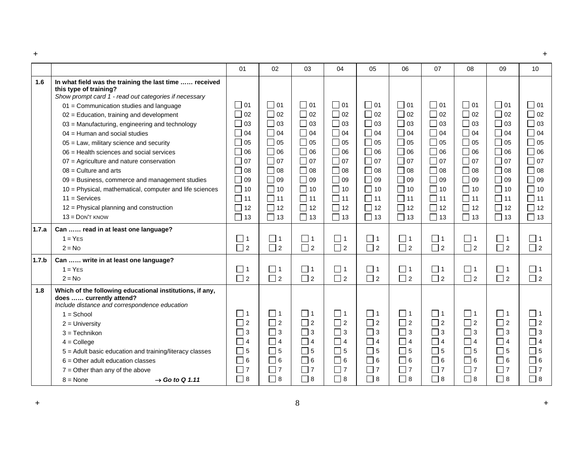|       |                                                                                                                                                                                                                                                                                                                                                                                                                                                                                                                                                                                                                                                                                       |                                                                                                                                                                                         |                                                                                                                                                                       |                                                                                                                                                                 |                                                                                                                                                                      |                                                                                                                                                                       |                                                                                                                                                                       |                                                                                                                                                                                           |                                                                                                                                                                             |                                                                                                                                                                       | $\pm$                                                                                                                                                                 |
|-------|---------------------------------------------------------------------------------------------------------------------------------------------------------------------------------------------------------------------------------------------------------------------------------------------------------------------------------------------------------------------------------------------------------------------------------------------------------------------------------------------------------------------------------------------------------------------------------------------------------------------------------------------------------------------------------------|-----------------------------------------------------------------------------------------------------------------------------------------------------------------------------------------|-----------------------------------------------------------------------------------------------------------------------------------------------------------------------|-----------------------------------------------------------------------------------------------------------------------------------------------------------------|----------------------------------------------------------------------------------------------------------------------------------------------------------------------|-----------------------------------------------------------------------------------------------------------------------------------------------------------------------|-----------------------------------------------------------------------------------------------------------------------------------------------------------------------|-------------------------------------------------------------------------------------------------------------------------------------------------------------------------------------------|-----------------------------------------------------------------------------------------------------------------------------------------------------------------------------|-----------------------------------------------------------------------------------------------------------------------------------------------------------------------|-----------------------------------------------------------------------------------------------------------------------------------------------------------------------|
|       |                                                                                                                                                                                                                                                                                                                                                                                                                                                                                                                                                                                                                                                                                       | 01                                                                                                                                                                                      | 02                                                                                                                                                                    | 03                                                                                                                                                              | 04                                                                                                                                                                   | 05                                                                                                                                                                    | 06                                                                                                                                                                    | 07                                                                                                                                                                                        | 08                                                                                                                                                                          | 09                                                                                                                                                                    | 10                                                                                                                                                                    |
| 1.6   | In what field was the training the last time  received<br>this type of training?<br>Show prompt card 1 - read out categories if necessary<br>01 = Communication studies and language<br>02 = Education, training and development<br>03 = Manufacturing, engineering and technology<br>$04$ = Human and social studies<br>05 = Law, military science and security<br>06 = Health sciences and social services<br>07 = Agriculture and nature conservation<br>$08$ = Culture and arts<br>09 = Business, commerce and management studies<br>10 = Physical, mathematical, computer and life sciences<br>$11 =$ Services<br>$12$ = Physical planning and construction<br>$13 =$ DON'T KNOW | $\Box$ 01<br>$\Box$ 02<br>$\Box$ 03<br>$\Box$ 04<br>$\bigcap$ 05<br>$\bigcap$ 06<br>$\Box$ 07<br>$\Box$ 08<br>$\Box$ 09<br>П<br>10<br>$\overline{\phantom{a}}$<br>11<br>12<br>$\Box$ 13 | $\Box$ 01<br>$\Box$ 02<br>$\Box$ 03<br>$\Box$ 04<br>$\Box$ 05<br>$\Box$ 06<br>$\Box$ 07<br>$\Box$ 08<br>$\Box$ 09<br>$\Box$ 10<br>$\Box$ 11<br>$\Box$ 12<br>$\Box$ 13 | 101<br>$\Box$ 02<br>$\Box$ 03<br>$\Box$ 04<br>$\Box$ 05<br>$\Box$ 06<br>$\Box$ 07<br>$\Box$ 08<br>$\Box$ 09<br>$\Box$ 10<br>$\Box$ 11<br>$\Box$ 12<br>$\Box$ 13 | $\Box$ 01<br>$\Box$ 02<br>$\Box$ 03<br>$\Box$ 04<br>$\Box$ 05<br>$\Box$ 06<br>$\Box$ 07<br>$\Box$<br>08<br>09<br>$\Box$<br>10<br>11<br>- 1<br>$\Box$ 12<br>$\Box$ 13 | $\Box$ 01<br>$\Box$ 02<br>$\Box$ 03<br>$\Box$ 04<br>$\Box$ 05<br>$\Box$ 06<br>$\Box$ 07<br>$\Box$ 08<br>$\Box$ 09<br>$\Box$ 10<br>$\Box$ 11<br>$\Box$ 12<br>$\Box$ 13 | $\Box$ 01<br>$\Box$ 02<br>$\Box$ 03<br>$\Box$ 04<br>$\Box$ 05<br>$\Box$ 06<br>$\Box$ 07<br>$\Box$ 08<br>$\Box$ 09<br>$\Box$ 10<br>$\Box$ 11<br>$\Box$ 12<br>$\Box$ 13 | $\Box$ 01<br>$\Box$ 02<br>$\Box$ 03<br>$\Box$ 04<br>$\Box$ 05<br>$\Box$ 06<br>$\Box$ 07<br>08<br>$\Box$<br>$\overline{\phantom{a}}$<br>09<br>10<br>11<br>$\Box$<br>$\Box$ 12<br>$\Box$ 13 | $\Box$ 01<br>$\Box$ 02<br>$\Box$ 03<br>$\Box$ 04<br>$\Box$ 05<br>$\Box$ 06<br>$\Box$ 07<br>$\Box$ 08<br>$\Box$<br>09<br>$\Box$<br>10<br>$\Box$ 11<br>$\Box$ 12<br>$\Box$ 13 | $\Box$ 01<br>$\Box$ 02<br>$\Box$ 03<br>$\Box$ 04<br>$\Box$ 05<br>$\Box$ 06<br>$\Box$ 07<br>$\Box$ 08<br>$\Box$ 09<br>$\Box$ 10<br>$\Box$ 11<br>$\Box$ 12<br>$\Box$ 13 | $\Box$ 01<br>$\Box$ 02<br>$\Box$ 03<br>$\Box$ 04<br>$\Box$ 05<br>$\Box$ 06<br>$\Box$ 07<br>$\Box$ 08<br>$\Box$ 09<br>$\Box$ 10<br>$\Box$ 11<br>$\Box$ 12<br>$\Box$ 13 |
| 1.7.a | Can  read in at least one language?<br>$1 = YES$<br>$2 = No$                                                                                                                                                                                                                                                                                                                                                                                                                                                                                                                                                                                                                          | $\Box$ 1<br>$\Box$ 2                                                                                                                                                                    | $\Box$ 1<br>$\Box$ 2                                                                                                                                                  | $\Box$ 1<br>$\Box$ 2                                                                                                                                            | $\Box$ 1<br>$\Box$ 2                                                                                                                                                 | $\Box$ 1<br>$\Box$ 2                                                                                                                                                  | $\Box$ 1<br>$\Box$ 2                                                                                                                                                  | $\Box$ 1<br>$\Box$ 2                                                                                                                                                                      | $\Box$ 1<br>$\Box$ 2                                                                                                                                                        | $\Box$ 1<br>$\Box$ 2                                                                                                                                                  | $\Box$ 1<br>$\Box$ 2                                                                                                                                                  |
| 1.7.b | Can  write in at least one language?<br>$1 = YES$<br>$2 = No$                                                                                                                                                                                                                                                                                                                                                                                                                                                                                                                                                                                                                         | $\Box$ 1<br>$\Box$ 2                                                                                                                                                                    | l 11<br>$\Box$ 2                                                                                                                                                      | □ 1<br>$\Box$ 2                                                                                                                                                 | $\Box$ 1<br>$\Box$ 2                                                                                                                                                 | $\Box$ 1<br>$\Box$ 2                                                                                                                                                  | $\Box$ 1<br>$\Box$ 2                                                                                                                                                  | $\Box$ 1<br>$\Box$ 2                                                                                                                                                                      | $\Box$ 1<br>$\Box$ 2                                                                                                                                                        | $\Box$ 1<br>$\Box$ 2                                                                                                                                                  | $\Box$ 1<br>$\Box$ 2                                                                                                                                                  |
| 1.8   | Which of the following educational institutions, if any,<br>does  currently attend?<br>Include distance and correspondence education<br>$1 =$ School<br>$2 =$ University<br>$3 = Technikon$<br>$4 =$ College<br>5 = Adult basic education and training/literacy classes<br>$6$ = Other adult education classes<br>$7 =$ Other than any of the above<br>$\rightarrow$ Go to Q 1.11<br>$8 = \text{None}$                                                                                                                                                                                                                                                                                | $\Box$ 1<br>$\overline{\phantom{1}}$ 2<br>∏ 3<br>$\Box$ 4<br>$\vert$ 5<br>$\Box$ 6<br>$\Box$ 7<br>$\Box$ 8                                                                              | $\sqcup$ 1<br>$\Box$ 2<br>$\Box$ 3<br>l 4<br>$\Box$ 5<br>$\Box$ 6<br>$\Box$ 7<br>$\Box$ 8                                                                             | $\Box$ 1<br>$\Box$ 2<br>$\Box$ 3<br>$\Box$ 4<br>$\square$ 5<br>$\Box$ 6<br>$\Box$ 7<br>$\Box$ 8                                                                 | $\Box$ 1<br>$\Box$ 2<br>□ 3<br>$\Box$ 4<br>$\vert$ 5<br>$\Box$ 6<br>$\Box$ 7<br>$\Box$ 8                                                                             | $\Box$ 1<br>$\Box$ 2<br>$\Box$ 3<br>$\Box$ 4<br>$\Box$ 5<br>$\Box$ 6<br>$\Box$ 7<br>$\Box$ 8                                                                          | $\Box$ 1<br>$\Box$ 2<br>$\Box$ 3<br>$\Box$ 4<br>$\Box$ 5<br>$\Box$ 6<br>$\Box$ 7<br>$\Box$ 8                                                                          | $\Box$ 1<br>$\Box$ 2<br>∏ 3<br> 4<br>5<br>$\Box$ 6<br>□ 7<br>$\Box$ 8                                                                                                                     | $\Box$ 1<br>$\Box$ 2<br>$\Box$<br>3<br>$\Box$<br>$\overline{4}$<br>5<br>$\Box$ 6<br>$\Box$ 7<br>$\Box$ 8                                                                    | $\Box$ 1<br>$\Box$ 2<br>$\Box$ 3<br>$\Box$ 4<br>$\Box$ 5<br>$\Box$ 6<br>$\Box$ 7<br>$\Box$ 8                                                                          | $\Box$ 1<br>$\Box$ 2<br>$\Box$ 3<br>$\Box$ 4<br>$\Box$ 5<br>$\Box$ 6<br>$\Box$ 7<br>$\Box$ 8                                                                          |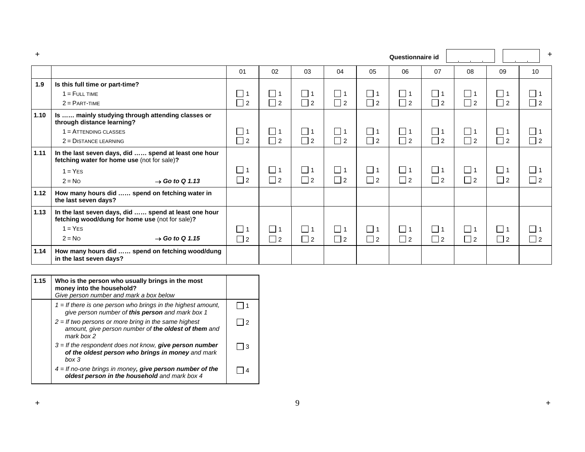| $^{+}$ |                                                                                                                                                                |                    |                                      |                      |                      |                       | Questionnaire id     |                         |                      |                       | $\ddot{}$               |
|--------|----------------------------------------------------------------------------------------------------------------------------------------------------------------|--------------------|--------------------------------------|----------------------|----------------------|-----------------------|----------------------|-------------------------|----------------------|-----------------------|-------------------------|
|        |                                                                                                                                                                | 01                 | 02                                   | 03                   | 04                   | 05                    | 06                   | 07                      | 08                   | 09                    | 10                      |
| 1.9    | Is this full time or part-time?<br>$1 =$ FULL TIME<br>$2 = PART-TIME$                                                                                          | $\Box$<br>$\Box$ 2 | $\Box$<br>$\overline{1}$<br>$\Box$ 2 | $\Box$ 1<br>$\Box$ 2 | $\Box$ 1<br>$\Box$ 2 | □ 1<br>$\Box$ 2       | $\Box$ 1<br>$\Box$ 2 | ∐ 1<br>$\Box$ 2         | $\Box$ 1<br>$\Box$ 2 | $\vert$ 1<br>$\Box$ 2 | $\square$ 1<br>$\Box$ 2 |
| 1.10   | Is  mainly studying through attending classes or<br>through distance learning?<br>$1 =$ ATTENDING CLASSES<br>$2 =$ DISTANCE LEARNING                           | _  1<br>$\Box$ 2   | $\Box$<br>$\overline{1}$<br>$\Box$ 2 | $\Box$ 1<br>$\Box$ 2 | $\Box$ 1<br>$\Box$ 2 | $\vert$ 1<br>$\Box$ 2 | $\Box$ 1<br>$\Box$ 2 | $\square$ 1<br>$\Box$ 2 | $\Box$ 1<br>$\Box$ 2 | $\vert$ 1<br>$\Box$ 2 | $\Box$ 1<br>$\Box$ 2    |
| 1.11   | In the last seven days, did  spend at least one hour<br>fetching water for home use (not for sale)?<br>$1 = YES$<br>$2 = No$<br>$\rightarrow$ Go to Q 1.13     | 囗1<br>$\square$ 2  | $\Box$ 1<br>$\Box$ 2                 | $\Box$ 1<br>$\Box$ 2 | $\Box$ 1<br>$\Box$ 2 | $\Box$ 1<br>$\Box$ 2  | $\Box$ 1<br>$\Box$ 2 | $\Box$ 1<br>$\Box$ 2    | $\Box$ 1<br>$\Box$ 2 | $\Box$ 1<br>$\Box$ 2  | $\square$ 1<br>$\Box$ 2 |
| 1.12   | How many hours did  spend on fetching water in<br>the last seven days?                                                                                         |                    |                                      |                      |                      |                       |                      |                         |                      |                       |                         |
| 1.13   | In the last seven days, did  spend at least one hour<br>fetching wood/dung for home use (not for sale)?<br>$1 = YES$<br>$2 = No$<br>$\rightarrow$ Go to Q 1.15 | 그1<br>$\square$ 2  | $\Box$ 1<br>$\Box$ 2                 | $\Box$ 1<br>$\Box$ 2 | $\Box$ 1<br>$\Box$ 2 | $\Box$ 1<br>$\Box$ 2  | $\Box$ 1<br>$\Box$ 2 | $\Box$ 1<br>$\Box$ 2    | $\Box$ 1<br>$\Box$ 2 | $\Box$ 1<br>$\Box$ 2  | $\Box$ 1<br>$\Box$ 2    |
| 1.14   | How many hours did  spend on fetching wood/dung<br>in the last seven days?                                                                                     |                    |                                      |                      |                      |                       |                      |                         |                      |                       |                         |

| 1.15 | Who is the person who usually brings in the most<br>money into the household?<br>Give person number and mark a box below     |   |
|------|------------------------------------------------------------------------------------------------------------------------------|---|
|      | $1 =$ If there is one person who brings in the highest amount,<br>give person number of this person and mark box 1           |   |
|      | $2 =$ If two persons or more bring in the same highest<br>amount, give person number of the oldest of them and<br>mark box 2 | 2 |
|      | $3 =$ If the respondent does not know, give person number<br>of the oldest person who brings in money and mark<br>$h$ ox 3   |   |
|      | $4 =$ If no-one brings in money, give person number of the<br>oldest person in the household and mark box 4                  |   |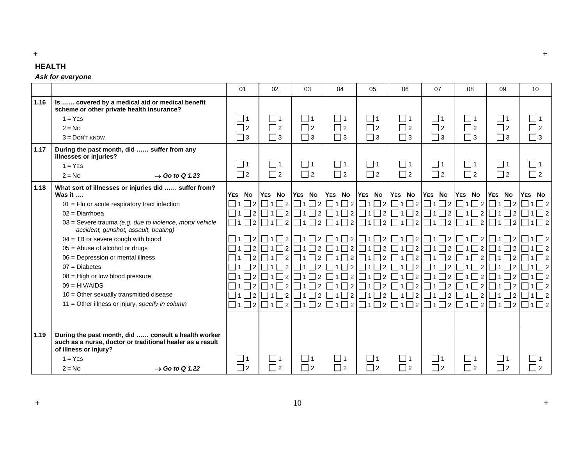#### **HEALTH**

#### *Ask for everyone*

|      |                                                                                                                                           | 01                  | 02                                         | 03                       | 04                | 05                | 06                                                                                                                            | 07                | 08                                                                                                                                                                                                                                                                                                                                            | 09                                                         | 10                                                                                                                                                          |
|------|-------------------------------------------------------------------------------------------------------------------------------------------|---------------------|--------------------------------------------|--------------------------|-------------------|-------------------|-------------------------------------------------------------------------------------------------------------------------------|-------------------|-----------------------------------------------------------------------------------------------------------------------------------------------------------------------------------------------------------------------------------------------------------------------------------------------------------------------------------------------|------------------------------------------------------------|-------------------------------------------------------------------------------------------------------------------------------------------------------------|
| 1.16 | Is  covered by a medical aid or medical benefit<br>scheme or other private health insurance?                                              |                     |                                            |                          |                   |                   |                                                                                                                               |                   |                                                                                                                                                                                                                                                                                                                                               |                                                            |                                                                                                                                                             |
|      | $1 = YES$                                                                                                                                 |                     | $\Box$ 1                                   | l 11                     | $\Box$ 1          | l 11              | $ $ 11                                                                                                                        | $\Box$ 1          | l 11                                                                                                                                                                                                                                                                                                                                          | $\Box$ 1                                                   | $\vert$   1                                                                                                                                                 |
|      | $2 = No$                                                                                                                                  | $\Box$ 2            | $\Box$ 2                                   | $\Box$ 2                 | $\Box$ 2          | $\Box$ 2          | $\Box$ 2                                                                                                                      | $\Box$ 2          | $\Box$ 2                                                                                                                                                                                                                                                                                                                                      | $\Box$ 2                                                   | $\Box$ 2                                                                                                                                                    |
|      | $3 =$ DON'T KNOW                                                                                                                          | $\sqsupset$ 3       | $\Box$ 3                                   | $\Box$ 3                 | $\Box$ 3          | $\Box$ 3          | $\Box$ 3                                                                                                                      | $\Box$ 3          | $\Box$ 3                                                                                                                                                                                                                                                                                                                                      | $\Box$ 3                                                   | $\Box$ 3                                                                                                                                                    |
| 1.17 | During the past month, did  suffer from any<br>illnesses or injuries?                                                                     |                     |                                            |                          |                   |                   |                                                                                                                               |                   |                                                                                                                                                                                                                                                                                                                                               |                                                            |                                                                                                                                                             |
|      | $1 = YES$                                                                                                                                 | $\Box$ 1            | $\Box$ 1                                   | $\Box$ 1                 | $\Box$ 1          | $\Box$ 1          | $\Box$ 1                                                                                                                      | $\Box$ 1          | $\Box$ 1                                                                                                                                                                                                                                                                                                                                      | $\Box$ 1                                                   | $\Box$ 1                                                                                                                                                    |
|      | $2 = NQ$<br>$\rightarrow$ Go to Q 1.23                                                                                                    | $\Box$ 2            | $\Box$ 2                                   | $\Box$ 2                 | $\Box$ 2          | $\Box$ 2          | $\Box$ 2                                                                                                                      | $\Box$ 2          | $\Box$ 2                                                                                                                                                                                                                                                                                                                                      | $\Box$ 2                                                   | $\Box$ 2                                                                                                                                                    |
| 1.18 | What sort of illnesses or injuries did  suffer from?<br><b>Was it </b>                                                                    | YES No              | YES No                                     | YES No                   | YES No            | YES No            | YES No                                                                                                                        | YES No            | YES No                                                                                                                                                                                                                                                                                                                                        | YES No                                                     | YES No                                                                                                                                                      |
|      | $01$ = Flu or acute respiratory tract infection                                                                                           |                     |                                            |                          |                   |                   |                                                                                                                               |                   |                                                                                                                                                                                                                                                                                                                                               |                                                            | $\Box$ 1 \Box 2 \Box 1 \Box 2 \Box 1 \Box 2 \Box 1 \Box 2 \Box 1 \Box 2 \Box 1 \Box 2 \Box 1 \Box 2 \Box 1 \Box 2 \Box 1 \Box 2 \Box 1 \Box 2 \Box 1 \Box 2 |
|      | $02 =$ Diarrhoea                                                                                                                          |                     |                                            |                          |                   |                   |                                                                                                                               |                   | $\Box$ 1 \Box 2 \Box 1 \Box 2 \Box 1 \Box 2 \Box 1 \Box 2 \Box 1 \Box 2 \Box 1 \Box 2 \Box 1 \Box 2 \Box 1 \Box 2 \Box 1 \Box 2 \Box 1 \Box 2 \Box 1 \Box 2                                                                                                                                                                                   |                                                            |                                                                                                                                                             |
|      | 03 = Severe trauma (e.g. due to violence, motor vehicle<br>accident, gunshot, assault, beating)                                           |                     |                                            |                          |                   |                   |                                                                                                                               |                   |                                                                                                                                                                                                                                                                                                                                               |                                                            | $\Box$ 1 \Box 2 \Box 1 \Box 2 \Box 1 \Box 2 \Box 1 \Box 2 \Box 1 \Box 2 \Box 1 \Box 2 \Box 1 \Box 2 \Box 1 \Box 2 \Box 1 \Box 2 \Box 1 \Box 2 \Box 1 \Box 2 |
|      | 04 = TB or severe cough with blood                                                                                                        |                     | $\Box$ 1 $\Box$ 2 $\Box$ 1 $\Box$ 2 $\Box$ |                          |                   |                   |                                                                                                                               |                   | $\Box$ 1 \Box2 \Box1 $\Box$ 1 $\Box$ 2 $\Box$ 1 $\Box$ 2 $\Box$ 1 $\Box$ 2 $\Box$ 1 $\Box$ 2 $\Box$ 1 $\Box$ 2 $\Box$ 1 $\Box$ 2 $\Box$ 1 $\Box$ 2 $\Box$ 1 $\Box$ 2 $\Box$ 1 $\Box$ 2 $\Box$ 1 $\Box$ 2 $\Box$ 1 $\Box$ 2 $\Box$ 1 $\Box$ 2 $\Box$ 1 $\Box$ 2 $\Box$ 1 $\Box$ 2 $\Box$ 1 $\Box$ 2 $\Box$ 1 $\Box$ 2 $\Box$ 1 $\Box$ 2 $\Box$ |                                                            |                                                                                                                                                             |
|      | $05$ = Abuse of alcohol or drugs                                                                                                          | $\mathcal{a}_2$     | $\overline{2}$                             | $\Box$ 1 $\Box$ 2        | $\Box$ 1 $\Box$ 2 | $\Box$ 1 $\Box$ 2 | $\Box$ 1 $\Box$ 2 $\Box$                                                                                                      | $\Box$ 1 $\Box$ 2 | $1 \square 2$                                                                                                                                                                                                                                                                                                                                 | $\left \left[\right]\right _1\left \left[\right]_2\right $ |                                                                                                                                                             |
|      | 06 = Depression or mental illness                                                                                                         | $\sqcap$ 2 $\sqcap$ | $\Box$ 1 $\Box$ 2                          | $\Box$ 1 $\Box$ 2 $\Box$ |                   |                   |                                                                                                                               |                   |                                                                                                                                                                                                                                                                                                                                               |                                                            | $\Box$ 2                                                                                                                                                    |
|      | $07 = Diabetes$                                                                                                                           | $\sqcap$ 2 $\sqcap$ | $\Box$ 1 $\Box$ 2                          |                          |                   |                   | $\Box$ 1 \Box 2 \vert \Box1 $\Box$ 1 $\Box$ 2 $\vert \Box$ 1 $\Box$ 2 $\vert \Box$ 1 $\Box$ 2 $\vert \Box$ 1 $\Box$ 2 $\vert$ |                   |                                                                                                                                                                                                                                                                                                                                               |                                                            | $\Box$ 2                                                                                                                                                    |
|      | $08$ = High or low blood pressure                                                                                                         |                     | $\Box$ 2 $\Box$ 1 $\Box$ 2 $\Box$          |                          |                   |                   |                                                                                                                               |                   |                                                                                                                                                                                                                                                                                                                                               |                                                            |                                                                                                                                                             |
|      | $09 = HIV/AIDS$                                                                                                                           | ヿ2                  | $\Box$ 2 $\Box$                            |                          |                   |                   |                                                                                                                               |                   |                                                                                                                                                                                                                                                                                                                                               |                                                            | $\Box$ 1\Box2 $\Box$ 1 $\Box$ 2 $\Box$ 1 $\Box$ 1 $\Box$ 2 $\Box$ 1 $\Box$ 2 $\Box$ 1 $\Box$ 2 $\Box$ 1 $\Box$ 2 $\Box$ 1 $\Box$ 2 $\Box$ 1 $\Box$ 2        |
|      | 10 = Other sexually transmitted disease                                                                                                   |                     | $1 \square 2 \square 1 \square 2$          | $\Box$ 1 $\Box$ 2        |                   |                   |                                                                                                                               |                   |                                                                                                                                                                                                                                                                                                                                               |                                                            |                                                                                                                                                             |
|      | 11 = Other illness or injury, specify in column                                                                                           |                     | $1 \square 2 \square 1 \square 2$          |                          |                   |                   |                                                                                                                               |                   | $\Box$ 1 \Box2 $\Box$ 1 $\Box$ 2 $\Box$ 1 $\Box$ 2 $\Box$ 1 $\Box$ 2 $\Box$ 1 $\Box$ 2 $\Box$ 1 $\Box$ 2 $\Box$ 1 $\Box$ 2 $\Box$ 1 $\Box$ 2 $\Box$ 1 $\Box$ 2 $\Box$ 1 $\Box$ 2 $\Box$ 1 $\Box$ 2 $\Box$ 1 $\Box$ 2 $\Box$ 1 $\Box$ 2 $\Box$ 1 $\Box$ 2 $\Box$ 1 $\Box$ 2 $\Box$ 1 $\Box$ 2 $\Box$ 1 $\Box$ 2 $\Box$ 1 $\Box$ 2 $\Box$ 1     |                                                            |                                                                                                                                                             |
|      |                                                                                                                                           |                     |                                            |                          |                   |                   |                                                                                                                               |                   |                                                                                                                                                                                                                                                                                                                                               |                                                            |                                                                                                                                                             |
| 1.19 | During the past month, did  consult a health worker<br>such as a nurse, doctor or traditional healer as a result<br>of illness or injury? |                     |                                            |                          |                   |                   |                                                                                                                               |                   |                                                                                                                                                                                                                                                                                                                                               |                                                            |                                                                                                                                                             |
|      | $1 = YES$                                                                                                                                 |                     | $\Box$ 1                                   | $\Box$ 1                 | $\vert$ 1         | l 11              | $\Box$ 1                                                                                                                      | $\Box$ 1          | l 11                                                                                                                                                                                                                                                                                                                                          | $\Box$ 1                                                   | $ $   1                                                                                                                                                     |
|      | $2 = NQ$<br>$\rightarrow$ Go to Q 1.22                                                                                                    | $\Box$ 2            | $\Box$ 2                                   | $\Box$ 2                 | $\Box$ 2          | $\Box$ 2          | $\Box$ 2                                                                                                                      | $\Box$ 2          | $\Box$ 2                                                                                                                                                                                                                                                                                                                                      | $\Box$ 2                                                   | $\Box$ 2                                                                                                                                                    |

**+ +** 

 $\,$  +  $\,$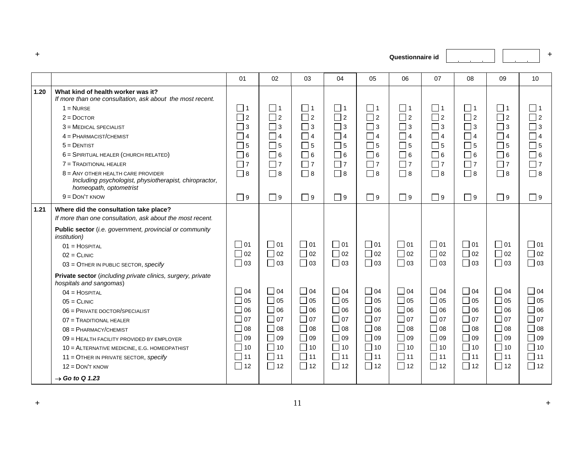**+**

**Questionnaire id**  $\left[\begin{array}{ccc} & & \\ & & \end{array}\right]$  +

|      |                                                                                                                          | 01             | 02        | 03        | 04        | 05        | 06        | 07          | 08        | 09        | 10                         |
|------|--------------------------------------------------------------------------------------------------------------------------|----------------|-----------|-----------|-----------|-----------|-----------|-------------|-----------|-----------|----------------------------|
| 1.20 | What kind of health worker was it?<br>If more than one consultation, ask about the most recent.                          |                |           |           |           |           |           |             |           |           |                            |
|      | $1 = NURSE$                                                                                                              | $\Box$ 1       | $\Box$ 1  | $\Box$ 1  | $\Box$ 1  | $\Box$ 1  | $\Box$ 1  | $\Box$ 1    | $\Box$ 1  | $\Box$ 1  | $\Box$ 1                   |
|      | $2 =$ DOCTOR                                                                                                             | $\Box$ 2       | $\Box$ 2  | $\Box$ 2  | $\Box$ 2  | $\Box$ 2  | $\Box$ 2  | $\Box$ 2    | $\Box$ 2  | $\Box$ 2  | $\overline{1}$             |
|      | 3 = MEDICAL SPECIALIST                                                                                                   | 3              | $\Box$ 3  | $\Box$ 3  | $\Box$ 3  | $\Box$ 3  | $\Box$ 3  | $\Box$ 3    | $\Box$ 3  | $\Box$ 3  | $\sqsupset$ 3              |
|      | $4 = PHARMACIST/CHEMIST$                                                                                                 | $\overline{4}$ | $\Box$ 4  | $\Box$ 4  | $\Box$ 4  | $\Box$ 4  | $\Box$ 4  | $\Box$ 4    | $\Box$ 4  | $\Box$ 4  | $\vert$ 4                  |
|      | $5 =$ DENTIST                                                                                                            | $\sqsupset$ 5  | $\Box$ 5  | $\Box$ 5  | $\Box$ 5  | $\Box$ 5  | $\Box$ 5  | $\square$ 5 | $\Box$ 5  | $\Box$ 5  | $\overline{\phantom{0}}$ 5 |
|      | 6 = SPIRITUAL HEALER (CHURCH RELATED)                                                                                    | $\Box$ 6       | $\Box$ 6  | $\Box$ 6  | $\Box$ 6  | $\Box$ 6  | $\Box$ 6  | $\Box$ 6    | $\Box$ 6  | $\Box$ 6  | ヿ 6                        |
|      | 7 = TRADITIONAL HEALER                                                                                                   | $\Box$ 7       | $\Box$ 7  | $\Box$ 7  | $\Box$ 7  | $\Box$ 7  | $\Box$ 7  | $\Box$ 7    | $\Box$ 7  | $\Box$ 7  | $\Box$ 7                   |
|      | $8 =$ ANY OTHER HEALTH CARE PROVIDER<br>Including psychologist, physiotherapist, chiropractor,<br>homeopath, optometrist | $\Box$ 8       | $\Box$ 8  | $\Box$ 8  | $\Box$ 8  | $\Box$ 8  | $\Box$ 8  | $\Box$ 8    | $\Box$ 8  | $\Box$ 8  | $\sqsupset$ 8              |
|      | $9 =$ DON'T KNOW                                                                                                         | $\Box$ 9       | $\Box$ 9  | $\Box$ 9  | $\Box$ 9  | $\Box$ 9  | $\Box$ 9  | $\Box$ 9    | $\Box$ 9  | $\Box$ 9  | $\Box$ 9                   |
| 1.21 | Where did the consultation take place?<br>If more than one consultation, ask about the most recent.                      |                |           |           |           |           |           |             |           |           |                            |
|      | Public sector (i.e. government, provincial or community<br><i>institution</i> )                                          |                |           |           |           |           |           |             |           |           |                            |
|      | $01 = HOSPITAL$                                                                                                          | $\Box$ 01      | $\Box$ 01 | $\Box$ 01 | $\Box$ 01 | $\Box$ 01 | $\Box$ 01 | $\Box$ 01   | $\Box$ 01 | $\Box$ 01 | $\Box$ 01                  |
|      | $02 =$ CLINIC                                                                                                            | $\Box$ 02      | $\Box$ 02 | $\Box$ 02 | $\Box$ 02 | $\Box$ 02 | $\Box$ 02 | $\Box$ 02   | $\Box$ 02 | $\Box$ 02 | $\Box$ 02                  |
|      | $03 =$ OTHER IN PUBLIC SECTOR, specify                                                                                   | $\Box$ 03      | $\Box$ 03 | $\Box$ 03 | $\Box$ 03 | $\Box$ 03 | $\Box$ 03 | $\Box$ 03   | $\Box$ 03 | $\Box$ 03 | $\Box$ 03                  |
|      | Private sector (including private clinics, surgery, private<br>hospitals and sangomas)                                   |                |           |           |           |           |           |             |           |           |                            |
|      | $04 = HOSPITAL$                                                                                                          | $\Box$ 04      | $\Box$ 04 | $\Box$ 04 | $\Box$ 04 | $\Box$ 04 | $\Box$ 04 | $\Box$ 04   | $\Box$ 04 | $\Box$ 04 | $\Box$ 04                  |
|      | $05 =$ CLINIC                                                                                                            | $\Box$ 05      | $\Box$ 05 | $\Box$ 05 | $\Box$ 05 | $\Box$ 05 | $\Box$ 05 | $\Box$ 05   | $\Box$ 05 | $\Box$ 05 | $\Box$ 05                  |
|      | 06 = PRIVATE DOCTOR/SPECIALIST                                                                                           | $\Box$ 06      | $\Box$ 06 | $\Box$ 06 | $\Box$ 06 | $\Box$ 06 | $\Box$ 06 | $\Box$ 06   | $\Box$ 06 | $\Box$ 06 | $\Box$ 06                  |
|      | $07 = TRADITIONAL HEALER$                                                                                                | $\Box$ 07      | $\Box$ 07 | $\Box$ 07 | $\Box$ 07 | $\Box$ 07 | $\Box$ 07 | $\Box$ 07   | $\Box$ 07 | $\Box$ 07 | $\Box$ 07                  |
|      | $08 = PHARMACY/CHEMIST$                                                                                                  | 08             | $\Box$ 08 | $\Box$ 08 | $\Box$ 08 | $\Box$ 08 | $\Box$ 08 | $\Box$ 08   | $\Box$ 08 | $\Box$ 08 | $\Box$ 08                  |
|      | 09 = HEALTH FACILITY PROVIDED BY EMPLOYER                                                                                | $\Box$ 09      | $\Box$ 09 | $\Box$ 09 | $\Box$ 09 | $\Box$ 09 | $\Box$ 09 | $\Box$ 09   | $\Box$ 09 | $\Box$ 09 | $\Box$ 09                  |
|      | 10 = ALTERNATIVE MEDICINE, E.G. HOMEOPATHIST                                                                             | $\Box$ 10      | $\Box$ 10 | $\Box$ 10 | $\Box$ 10 | $\Box$ 10 | $\Box$ 10 | $\Box$ 10   | $\Box$ 10 | $\Box$ 10 | $\Box$ 10                  |
|      | 11 = OTHER IN PRIVATE SECTOR, specify                                                                                    | $\Box$ 11      | $\Box$ 11 | $\Box$ 11 | $\Box$ 11 | $\Box$ 11 | $\Box$ 11 | $\Box$ 11   | $\Box$ 11 | $\Box$ 11 | 11                         |
|      | $12 =$ DON'T KNOW                                                                                                        | $\Box$ 12      | $\Box$ 12 | $\Box$ 12 | $\Box$ 12 | $\Box$ 12 | $\Box$ 12 | $\Box$ 12   | $\Box$ 12 | $\Box$ 12 | $\Box$ 12                  |
|      | $\rightarrow$ Go to Q 1.23                                                                                               |                |           |           |           |           |           |             |           |           |                            |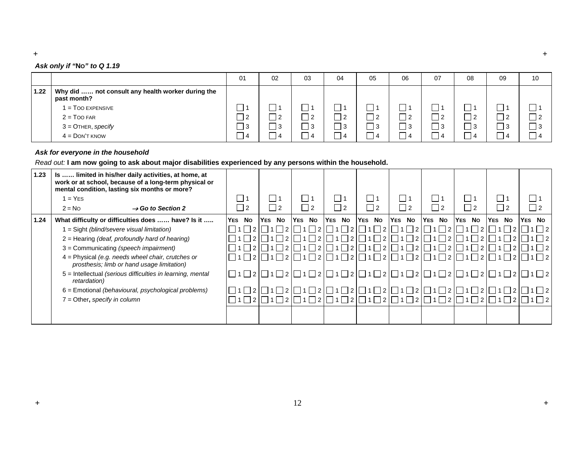#### **+ +**

#### *Ask only if "***NO***" to Q 1.19*

|      |                                                                  | 01          | 02 | 03         | 04         | 05  | 06       | 07 | 08  | 09       | 10   |
|------|------------------------------------------------------------------|-------------|----|------------|------------|-----|----------|----|-----|----------|------|
| 1.22 | Why did  not consult any health worker during the<br>past month? |             |    |            |            |     |          |    |     |          |      |
|      | $1 = \text{TOO}$ EXPENSIVE                                       |             |    |            |            |     |          | ᄀ  |     |          |      |
|      | $2 = TOO FAR$                                                    | $\Box$ 2    |    | <u>  2</u> | $\sqrt{2}$ | -2  | $\Box$ 2 |    | l 2 | $\Box$ 2 |      |
|      | $3 =$ OTHER, specify                                             | $\Box$ 3    | 3  | 13         | ه ا<br>ت ∟ | . 3 | $\Box$ 3 |    | 13  | $\Box$ 3 | - 13 |
|      | $4 =$ DON'T KNOW                                                 | $\bigcap$ 4 |    |            | I 4        | 4   | ≖        |    | ا 4 | $\Box$ 4 |      |

#### *Ask for everyone in the household*

*Read out:* **I am now going to ask about major disabilities experienced by any persons within the household.**

| 1.23 | Is  limited in his/her daily activities, at home, at<br>work or at school, because of a long-term physical or<br>mental condition, lasting six months or more? |                                       |                |             |                                                                                                                                                                                                                                                                                                                                                                                          |                            |               |                            |         |               |                                 |
|------|----------------------------------------------------------------------------------------------------------------------------------------------------------------|---------------------------------------|----------------|-------------|------------------------------------------------------------------------------------------------------------------------------------------------------------------------------------------------------------------------------------------------------------------------------------------------------------------------------------------------------------------------------------------|----------------------------|---------------|----------------------------|---------|---------------|---------------------------------|
|      | $1 = YES$                                                                                                                                                      | $\Box$ 1                              | $\blacksquare$ | $\vert$ 11  | $\Box$ 1                                                                                                                                                                                                                                                                                                                                                                                 |                            | 1             | $\vert$ 1                  |         | 1             | $\blacksquare$                  |
|      | $\rightarrow$ Go to Section 2<br>$2 = No$                                                                                                                      | $\vert$ 2                             | $\Box$ 2       | $\vert$   2 | $\bigcap$ 2                                                                                                                                                                                                                                                                                                                                                                              | $\overline{\phantom{1}}$ 2 | $\Box$ 2      | $\overline{\phantom{0}}$ 2 | $ $   2 | $ $  2        | ヿ2                              |
| 1.24 | What difficulty or difficulties does  have? Is it                                                                                                              | YES No                                | YES No         | YES No      | YES NO YES NO                                                                                                                                                                                                                                                                                                                                                                            |                            | YES NO YES NO |                            | YES No  | <b>YES NO</b> | YES No                          |
|      | 1 = Sight (blind/severe visual limitation)                                                                                                                     |                                       |                |             | $\Box$ 1\Box2 \Box1\Box2 \Box1\Box2 \Box1\Box2 \Box1\Box2 \Box1\Box2 \Box1\Box2 \Box1\Box2 \Box1\Box2                                                                                                                                                                                                                                                                                    |                            |               |                            |         |               | $\vert 1 \vert$ $\vert 2 \vert$ |
|      | 2 = Hearing (deaf, profoundly hard of hearing)                                                                                                                 | $\vert$ 1 $\vert$ 1 $\vert$ 2 $\vert$ |                |             |                                                                                                                                                                                                                                                                                                                                                                                          |                            |               |                            |         |               | $\sqcap$ 1 $\sqcap$ 2           |
|      | 3 = Communicating (speech impairment)                                                                                                                          |                                       |                |             | $\Box$ 1\Box2 $\Box$ 1 $\Box$ 2 $\Box$ 1 $\Box$ 2 $\Box$ 1 $\Box$ 2 $\Box$ 1 $\Box$ 2 $\Box$ 1 $\Box$ 2 $\Box$ 1 $\Box$ 2 $\Box$ 1 $\Box$ 2 $\Box$ 1 $\Box$ 2 $\Box$ 1                                                                                                                                                                                                                   |                            |               |                            |         |               |                                 |
|      | $4$ = Physical (e.g. needs wheel chair, crutches or<br>prosthesis; limb or hand usage limitation)                                                              |                                       |                |             | $\Box$ 1 \Box 2 \vert \Box1 \Box 2 \vert \Box1 $\Box$ 2 $\vert \Box$ 1 $\Box$ 2 $\vert \Box$ 1 $\Box$ 2 $\vert \Box$ 1 $\Box$ 2 $\vert \Box$ 1 $\Box$ 2 $\Box$ 1 $\Box$ 2 $\vert \Box$ 1 $\Box$ 2 $\vert \Box$ 1 $\Box$ 2 $\vert \Box$ 1 $\Box$ 2 $\vert \Box$ 1 $\Box$ 2 $\vert \Box$ 1 $\Box$ 2 $\vert \Box$ 1 $\Box$ 2 $\vert \Box$ 1 $\Box$ 2 $\vert \Box$ 1 $\Box$ 2 $\vert \Box$ 1 |                            |               |                            |         |               | $\sqcap$ 1 $\sqcap$ 2           |
|      | 5 = Intellectual (serious difficulties in learning, mental<br>retardation)                                                                                     |                                       |                |             | $\Box$ 1 \Box 2 \Box 1 \Box 2 \Box 1 \Box 2 \Box 1 \Box 2 \Box 1 \Box 2 \Box 1 \Box 2 \Box 1 \Box 2 \Box 1 \Box 2 \Box 1 \Box 2 \Box 1 \Box 2 \Box 1 \Box 2                                                                                                                                                                                                                              |                            |               |                            |         |               |                                 |
|      | 6 = Emotional (behavioural, psychological problems)                                                                                                            |                                       |                |             |                                                                                                                                                                                                                                                                                                                                                                                          |                            |               |                            |         |               |                                 |
|      | $7 =$ Other, specify in column                                                                                                                                 |                                       |                |             |                                                                                                                                                                                                                                                                                                                                                                                          |                            |               |                            |         |               |                                 |
|      |                                                                                                                                                                |                                       |                |             |                                                                                                                                                                                                                                                                                                                                                                                          |                            |               |                            |         |               |                                 |

 $\boldsymbol{+}$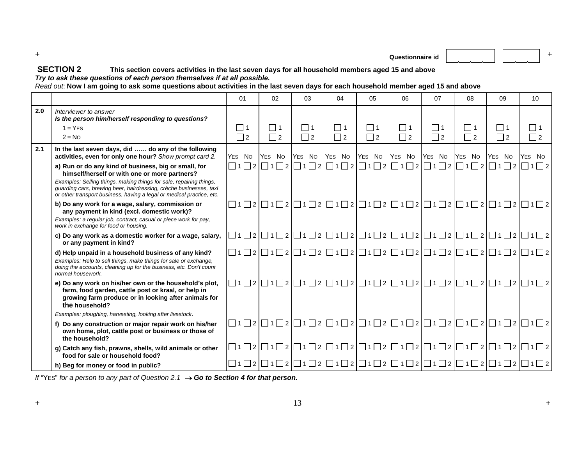### **Questionnaire id**  $\left| \begin{array}{ccc} | & | & | \end{array} \right|$

#### **SECTION 2 This section covers activities in the last seven days for all household members aged 15 and above** *Try to ask these questions of each person themselves if at all possible.*

*Read out*: **Now I am going to ask some questions about activities in the last seven days for each household member aged 15 and above**

|     |                                                                                                                                                                                                                    | 01                   | 02                   | 03                   | 04                   | 05                   | 06                                                                                                                                                                              | 07                   | 08                   | 09                   | 10                   |
|-----|--------------------------------------------------------------------------------------------------------------------------------------------------------------------------------------------------------------------|----------------------|----------------------|----------------------|----------------------|----------------------|---------------------------------------------------------------------------------------------------------------------------------------------------------------------------------|----------------------|----------------------|----------------------|----------------------|
| 2.0 | Interviewer to answer<br>Is the person him/herself responding to questions?<br>$1 = YES$<br>$2 = No$                                                                                                               | $\Box$ 1<br>$\Box$ 2 | $\Box$ 1<br>$\Box$ 2 | $\Box$ 1<br>$\Box$ 2 | $\Box$ 1<br>$\Box$ 2 | $\Box$ 1<br>$\Box$ 2 | $\Box$ 1<br>$\Box$ 2                                                                                                                                                            | $\Box$ 1<br>$\Box$ 2 | $\Box$ 1<br>$\Box$ 2 | $\Box$ 1<br>$\Box$ 2 | $\Box$ 1<br>$\Box$ 2 |
| 2.1 | In the last seven days, did  do any of the following<br>activities, even for only one hour? Show prompt card 2.                                                                                                    | YES NO               | YES NO               | YES NO               | YES NO YES NO YES NO |                      |                                                                                                                                                                                 |                      | YES NO YES NO YES NO |                      | YES NO               |
|     | a) Run or do any kind of business, big or small, for<br>himself/herself or with one or more partners?<br>Examples: Selling things, making things for sale, repairing things,                                       |                      |                      |                      |                      |                      | $\Box$ 1\Box2 $\Box$ 1 $\Box$ 2 $\Box$ 1 $\Box$ 2 $\Box$ 1 $\Box$ 2 $\Box$ 1 $\Box$ 2 $\Box$ 1 $\Box$ 2 $\Box$ 1 $\Box$ 2 $\Box$ 1 $\Box$ 2 $\Box$ 1 $\Box$ 2 $\Box$ 1 $\Box$ 2 |                      |                      |                      |                      |
|     | guarding cars, brewing beer, hairdressing, crèche businesses, taxi<br>or other transport business, having a legal or medical practice, etc.<br>b) Do any work for a wage, salary, commission or                    |                      |                      |                      |                      |                      | $\Box$ 1\Box2 \Box1\Box2 \Box1\Box2 \Box1\Box2 \Box1\Box2 \Box1\Box2 \Box1\Box2 \Box1\Box2 \Box1\Box2 \Box1\Box2                                                                |                      |                      |                      |                      |
|     | any payment in kind (excl. domestic work)?<br>Examples: a regular job, contract, casual or piece work for pay,<br>work in exchange for food or housing.                                                            |                      |                      |                      |                      |                      |                                                                                                                                                                                 |                      |                      |                      |                      |
|     | c) Do any work as a domestic worker for a wage, salary,<br>or any payment in kind?                                                                                                                                 |                      |                      |                      |                      |                      | $\Box$ 1\Box2 $\Box$ 1 $\Box$ 2 $\Box$ 1 $\Box$ 2 $\Box$ 1 $\Box$ 2 $\Box$ 1 $\Box$ 2 $\Box$ 1 $\Box$ 2 $\Box$ 1 $\Box$ 2 $\Box$ 1 $\Box$ 2 $\Box$ 1 $\Box$ 2 $\Box$ 1 $\Box$ 2 |                      |                      |                      |                      |
|     | d) Help unpaid in a household business of any kind?<br>Examples: Help to sell things, make things for sale or exchange,<br>doing the accounts, cleaning up for the business, etc. Don't count<br>normal housework. |                      |                      |                      |                      |                      | $\Box$ 1 \Box 2 \Box 1 \Box 2 \Box 1 \Box 2 \Box 1 \Box 2 \Box 1 \Box 2 \Box 1 \Box 2 \Box 1 \Box 2 \Box 1 \Box 2 \Box 1 \Box 2 \Box 1 \Box 2 \Box 1 \Box 2                     |                      |                      |                      |                      |
|     | e) Do any work on his/her own or the household's plot,<br>farm, food garden, cattle post or kraal, or help in<br>growing farm produce or in looking after animals for<br>the household?                            |                      |                      |                      |                      |                      | $\Box$ 1\Box2 $\Box$ 1 $\Box$ 2 $\Box$ 1 $\Box$ 2 $\Box$ 1 $\Box$ 2 $\Box$ 1 $\Box$ 2 $\Box$ 1 $\Box$ 2 $\Box$ 1 $\Box$ 2 $\Box$ 1 $\Box$ 2 $\Box$ 1 $\Box$ 2 $\Box$ 1 $\Box$ 2 |                      |                      |                      |                      |
|     | Examples: ploughing, harvesting, looking after livestock.                                                                                                                                                          |                      |                      |                      |                      |                      |                                                                                                                                                                                 |                      |                      |                      |                      |
|     | f) Do any construction or major repair work on his/her<br>own home, plot, cattle post or business or those of<br>the household?                                                                                    |                      |                      |                      |                      |                      | $\Box$ 1\Box2 $\Box$ 1 $\Box$ 2 $\Box$ 1 $\Box$ 2 $\Box$ 1 $\Box$ 2 $\Box$ 1 $\Box$ 2 $\Box$ 1 $\Box$ 2 $\Box$ 1 $\Box$ 2 $\Box$ 1 $\Box$ 2 $\Box$ 1 $\Box$ 2 $\Box$ 1 $\Box$ 2 |                      |                      |                      |                      |
|     | g) Catch any fish, prawns, shells, wild animals or other<br>food for sale or household food?                                                                                                                       |                      |                      |                      |                      |                      | $\Box$ 1\Box2 $\Box$ 1 $\Box$ 2 $\Box$ 1 $\Box$ 2 $\Box$ 1 $\Box$ 2 $\Box$ 1 $\Box$ 2 $\Box$ 1 $\Box$ 2 $\Box$ 1 $\Box$ 2 $\Box$ 1 $\Box$ 2 $\Box$ 1 $\Box$ 2 $\Box$ 1 $\Box$ 2 |                      |                      |                      |                      |
|     | h) Beg for money or food in public?                                                                                                                                                                                |                      |                      |                      |                      |                      | $\Box$ 1\Box2 \Box1\Box2 \Box1\Box2 \Box1\Box2 \Box1\Box2 \Box1\Box2 \Box1\Box2 \Box1\Box2 \Box1\Box2 \Box1\Box2                                                                |                      |                      |                      |                      |

*If* "YES" for a person to any part of Question 2.1 → Go to Section 4 for that person.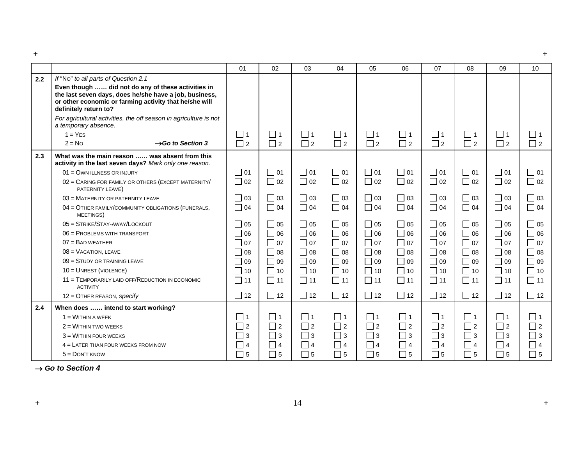| $\pm$ |                                                                                                                                                                                                 |                      |           |           |                            |           |           |           |                |           |            |
|-------|-------------------------------------------------------------------------------------------------------------------------------------------------------------------------------------------------|----------------------|-----------|-----------|----------------------------|-----------|-----------|-----------|----------------|-----------|------------|
|       |                                                                                                                                                                                                 | 01                   | 02        | 03        | 04                         | 05        | 06        | 07        | 08             | 09        | 10         |
| 2.2   | If "No" to all parts of Question 2.1                                                                                                                                                            |                      |           |           |                            |           |           |           |                |           |            |
|       | Even though  did not do any of these activities in<br>the last seven days, does he/she have a job, business,<br>or other economic or farming activity that he/she will<br>definitely return to? |                      |           |           |                            |           |           |           |                |           |            |
|       | For agricultural activities, the off season in agriculture is not<br>a temporary absence.                                                                                                       |                      |           |           |                            |           |           |           |                |           |            |
|       | $1 = YES$                                                                                                                                                                                       | $\Box$ 1             | $\Box$ 1  | $\Box$ 1  | $\Box$ 1                   | $ $ 11    | $\Box$ 1  | $\Box$ 1  | $\vert$ 11     | $\Box$ 1  | $\vert$ 11 |
|       | $2 = No$<br>$\rightarrow$ Go to Section 3                                                                                                                                                       | $\Box$ 2             | $\Box$ 2  | $\Box$ 2  | $\Box$ 2                   | $\Box$ 2  | $\Box$ 2  | $\Box$ 2  | $\Box$ 2       | $\Box$ 2  | $\Box$ 2   |
| 2.3   | What was the main reason  was absent from this<br>activity in the last seven days? Mark only one reason.                                                                                        |                      |           |           |                            |           |           |           |                |           |            |
|       | $01 =$ OWN ILLNESS OR INJURY                                                                                                                                                                    | $\Box$ 01            | $\Box$ 01 | $\Box$ 01 | $\Box$ 01                  | $\Box$ 01 | $\Box$ 01 | $\Box$ 01 | $\Box$ 01      | $\Box$ 01 | $\Box$ 01  |
|       | 02 = CARING FOR FAMILY OR OTHERS (EXCEPT MATERNITY/<br>PATERNITY LEAVE)                                                                                                                         | $\Box$ 02            | $\Box$ 02 | $\Box$ 02 | $\Box$ 02                  | $\Box$ 02 | $\Box$ 02 | $\Box$ 02 | $\Box$ 02      | $\Box$ 02 | $\Box$ 02  |
|       | $03 =$ MATERNITY OR PATERNITY LEAVE                                                                                                                                                             | $\Box$ 03            | $\Box$ 03 | $\Box$ 03 | $\Box$ 03                  | $\Box$ 03 | $\Box$ 03 | $\Box$ 03 | $\Box$ 03      | $\Box$ 03 | $\Box$ 03  |
|       | 04 = OTHER FAMILY/COMMUNITY OBLIGATIONS (FUNERALS,<br>MEETINGS)                                                                                                                                 | $\Box$ 04            | $\Box$ 04 | $\Box$ 04 | $\Box$ 04                  | $\Box$ 04 | $\Box$ 04 | $\Box$ 04 | $\Box$ 04      | $\Box$ 04 | $\Box$ 04  |
|       | 05 = STRIKE/STAY-AWAY/LOCKOUT                                                                                                                                                                   | $\Box$ 05            | $\Box$ 05 | $\Box$ 05 | $\Box$ 05                  | $\Box$ 05 | $\Box$ 05 | $\Box$ 05 | $\sqsupset$ 05 | $\Box$ 05 | $\Box$ 05  |
|       | 06 = PROBLEMS WITH TRANSPORT                                                                                                                                                                    | $\Box$ 06            | $\Box$ 06 | $\Box$ 06 | $\Box$ 06                  | $\Box$ 06 | $\Box$ 06 | $\Box$ 06 | $\bigcap$ 06   | $\Box$ 06 | $\Box$ 06  |
|       | $07 =$ BAD WEATHER                                                                                                                                                                              | $\Box$ 07            | $\Box$ 07 | $\Box$ 07 | $\Box$ 07                  | $\Box$ 07 | $\Box$ 07 | $\Box$ 07 | $\sqcap$ 07    | $\Box$ 07 | $\Box$ 07  |
|       | $08 =$ VACATION, LEAVE                                                                                                                                                                          | 08                   | $\Box$ 08 | $\Box$ 08 | □ 08                       | $\Box$ 08 | $\Box$ 08 | $\Box$ 08 | $\Box$ 08      | $\Box$ 08 | $\Box$ 08  |
|       | $09 =$ STUDY OR TRAINING LEAVE                                                                                                                                                                  | 09                   | $\Box$ 09 | ∏ 09      | 09                         | $\Box$ 09 | $\Box$ 09 | $\Box$ 09 | $\Box$ 09      | $\Box$ 09 | $\Box$ 09  |
|       | 10 = UNREST (VIOLENCE)                                                                                                                                                                          | 10                   | $\Box$ 10 | $\Box$ 10 | $\Box$ 10                  | $\Box$ 10 | $\Box$ 10 | $\Box$ 10 | $\Box$ 10      | $\Box$ 10 | $\Box$ 10  |
|       | 11 = TEMPORARILY LAID OFF/REDUCTION IN ECONOMIC<br><b>ACTIVITY</b>                                                                                                                              | $\Box$ 11            | $\Box$ 11 | $\Box$ 11 | $\Box$ 11                  | $\Box$ 11 | $\Box$ 11 | $\Box$ 11 | $\Box$ 11      | $\Box$ 11 | $\Box$ 11  |
|       | 12 = OTHER REASON, specify                                                                                                                                                                      | $\Box$ 12            | $\Box$ 12 | $\Box$ 12 | $\Box$ 12                  | $\Box$ 12 | $\Box$ 12 | $\Box$ 12 | $\Box$ 12      | $\Box$ 12 | $\Box$ 12  |
| 2.4   | When does  intend to start working?                                                                                                                                                             |                      |           |           |                            |           |           |           |                |           |            |
|       | $1 = W$ ITHIN A WEEK                                                                                                                                                                            | ヿ1                   | $\Box$ 1  | $\Box$ 1  | $\Box$ 1                   | $\Box$ 1  | $\Box$ 1  | $\Box$ 1  | $\Box$ 1       | $\Box$ 1  | l 11       |
|       | $2 = W$ ITHIN TWO WEEKS                                                                                                                                                                         | $\mathbin{\sqcap} 2$ | $\Box$ 2  | $\Box$ 2  | $\sqsupset$ 2              | $\Box$ 2  | $\Box$ 2  | ヿ2        | $\Box$ 2       | $\Box$ 2  | $\Box$ 2   |
|       | $3 =$ WITHIN FOUR WEEKS                                                                                                                                                                         | $\sqsupset$ 3        | $\Box$ 3  | $\Box$ 3  | $\sqsupset$ 3              | $\Box$ 3  | $\Box$ 3  | ヿз        | $\Box$ 3       | $\Box$ 3  | $\Box$ 3   |
|       | 4 = LATER THAN FOUR WEEKS FROM NOW                                                                                                                                                              | $\overline{4}$       | $\Box$ 4  | $\Box$ 4  | $\overline{\phantom{0}}$ 4 | $\Box$ 4  | $\Box$ 4  | $\Box$ 4  | $\Box$ 4       | $\Box$ 4  | $\Box$ 4   |
|       | $5 =$ DON'T KNOW                                                                                                                                                                                | $\Box$ 5             | $\Box$ 5  | $\Box$ 5  | $\Box$ 5                   | $\Box$ 5  | $\Box$ 5  | $\Box$ 5  | $\Box$ 5       | $\Box$ 5  | $\Box$ 5   |

→ *Go to Section 4*

 $\,$  +  $\,$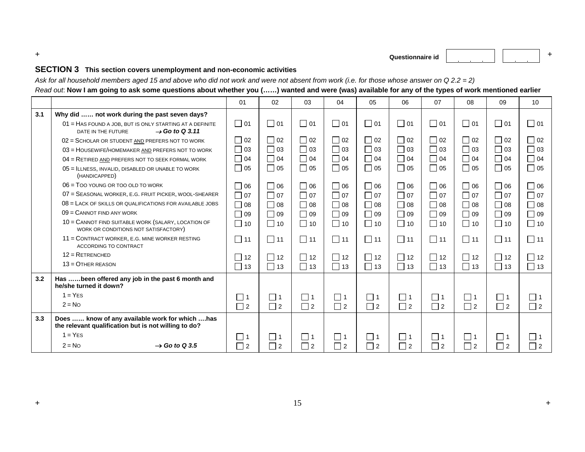#### **Questionnaire id**  $\left| \begin{array}{ccc} | & | & | & | \end{array} \right|$

#### **SECTION 3 This section covers unemployment and non-economic activities**

*Ask for all household members aged 15 and above who did not work and were not absent from work (i.e. for those whose answer on Q 2.2 = 2)* 

*Read out*: **Now I am going to ask some questions about whether you (……) wanted and were (was) available for any of the types of work mentioned earlier**

|     |                                                                                                              | 01                             | 02        | 03        | 04         | 0 <sub>5</sub> | 06        | 07          | 08        | 09        | 10           |
|-----|--------------------------------------------------------------------------------------------------------------|--------------------------------|-----------|-----------|------------|----------------|-----------|-------------|-----------|-----------|--------------|
| 3.1 | Why did  not work during the past seven days?                                                                |                                |           |           |            |                |           |             |           |           |              |
|     | 01 = HAS FOUND A JOB, BUT IS ONLY STARTING AT A DEFINITE<br>$\rightarrow$ Go to Q 3.11<br>DATE IN THE FUTURE | $\Box$ 01                      | $\Box$ 01 | $\Box$ 01 | $\Box$ 01  | $\Box$ 01      | $\Box$ 01 | $\Box$ 01   | $\Box$ 01 | $\Box$ 01 | $\Box$ 01    |
|     | 02 = SCHOLAR OR STUDENT AND PREFERS NOT TO WORK                                                              | $\Box$ 02                      | $\Box$ 02 | $\Box$ 02 | $\Box$ 02  | $\Box$ 02      | $\Box$ 02 | $\Box$ 02   | $\Box$ 02 | $\Box$ 02 | $\Box$ 02    |
|     | 03 = HOUSEWIFE/HOMEMAKER AND PREFERS NOT TO WORK                                                             | $\overline{\phantom{a}}$<br>03 | $\Box$ 03 | $\Box$ 03 | $\Box$ 03  | $\Box$ 03      | $\Box$ 03 | $\Box$ 03   | $\Box$ 03 | $\Box$ 03 | $\Box$ 03    |
|     | 04 = RETIRED AND PREFERS NOT TO SEEK FORMAL WORK                                                             | $\Box$<br>04                   | $\Box$ 04 | $\Box$ 04 | $\Box$ 04  | $\Box$ 04      | $\Box$ 04 | $\Box$ 04   | $\Box$ 04 | $\Box$ 04 | $\Box$ 04    |
|     | 05 = ILLNESS, INVALID, DISABLED OR UNABLE TO WORK<br>(HANDICAPPED)                                           | Γ<br>05                        | $\Box$ 05 | $\Box$ 05 | $\Box$ 05  | $\Box$ 05      | $\Box$ 05 | $\Box$ 05   | $\Box$ 05 | $\Box$ 05 | $\Box$ 05    |
|     | $06 =$ TOO YOUNG OR TOO OLD TO WORK                                                                          | 06                             | $\Box$ 06 | $\Box$ 06 | $\Box$ 06  | $\Box$ 06      | $\Box$ 06 | $\Box$ 06   | $\Box$ 06 | $\Box$ 06 | $\Box$ 06    |
|     | 07 = SEASONAL WORKER, E.G. FRUIT PICKER, WOOL-SHEARER                                                        | $\Box$<br>07                   | $\Box$ 07 | $\Box$ 07 | $\Box$ 07  | $\Box$ 07      | $\Box$ 07 | $\Box$ 07   | $\Box$ 07 | $\Box$ 07 | $\Box$ 07    |
|     | 08 = LACK OF SKILLS OR QUALIFICATIONS FOR AVAILABLE JOBS                                                     | $\Box$<br>08                   | $\Box$ 08 | $\Box$ 08 | $\Box$ 08  | $\Box$ 08      | $\Box$ 08 | $\Box$ 08   | $\Box$ 08 | $\Box$ 08 | $\Box$ 08    |
|     | $09 =$ CANNOT FIND ANY WORK                                                                                  | Г<br>09                        | $\Box$ 09 | $\Box$ 09 | $\Box$ 09  | $\Box$ 09      | $\Box$ 09 | $\Box$ 09   | $\Box$ 09 | $\Box$ 09 | $\Box$ 09    |
|     | 10 = CANNOT FIND SUITABLE WORK (SALARY, LOCATION OF<br>WORK OR CONDITIONS NOT SATISFACTORY)                  | $\Box$ 10                      | $\Box$ 10 | $\Box$ 10 | $\vert$ 10 | $\Box$ 10      | $\Box$ 10 | $\Box$ 10   | $\Box$ 10 | $\Box$ 10 | $\Box$ 10    |
|     | 11 = CONTRACT WORKER, E.G. MINE WORKER RESTING<br>ACCORDING TO CONTRACT                                      | $\Box$ 11                      | $\Box$ 11 | $\Box$ 11 | $\Box$ 11  | $\Box$ 11      | $\Box$ 11 | $\Box$ 11   | $\Box$ 11 | $\Box$ 11 | $\square$ 11 |
|     | $12 =$ RETRENCHED                                                                                            | 12                             | $\Box$ 12 | $\Box$ 12 | $\Box$ 12  | $\Box$ 12      | $\Box$ 12 | $\Box$ 12   | $\Box$ 12 | $\Box$ 12 | 12           |
|     | $13 =$ OTHER REASON                                                                                          | $\Box$ 13                      | $\Box$ 13 | $\Box$ 13 | $\Box$ 13  | $\Box$ 13      | $\Box$ 13 | $\Box$ 13   | $\Box$ 13 | $\Box$ 13 | $\Box$ 13    |
| 3.2 | Has been offered any job in the past 6 month and<br>he/she turned it down?                                   |                                |           |           |            |                |           |             |           |           |              |
|     | $1 = YES$                                                                                                    | $\Box$ 1                       | $\Box$ 1  | $\Box$ 1  | $\Box$ 1   | $\Box$ 1       | $\Box$ 1  | $\Box$ 1    | $\Box$ 1  | $\Box$ 1  | ヿ1           |
|     | $2 = NQ$                                                                                                     | $\Box$ 2                       | $\Box$ 2  | $\Box$ 2  | $\Box$ 2   | $\Box$ 2       | $\Box$ 2  | $\Box$ 2    | $\Box$ 2  | $\Box$ 2  | $\Box$ 2     |
| 3.3 | Does  know of any available work for which has<br>the relevant qualification but is not willing to do?       |                                |           |           |            |                |           |             |           |           |              |
|     | $1 = YES$                                                                                                    | $\blacksquare$ 1               | $\Box$ 1  | $\Box$ 1  | $\Box$ 1   | $\Box$ 1       | $\Box$ 1  | $\square$ 1 | $\Box$ 1  | $\Box$ 1  | <u> 1</u>    |
|     | $2 = NQ$<br>$\rightarrow$ Go to Q 3.5                                                                        | $\Box$ 2                       | $\Box$ 2  | $\Box$ 2  | $\Box$ 2   | $\Box$ 2       | $\Box$ 2  | $\Box$ 2    | $\Box$ 2  | $\Box$ 2  | $\Box$ 2     |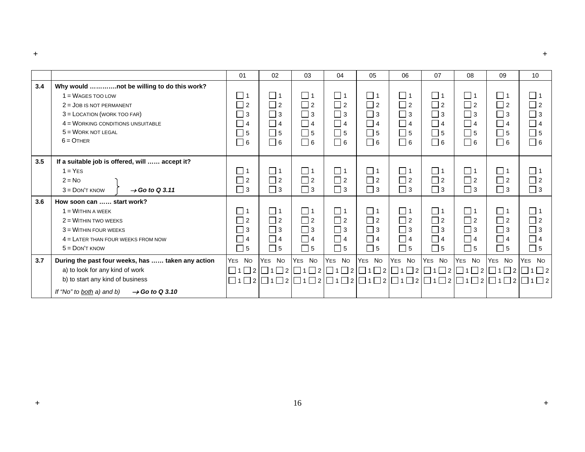|     |                                                                                                                                                                                                                     | 01                                                                                     | 02                                                                   | 03                                                               | 04                                                                   | 05                                                                   | 06                                                                                                                                                                          | 07                                                                   | 08                                                                   | 09                                                                        | 10                                                                   |
|-----|---------------------------------------------------------------------------------------------------------------------------------------------------------------------------------------------------------------------|----------------------------------------------------------------------------------------|----------------------------------------------------------------------|------------------------------------------------------------------|----------------------------------------------------------------------|----------------------------------------------------------------------|-----------------------------------------------------------------------------------------------------------------------------------------------------------------------------|----------------------------------------------------------------------|----------------------------------------------------------------------|---------------------------------------------------------------------------|----------------------------------------------------------------------|
| 3.4 | Why would not be willing to do this work?<br>$1 = W \triangle A$ TOO LOW<br>$2 =$ JOB IS NOT PERMANENT<br>$3 =$ LOCATION (WORK TOO FAR)<br>4 = WORKING CONDITIONS UNSUITABLE<br>$5 =$ WORK NOT LEGAL<br>$6 =$ OTHER | $\Box$ 1<br>$\Box$ 2<br>$\Box$ 3<br>$\Box$ 4<br>$\overline{\phantom{0}}$ 5<br>$\Box$ 6 | $\Box$ 1<br>$\Box$ 2<br>$\Box$ 3<br>$\Box$ 4<br>$\Box$ 5<br>$\Box$ 6 | l 11<br>$\Box$ 2<br>$\Box$ 3<br>$\Box$ 4<br>$\Box$ 5<br>$\Box$ 6 | $\Box$ 1<br>$\Box$ 2<br>$\Box$ 3<br>$\Box$ 4<br>$\Box$ 5<br>$\Box$ 6 | $\Box$ 1<br>$\Box$ 2<br>$\Box$ 3<br>$\Box$ 4<br>$\Box$ 5<br>$\Box$ 6 | $\Box$ 1<br>$\Box$ 2<br>$\Box$ 3<br>$\Box$ 4<br>$\Box$ 5<br>$\Box$ 6                                                                                                        | $\Box$ 1<br>$\Box$ 2<br>$\Box$ 3<br>$\Box$ 4<br>$\Box$ 5<br>$\Box$ 6 | $\Box$ 1<br>$\Box$ 2<br>$\Box$ 3<br>$\Box$ 4<br>$\Box$ 5<br>$\Box$ 6 | $\Box$ 1<br>$\Box$ 2<br>$\sqsupset$ 3<br>$\Box$ 4<br>$\Box$ 5<br>$\Box$ 6 | $\Box$ 1<br>$\Box$ 2<br>$\Box$ 3<br>$\Box$ 4<br>$\Box$ 5<br>$\Box$ 6 |
| 3.5 | If a suitable job is offered, will  accept it?<br>$1 = YES$<br>$2 = No$<br>$3 =$ DON'T KNOW<br>$\rightarrow$ Go to Q 3.11                                                                                           | $\Box$<br>$\Box$ 2<br>$\Box$ 3                                                         | $\Box$ 1<br>$\Box$ 2<br>$\Box$ 3                                     | $\Box$ 1<br>$\Box$ 2<br>$\Box$ 3                                 | $\Box$ 1<br>$\Box$ 2<br>$\Box$ 3                                     | $\square$ 1<br>$\Box$ 2<br>$\Box$ 3                                  | $\Box$ 1<br>$\Box$ 2<br>$\Box$ 3                                                                                                                                            | $\Box$ 1<br>$\Box$ 2<br>$\Box$ 3                                     | $\Box$ 1<br>$\Box$ 2<br>$\Box$ 3                                     | $\Box$ 1<br>$\Box$ 2<br>$\Box$ 3                                          | $\Box$ 1<br>$\Box$ 2<br>$\Box$ 3                                     |
| 3.6 | How soon can  start work?<br>$1 = W$ ITHIN A WEEK<br>$2 =$ WITHIN TWO WEEKS<br>$3 =$ WITHIN FOUR WEEKS<br>4 = LATER THAN FOUR WEEKS FROM NOW<br>$5 =$ DON'T KNOW                                                    | $\Box$ 1<br>$\Box$ 2<br>$\Box$ 3<br>$\overline{4}$<br>$\Box$ 5                         | $\Box$ 1<br>$\Box$ 2<br>$\Box$ 3<br>$\Box$ 4<br>$\Box$ 5             | $\Box$ 1<br>$\Box$ 2<br>$\Box$ 3<br>$\Box$ 4<br>$\Box$ 5         | $\Box$ 1<br>$\Box$ 2<br>$\Box$ 3<br>$\Box$ 4<br>$\Box$ 5             | $\Box$ 1<br>$\Box$ 2<br>$\Box$ 3<br>$\Box$ 4<br>$\Box$ 5             | $\Box$ 1<br>$\Box$ 2<br>$\Box$ 3<br>$\Box$ 4<br>$\Box$ 5                                                                                                                    | $ $   1<br>$\Box$ 2<br>l 13<br>$ $   4<br>$\overline{5}$             | $\Box$ 1<br>$\Box$ 2<br>$\Box$ 3<br>$\Box$ 4<br>$\Box$ 5             | $\Box$ 1<br>$\sqsupset$ 2<br>$\Box$ 3<br>$\Box$ 4<br>$\Box$ 5             | $\Box$ 1<br>$\Box$ 2<br>$\Box$ 3<br>$\Box$ 4<br>$\Box$ 5             |
| 3.7 | During the past four weeks, has  taken any action<br>a) to look for any kind of work<br>b) to start any kind of business<br>If "No" to both a) and b)<br>$\rightarrow$ Go to Q 3.10                                 | <b>YES</b><br>No                                                                       | YES NO<br>$\Box$ 1 $\Box$ 2 $\Box$ 1 $\Box$ 2                        | YES NO                                                           | YES NO                                                               | YES No                                                               | YES No<br>$\Box$ 1 $\Box$ 2 $\Box$ 1 $\Box$ 2 $\Box$ 1 $\Box$ 2 $\Box$ 1 $\Box$ 2 $\Box$ 1 $\Box$ 2 $\Box$ 1 $\Box$ 2 $\Box$ 1 $\Box$ 2 $\Box$ 1 $\Box$ 2 $\Box$ 1 $\Box$ 2 | YES NO                                                               | YES NO                                                               | YES NO                                                                    | YES NO<br>$1 \square 2$                                              |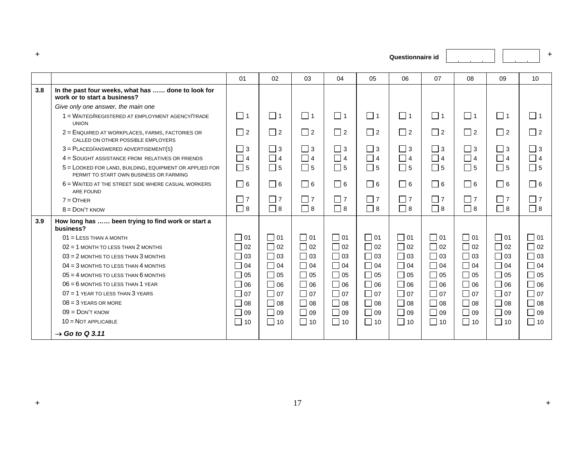| $\overline{+}$ |                                                                                                    |           |               |                |           |           | Questionnaire id |           |           |               | $+$       |
|----------------|----------------------------------------------------------------------------------------------------|-----------|---------------|----------------|-----------|-----------|------------------|-----------|-----------|---------------|-----------|
|                |                                                                                                    | 01        | 02            | 0 <sub>3</sub> | 04        | 05        | 06               | 07        | 08        | 09            | 10        |
| 3.8            | In the past four weeks, what has  done to look for<br>work or to start a business?                 |           |               |                |           |           |                  |           |           |               |           |
|                | Give only one answer, the main one                                                                 |           |               |                |           |           |                  |           |           |               |           |
|                | 1 = WAITED/REGISTERED AT EMPLOYMENT AGENCY/TRADE<br><b>UNION</b>                                   | $\Box$ 1  | $\Box$ 1      | $\vert$   1    | $\Box$ 1  | $\Box$ 1  | $\Box$ 1         | $\Box$ 1  | $\Box$ 1  | $\Box$ 1      | $\Box$ 1  |
|                | 2 = ENQUIRED AT WORKPLACES, FARMS, FACTORIES OR<br>CALLED ON OTHER POSSIBLE EMPLOYERS              | $\Box$ 2  | $\Box$ 2      | $\Box$ 2       | $\Box$ 2  | $\Box$ 2  | $\Box$ 2         | $\Box$ 2  | $\Box$ 2  | $\Box$ 2      | $\Box$ 2  |
|                | $3 =$ PLACED/ANSWERED ADVERTISEMENT(S)                                                             | $\Box$ 3  | $\Box$ 3      | $\Box$ 3       | $\Box$ 3  | $\Box$ 3  | $\Box$ 3         | $\Box$ 3  | $\Box$ 3  | $\sqsupset$ 3 | $\Box$ 3  |
|                | 4 = SOUGHT ASSISTANCE FROM RELATIVES OR FRIENDS                                                    | $\Box$ 4  | $\Box$ 4      | $\Box$ 4       | $\Box$ 4  | $\Box$ 4  | $\Box$ 4         | $\Box$ 4  | $\Box$ 4  | $\sqsupset$ 4 | $\Box$ 4  |
|                | 5 = LOOKED FOR LAND, BUILDING, EQUIPMENT OR APPLIED FOR<br>PERMIT TO START OWN BUSINESS OR FARMING | $\Box$ 5  | $\Box$ 5      | $\Box$ 5       | $\Box$ 5  | $\Box$ 5  | $\Box$ 5         | $\Box$ 5  | $\Box$ 5  | $\Box$ 5      | $\Box$ 5  |
|                | $6$ = WAITED AT THE STREET SIDE WHERE CASUAL WORKERS<br>ARE FOUND                                  | $\Box$ 6  | $\Box$ 6      | ヿ 6            | $\Box$ 6  | Π6        | $\Box$ 6         | $\Box$ 6  | $\Box$ 6  | ヿ 6           | $\Box$ 6  |
|                | $7 = 0$ THER                                                                                       | $\Box$ 7  | $\Box$ 7      | $\Box$ 7       | $\Box$ 7  | $\Box$ 7  | $\Box$ 7         | $\Box$ 7  | $\Box$ 7  | $\Box$ 7      | $\Box$ 7  |
|                | $8 =$ DON'T KNOW                                                                                   | $\Box$ 8  | $\Box$ 8      | $\Box$ 8       | $\Box$ 8  | $\Box$ 8  | $\Box$ 8         | $\Box$ 8  | $\Box$ 8  | $\Box$ 8      | $\Box$ 8  |
| 3.9            | How long has  been trying to find work or start a<br>business?                                     |           |               |                |           |           |                  |           |           |               |           |
|                | $01 =$ LESS THAN A MONTH                                                                           | $\Box$ 01 | $\Box$ 01     | $\Box$ 01      | $\Box$ 01 | $\Box$ 01 | $\Box$ 01        | $\Box$ 01 | $\Box$ 01 | $\Box$ 01     | $\Box$ 01 |
|                | $02 = 1$ MONTH TO LESS THAN 2 MONTHS                                                               | $\Box$ 02 | $\Box$ 02     | $\Box$ 02      | $\Box$ 02 | $\Box$ 02 | $\Box$ 02        | $\Box$ 02 | $\Box$ 02 | $\Box$ 02     | $\Box$ 02 |
|                | $03 = 2$ MONTHS TO LESS THAN $3$ MONTHS                                                            | $\Box$ 03 | $\Box$ 03     | $\Box$ 03      | $\Box$ 03 | $\Box$ 03 | $\Box$ 03        | $\Box$ 03 | $\Box$ 03 | $\Box$ 03     | $\Box$ 03 |
|                | $04 = 3$ MONTHS TO LESS THAN 4 MONTHS                                                              | $\Box$ 04 | $\Box$ 04     | $\Box$ 04      | $\Box$ 04 | $\Box$ 04 | $\Box$ 04        | $\Box$ 04 | $\Box$ 04 | $\Box$ 04     | $\Box$ 04 |
|                | $05 = 4$ MONTHS TO LESS THAN 6 MONTHS                                                              | $\Box$ 05 | $\sqrt{0.05}$ | $\Box$ 05      | $\Box$ 05 | $\Box$ 05 | $\Box$ 05        | $\Box$ 05 | $\Box$ 05 | $\Box$ 05     | $\Box$ 05 |
|                | $06 = 6$ MONTHS TO LESS THAN 1 YEAR                                                                | $\Box$ 06 | $\Box$ 06     | $\Box$ 06      | $\Box$ 06 | $\Box$ 06 | $\Box$<br>l 06   | $\Box$ 06 | $\Box$ 06 | $\Box$ 06     | $\Box$ 06 |
|                | $07 = 1$ YEAR TO LESS THAN 3 YEARS                                                                 | $\Box$ 07 | $\Box$ 07     | $\Box$ 07      | $\Box$ 07 | $\Box$ 07 | $\Box$ 07        | $\Box$ 07 | $\Box$ 07 | $\Box$ 07     | $\Box$ 07 |
|                | $08 = 3$ YEARS OR MORE                                                                             | $\Box$ 08 | $\Box$ 08     | $\Box$ 08      | $\Box$ 08 | $\Box$ 08 | $\Box$ 08        | $\Box$ 08 | $\Box$ 08 | $\Box$ 08     | $\Box$ 08 |
|                | $09 =$ DON'T KNOW                                                                                  | $\Box$ 09 | $\Box$ 09     | $\Box$ 09      | $\Box$ 09 | $\Box$ 09 | 09               | $\Box$ 09 | $\Box$ 09 | П<br>09       | $\Box$ 09 |
|                | $10 = NOT APPLICABLE$                                                                              | $\Box$ 10 | $\Box$ 10     | $\Box$ 10      | $\Box$ 10 | $\Box$ 10 | $\Box$ 10        | $\Box$ 10 | $\Box$ 10 | $\Box$ 10     | $\Box$ 10 |
|                | $\rightarrow$ Go to Q 3.11                                                                         |           |               |                |           |           |                  |           |           |               |           |

**+ +**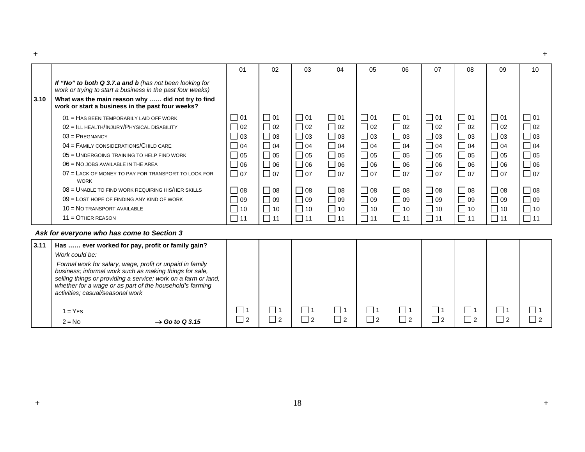|      |                                                                                                                                                                                                                                                                                       | 01                   | 02        | 03                        | 04                   | 05                   | 06                   | 07                   | 08                   | 09                   | 10 <sup>°</sup> |
|------|---------------------------------------------------------------------------------------------------------------------------------------------------------------------------------------------------------------------------------------------------------------------------------------|----------------------|-----------|---------------------------|----------------------|----------------------|----------------------|----------------------|----------------------|----------------------|-----------------|
|      | If "No" to both Q 3.7.a and b (has not been looking for<br>work or trying to start a business in the past four weeks)                                                                                                                                                                 |                      |           |                           |                      |                      |                      |                      |                      |                      |                 |
| 3.10 | What was the main reason why  did not try to find<br>work or start a business in the past four weeks?                                                                                                                                                                                 |                      |           |                           |                      |                      |                      |                      |                      |                      |                 |
|      | 01 = HAS BEEN TEMPORARILY LAID OFF WORK                                                                                                                                                                                                                                               | $\sqrt{01}$          | $\Box$ 01 | $\Box$ 01                 | $\Box$ 01            | $\Box$ 01            | $\Box$ 01            | $\Box$ 01            | $\Box$ 01            | $\Box$ 01            | $\Box$ 01       |
|      | 02 = ILL HEALTH/INJURY/PHYSICAL DISABILITY                                                                                                                                                                                                                                            | $\overline{0}$ 02    | $\Box$ 02 | $\Box$ 02                 | $\Box$ 02            | $\Box$ 02            | $\Box$ 02            | $\Box$ 02            | $\Box$ 02            | $\Box$ 02            | $\Box$ 02       |
|      | $03 = PREGNAMEY$                                                                                                                                                                                                                                                                      | $\Box$ 03            | $\Box$ 03 | $\Box$ 03                 | $\Box$ 03            | ̄ 03                 | $\Box$ 03            | $\Box$ 03            | $\Box$ 03            | $\Box$ 03            | $\Box$ 03       |
|      | $04 =$ FAMILY CONSIDERATIONS/CHILD CARE                                                                                                                                                                                                                                               | $\Box$ 04            | $\Box$ 04 | $\Box$ 04                 | $\Box$ 04            | $\Box$ 04            | $\Box$ 04            | $\Box$ 04            | $\Box$ 04            | $\Box$ 04            | $\Box$ 04       |
|      | 05 = UNDERGOING TRAINING TO HELP FIND WORK                                                                                                                                                                                                                                            | $\Box$ 05            | $\Box$ 05 | $\Box$ 05                 | $\Box$ 05            | 05                   | $\Box$ 05            | $\Box$ 05            | $\Box$ 05            | $\Box$ 05            | $\Box$ 05       |
|      | 06 = NO JOBS AVAILABLE IN THE AREA                                                                                                                                                                                                                                                    | $\Box$ 06            | $\Box$ 06 | $\Box$ 06                 | $\Box$ 06            | $\Box$ 06            | $\Box$ 06            | $\Box$ 06            | $\Box$ 06            | $\Box$ 06            | $\Box$ 06       |
|      | 07 = LACK OF MONEY TO PAY FOR TRANSPORT TO LOOK FOR<br><b>WORK</b>                                                                                                                                                                                                                    | $\Box$ 07            | $\Box$ 07 | $\Box$ 07                 | $\Box$ 07            | $\Box$ 07            | $\Box$ 07            | $\Box$ 07            | $\Box$ 07            | $\Box$ 07            | $\Box$ 07       |
|      | 08 = UNABLE TO FIND WORK REQUIRING HIS/HER SKILLS                                                                                                                                                                                                                                     | $\Box$ 08            | $\Box$ 08 | $\Box$ 08                 | $\Box$ 08            | $\Box$ 08            | $\Box$ 08            | $\Box$ 08            | $\Box$ 08            | $\Box$ 08            | $\Box$ 08       |
|      | 09 = LOST HOPE OF FINDING ANY KIND OF WORK                                                                                                                                                                                                                                            | ი9                   | $\Box$ 09 | $\Box$ 09                 | $\Box$ 09            | $\Box$ 09            | $\Box$ 09            | $\Box$ 09            | $\Box$ 09            | $\Box$ 09            | $\Box$ 09       |
|      | 10 = NO TRANSPORT AVAILABLE                                                                                                                                                                                                                                                           | 10                   | $\Box$ 10 | $\Box$ 10                 | $\Box$ 10            | $\Box$ 10            | $\Box$ 10            | $\Box$ 10            | $\Box$ 10            | $\Box$ 10            | $\Box$ 10       |
|      | $11 =$ OTHER REASON                                                                                                                                                                                                                                                                   | $\Box$ 11            | $\Box$ 11 | $\Box$ 11                 | $\Box$ 11            | $\Box$ 11            | $\Box$ 11            | $\Box$ 11            | $\Box$ 11            | $\Box$ 11            | $\Box$ 11       |
|      | Ask for everyone who has come to Section 3                                                                                                                                                                                                                                            |                      |           |                           |                      |                      |                      |                      |                      |                      |                 |
| 3.11 | Has  ever worked for pay, profit or family gain?                                                                                                                                                                                                                                      |                      |           |                           |                      |                      |                      |                      |                      |                      |                 |
|      | Work could be:                                                                                                                                                                                                                                                                        |                      |           |                           |                      |                      |                      |                      |                      |                      |                 |
|      | Formal work for salary, wage, profit or unpaid in family<br>business; informal work such as making things for sale,<br>selling things or providing a service; work on a farm or land,<br>whether for a wage or as part of the household's farming<br>activities; casual/seasonal work |                      |           |                           |                      |                      |                      |                      |                      |                      |                 |
|      | $1 = YES$<br>$2 = No$<br>$\rightarrow$ Go to Q 3.15                                                                                                                                                                                                                                   | $\Box$ 1<br>$\Box$ 2 | 2 ר       | $\Box$ 1<br>$\sqsupset$ 2 | $\Box$ 1<br>$\Box$ 2 | $\Box$ 1<br>$\Box$ 2 | $\Box$ 1<br>$\Box$ 2 | $\Box$ 1<br>$\Box$ 2 | $\Box$ 1<br>$\Box$ 2 | $\Box$ 1<br>$\Box$ 2 | $\Box$ 2        |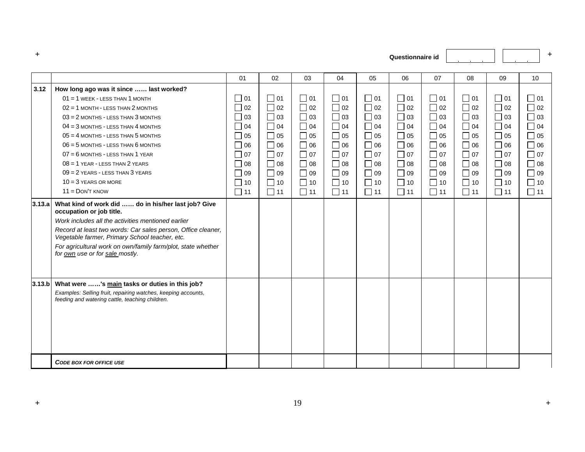|        |                                                                                                                                                                                                                                                                                                                                                                                                                                  | 01                                                                                                                                  | 02                                                                                                                             | 03                                                                                                                             | 04                                                                                                                                | 05                                                                                                                                                        | 06                                                                                                                             | 07                                                                                                                                                                                 | 08                                                                                                                             | 09                                                                                                                             | 10                                                                                                                             |
|--------|----------------------------------------------------------------------------------------------------------------------------------------------------------------------------------------------------------------------------------------------------------------------------------------------------------------------------------------------------------------------------------------------------------------------------------|-------------------------------------------------------------------------------------------------------------------------------------|--------------------------------------------------------------------------------------------------------------------------------|--------------------------------------------------------------------------------------------------------------------------------|-----------------------------------------------------------------------------------------------------------------------------------|-----------------------------------------------------------------------------------------------------------------------------------------------------------|--------------------------------------------------------------------------------------------------------------------------------|------------------------------------------------------------------------------------------------------------------------------------------------------------------------------------|--------------------------------------------------------------------------------------------------------------------------------|--------------------------------------------------------------------------------------------------------------------------------|--------------------------------------------------------------------------------------------------------------------------------|
| 3.12   | How long ago was it since  last worked?<br>$01 = 1$ WEEK - LESS THAN 1 MONTH<br>$02 = 1$ MONTH - LESS THAN 2 MONTHS<br>$03 = 2$ MONTHS - LESS THAN 3 MONTHS<br>$04 = 3$ MONTHS - LESS THAN 4 MONTHS<br>$05 = 4$ MONTHS - LESS THAN 5 MONTHS<br>$06 = 5$ MONTHS - LESS THAN $6$ MONTHS<br>$07 = 6$ MONTHS - LESS THAN 1 YEAR<br>$08 = 1$ YEAR - LESS THAN 2 YEARS<br>$09 = 2$ YEARS - LESS THAN 3 YEARS<br>$10 = 3$ YEARS OR MORE | $\Box$ 01<br>$\Box$ 02<br>$\Box$ 03<br>$\sqsupset$ 04<br>$\Box$ 05<br>$\Box$ 06<br>$\Box$ 07<br>$\Box$ 08<br>$\Box$ 09<br>$\Box$ 10 | $\Box$ 01<br>$\Box$ 02<br>$\Box$ 03<br>$\Box$ 04<br>$\Box$ 05<br>$\Box$ 06<br>$\Box$ 07<br>$\Box$ 08<br>$\Box$ 09<br>$\Box$ 10 | $\Box$ 01<br>$\Box$ 02<br>$\Box$ 03<br>$\Box$ 04<br>$\Box$ 05<br>$\Box$ 06<br>$\Box$ 07<br>$\Box$ 08<br>$\Box$ 09<br>$\Box$ 10 | $\Box$ 01<br>$\Box$ 02<br>$\Box$ 03<br>$\Box$ 04<br>$\Box$ 05<br>$\Box$ 06<br>$\Box$ 07<br>$\Box$ 08<br>$\square$ 09<br>$\Box$ 10 | $\Box$ 01<br>$\Box$ 02<br>$\Box$ 03<br>$\Box$ 04<br>05<br>$\blacksquare$<br>$\Box$<br>  06<br>$\Box$ 07<br>$\Box$ 08<br>$\mathsf{L}$<br>l 09<br>$\Box$ 10 | $\Box$ 01<br>$\Box$ 02<br>$\Box$ 03<br>$\Box$ 04<br>$\Box$ 05<br>$\Box$ 06<br>$\Box$ 07<br>$\Box$ 08<br>$\Box$ 09<br>$\Box$ 10 | $\Box$ 01<br>$\overline{0}$ 02<br>$\Box$ 03<br>$\Box$ 04<br>$\overline{0}$ 05<br>$\overline{\phantom{0}}$ 06<br>$\overline{\phantom{0}}$ 07<br>$\Box$ 08<br>$\Box$ 09<br>$\Box$ 10 | $\Box$ 01<br>$\Box$ 02<br>$\Box$ 03<br>$\Box$ 04<br>$\Box$ 05<br>$\Box$ 06<br>$\Box$ 07<br>$\Box$ 08<br>$\Box$ 09<br>$\Box$ 10 | $\Box$ 01<br>$\Box$ 02<br>$\Box$ 03<br>$\Box$ 04<br>$\Box$ 05<br>$\Box$ 06<br>$\Box$ 07<br>$\Box$ 08<br>$\Box$ 09<br>$\Box$ 10 | $\Box$ 01<br>$\Box$ 02<br>$\Box$ 03<br>$\Box$ 04<br>$\Box$ 05<br>$\Box$ 06<br>$\Box$ 07<br>$\Box$ 08<br>$\Box$ 09<br>$\Box$ 10 |
| 3.13.a | $11 =$ DON'T KNOW<br>What kind of work did  do in his/her last job? Give<br>occupation or job title.<br>Work includes all the activities mentioned earlier<br>Record at least two words: Car sales person, Office cleaner,<br>Vegetable farmer, Primary School teacher, etc.<br>For agricultural work on own/family farm/plot, state whether<br>for own use or for sale mostly.                                                  | $\Box$ 11                                                                                                                           | $\Box$ 11                                                                                                                      | $\Box$ 11                                                                                                                      | $\Box$ 11                                                                                                                         | $\Box$ 11                                                                                                                                                 | $\Box$ 11                                                                                                                      | $\Box$ 11                                                                                                                                                                          | $\Box$ 11                                                                                                                      | $\Box$ 11                                                                                                                      | $\Box$ 11                                                                                                                      |
| 3.13 b | What were 's main tasks or duties in this job?<br>Examples: Selling fruit, repairing watches, keeping accounts,<br>feeding and watering cattle, teaching children.                                                                                                                                                                                                                                                               |                                                                                                                                     |                                                                                                                                |                                                                                                                                |                                                                                                                                   |                                                                                                                                                           |                                                                                                                                |                                                                                                                                                                                    |                                                                                                                                |                                                                                                                                |                                                                                                                                |
|        | <b>CODE BOX FOR OFFICE USE</b>                                                                                                                                                                                                                                                                                                                                                                                                   |                                                                                                                                     |                                                                                                                                |                                                                                                                                |                                                                                                                                   |                                                                                                                                                           |                                                                                                                                |                                                                                                                                                                                    |                                                                                                                                |                                                                                                                                |                                                                                                                                |

**+**

**Questionnaire id**  $\begin{array}{|c|c|c|c|}\n\hline\n&1&1&1\end{array}$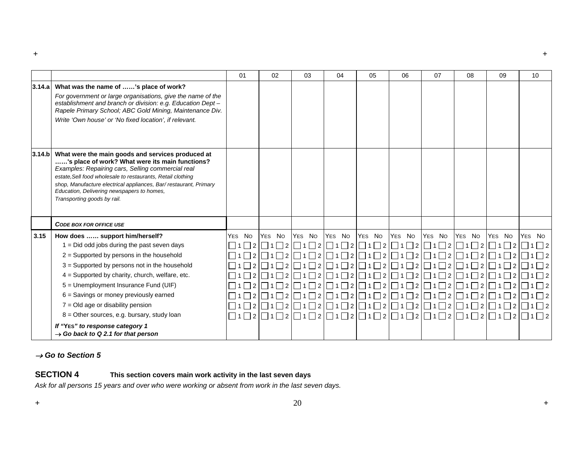|        |                                                                                                                                                                                                                                                                                                                                                                            | 01                       | 02                | 03                | 04                                  | 05                       | 06                       | 07                                | 08                                                 | 09                       | 10                                                                                                                                                                                             |
|--------|----------------------------------------------------------------------------------------------------------------------------------------------------------------------------------------------------------------------------------------------------------------------------------------------------------------------------------------------------------------------------|--------------------------|-------------------|-------------------|-------------------------------------|--------------------------|--------------------------|-----------------------------------|----------------------------------------------------|--------------------------|------------------------------------------------------------------------------------------------------------------------------------------------------------------------------------------------|
| 3.14.a | What was the name of 's place of work?                                                                                                                                                                                                                                                                                                                                     |                          |                   |                   |                                     |                          |                          |                                   |                                                    |                          |                                                                                                                                                                                                |
|        | For government or large organisations, give the name of the<br>establishment and branch or division: e.g. Education Dept -<br>Rapele Primary School; ABC Gold Mining, Maintenance Div.                                                                                                                                                                                     |                          |                   |                   |                                     |                          |                          |                                   |                                                    |                          |                                                                                                                                                                                                |
|        | Write 'Own house' or 'No fixed location', if relevant.                                                                                                                                                                                                                                                                                                                     |                          |                   |                   |                                     |                          |                          |                                   |                                                    |                          |                                                                                                                                                                                                |
| 3.14.b | What were the main goods and services produced at<br>'s place of work? What were its main functions?<br>Examples: Repairing cars, Selling commercial real<br>estate, Sell food wholesale to restaurants, Retail clothing<br>shop, Manufacture electrical appliances, Bar/ restaurant, Primary<br>Education, Delivering newspapers to homes,<br>Transporting goods by rail. |                          |                   |                   |                                     |                          |                          |                                   |                                                    |                          |                                                                                                                                                                                                |
|        | <b>CODE BOX FOR OFFICE USE</b>                                                                                                                                                                                                                                                                                                                                             |                          |                   |                   |                                     |                          |                          |                                   |                                                    |                          |                                                                                                                                                                                                |
| 3.15   | How does  support him/herself?                                                                                                                                                                                                                                                                                                                                             | YES NO                   | YES NO            | YES NO            | YES NO                              | YES NO                   | YES NO                   | YES NO                            | YES NO                                             | YES NO                   | YES NO                                                                                                                                                                                         |
|        | $1 = Did$ odd jobs during the past seven days                                                                                                                                                                                                                                                                                                                              | $\Box$ 1 $\Box$ 2 $\Box$ | $\Box$ 1 $\Box$ 2 | $\Box$ 1 $\Box$ 2 |                                     |                          |                          |                                   |                                                    | $\Box$ 1 $\Box$ 2 $\Box$ | $\vert$   2                                                                                                                                                                                    |
|        | 2 = Supported by persons in the household                                                                                                                                                                                                                                                                                                                                  | $\Box$ 1 $\Box$ 2        | $\vert$ 2         | $\Box$ 1 $\Box$ 2 | $\sqsupset$ 2<br>1 <sup>1</sup>     | $\Box$ 1 $\Box$ 2 $\Box$ | $\Box$ 1 $\Box$ 2 $\Box$ |                                   | $\Box$ 1 $\Box$ 2 $\Box$ 1 $\Box$ 2                | $\Box$ 2                 |                                                                                                                                                                                                |
|        | 3 = Supported by persons not in the household                                                                                                                                                                                                                                                                                                                              | $\Box$ 1 $\Box$ 2        | $\overline{2}$    | 2                 | $\vert$ 2                           | $\Box$ 1 $\Box$ 2        | $\Box$ 1 $\Box$ 2        | $\Box$ 1 $\Box$ 2 $\Box$ 1 $\Box$ | 2                                                  |                          |                                                                                                                                                                                                |
|        | $4 =$ Supported by charity, church, welfare, etc.                                                                                                                                                                                                                                                                                                                          | $\Box$ 1 $\Box$ 2        | $\overline{2}$    | $\Box$ 1 $\Box$ 2 | $\vert$ 2 $\vert$<br>1 <sup>1</sup> | $\Box$ 1 $\Box$ 2        |                          |                                   | $\Box 1 \Box 2 \Box 1 \Box 2 \Box 1 \Box 2 \Box 1$ |                          | $\Box$ 2 $\Box$ 1<br>$\Box$ 2                                                                                                                                                                  |
|        | 5 = Unemployment Insurance Fund (UIF)                                                                                                                                                                                                                                                                                                                                      | $\Box$ 1     2           |                   | 2                 | $\vert$ 2                           | $\vert$ 11 $\vert$ 2     | $\Box$ 1 $\Box$ 2        |                                   | $\Box$ 1 $\Box$ 2 $\Box$ 1 $\Box$ 2                |                          |                                                                                                                                                                                                |
|        | $6 =$ Savings or money previously earned                                                                                                                                                                                                                                                                                                                                   | $\Box$ 1 $\Box$ 2        | l 2               | 2                 | $\vert$ 2                           | $\Box$ 1 $\Box$ 2        | $\Box$ 1 $\Box$ 2        |                                   | $\Box$ 1 $\Box$ 2 $\Box$ 1 $\Box$ 2                |                          |                                                                                                                                                                                                |
|        | $7 =$ Old age or disability pension                                                                                                                                                                                                                                                                                                                                        |                          |                   |                   |                                     |                          |                          |                                   |                                                    |                          | $\boxed{ \square 1 \square 2 \square 1 \square 2 \square 1 \square 2 \square 1 \square 2 \square 1 \square 2 \square 1 \square 2 \square 1 \square 2 \square 1 \square 2 \square 1 \square 2}$ |
|        | $8 =$ Other sources, e.g. bursary, study loan                                                                                                                                                                                                                                                                                                                              |                          |                   |                   |                                     |                          |                          |                                   |                                                    |                          | $\Box$ 1 \Box 2 \Box 1 \Box 2 \Box 1 \Box 2 \Box 1 \Box 2 \Box 1 \Box 2 \Box 1 \Box 2 \Box 1 \Box 2 \Box 1 \Box 2 \Box 1 \Box 2 \Box 1 \Box 2 \Box 1 \Box 2                                    |
|        | If "YES" to response category 1<br>$\rightarrow$ Go back to Q 2.1 for that person                                                                                                                                                                                                                                                                                          |                          |                   |                   |                                     |                          |                          |                                   |                                                    |                          |                                                                                                                                                                                                |

#### → *Go to Section 5*

### **SECTION 4 This section covers main work activity in the last seven days**

*Ask for all persons 15 years and over who were working or absent from work in the last seven days.*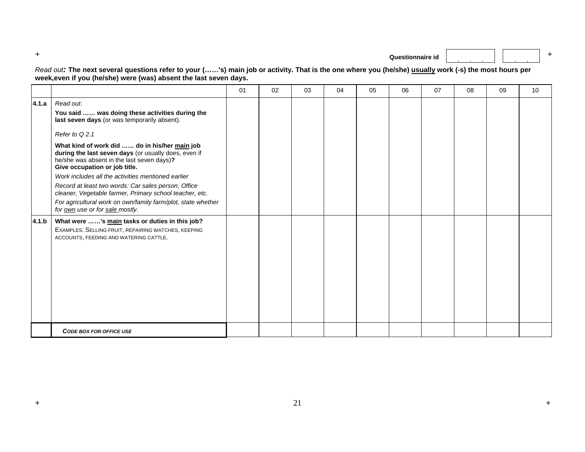**Questionnaire id**  $\left| \begin{array}{ccc} | & | & | & | \end{array} \right|$ 

*Read out:* **The next several questions refer to your (……'s) main job or activity. That is the one where you (he/she) usually work (-s) the most hours per week,even if you (he/she) were (was) absent the last seven days.**

|       |                                                                                                                                                                                                                                                                                                                                                                                                                                                                                                                                                                                                   | 01 | 02 | 03 | 04 | 05 | 06 | 07 | 08 | 09 | 10 |
|-------|---------------------------------------------------------------------------------------------------------------------------------------------------------------------------------------------------------------------------------------------------------------------------------------------------------------------------------------------------------------------------------------------------------------------------------------------------------------------------------------------------------------------------------------------------------------------------------------------------|----|----|----|----|----|----|----|----|----|----|
| 4.1.a | Read out:<br>You said  was doing these activities during the<br>last seven days (or was temporarily absent).<br>Refer to Q 2.1<br>What kind of work did  do in his/her main job<br>during the last seven days (or usually does, even if<br>he/she was absent in the last seven days)?<br>Give occupation or job title.<br>Work includes all the activities mentioned earlier<br>Record at least two words: Car sales person, Office<br>cleaner, Vegetable farmer, Primary school teacher, etc.<br>For agricultural work on own/family farm/plot, state whether<br>for own use or for sale mostly. |    |    |    |    |    |    |    |    |    |    |
| 4.1.b | What were 's main tasks or duties in this job?<br>EXAMPLES: SELLING FRUIT, REPAIRING WATCHES, KEEPING<br>ACCOUNTS, FEEDING AND WATERING CATTLE.                                                                                                                                                                                                                                                                                                                                                                                                                                                   |    |    |    |    |    |    |    |    |    |    |
|       | <b>CODE BOX FOR OFFICE USE</b>                                                                                                                                                                                                                                                                                                                                                                                                                                                                                                                                                                    |    |    |    |    |    |    |    |    |    |    |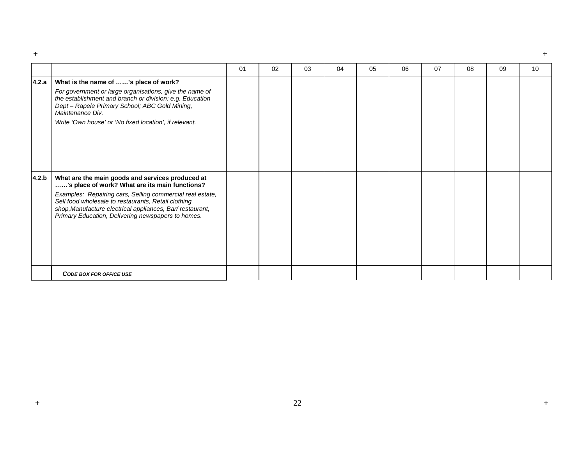|       |                                                                                                                                                                                                                                                                                                                                          | 01 | 02 | 03 | 04 | 05 | 06 | 07 | 08 | 09 | 10 |
|-------|------------------------------------------------------------------------------------------------------------------------------------------------------------------------------------------------------------------------------------------------------------------------------------------------------------------------------------------|----|----|----|----|----|----|----|----|----|----|
| 4.2.a | What is the name of 's place of work?<br>For government or large organisations, give the name of<br>the establishment and branch or division: e.g. Education<br>Dept - Rapele Primary School; ABC Gold Mining,<br>Maintenance Div.<br>Write 'Own house' or 'No fixed location', if relevant.                                             |    |    |    |    |    |    |    |    |    |    |
| 4.2.b | What are the main goods and services produced at<br>'s place of work? What are its main functions?<br>Examples: Repairing cars, Selling commercial real estate,<br>Sell food wholesale to restaurants, Retail clothing<br>shop, Manufacture electrical appliances, Bar/restaurant,<br>Primary Education, Delivering newspapers to homes. |    |    |    |    |    |    |    |    |    |    |
|       | <b>CODE BOX FOR OFFICE USE</b>                                                                                                                                                                                                                                                                                                           |    |    |    |    |    |    |    |    |    |    |

 $\pm$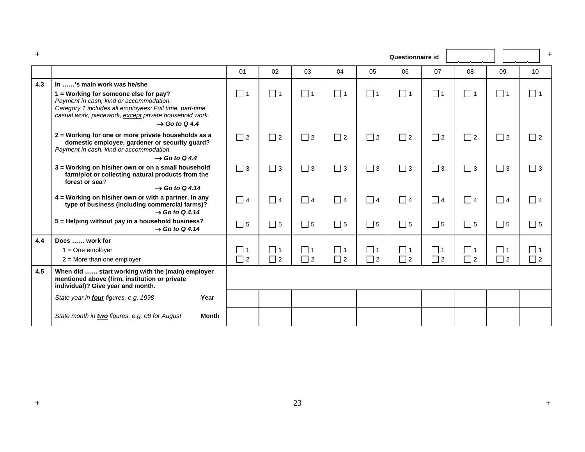| $+$ |                                                                                                                                                                                                                                                                   |                      |                      |                      |                      |                      | Questionnaire id     |                      |                      |                      | $+$                     |
|-----|-------------------------------------------------------------------------------------------------------------------------------------------------------------------------------------------------------------------------------------------------------------------|----------------------|----------------------|----------------------|----------------------|----------------------|----------------------|----------------------|----------------------|----------------------|-------------------------|
|     |                                                                                                                                                                                                                                                                   | 01                   | 02                   | 03                   | 04                   | 05                   | 06                   | 07                   | 08                   | 09                   | 10                      |
| 4.3 | In 's main work was he/she<br>1 = Working for someone else for pay?<br>Payment in cash, kind or accommodation.<br>Category 1 includes all employees: Full time, part-time,<br>casual work, piecework, except private household work.<br>$\rightarrow$ Go to Q 4.4 | $\Box$ 1             | $\Box$ 1             | $\square$ 1          | $\Box$ 1             | $\Box$ 1             | $\Box$ 1             | $\Box$ 1             | $\Box$ 1             | $\Box$ 1             | $\Box$ 1                |
|     | 2 = Working for one or more private households as a<br>domestic employee, gardener or security guard?<br>Payment in cash, kind or accommodation.<br>$\rightarrow$ Go to Q 4.4                                                                                     | $\Box$ 2             | $\Box$ 2             | $\Box$ 2             | $\Box$ 2             | $\Box$ 2             | $\Box$ 2             | $\Box$ 2             | $\Box$ 2             | $\Box$ 2             | $\Box$ 2                |
|     | 3 = Working on his/her own or on a small household<br>farm/plot or collecting natural products from the<br>forest or sea?<br>$\rightarrow$ Go to Q 4.14                                                                                                           | $\Box$ 3             | $\Box$ 3             | $\Box$ 3             | $\Box$ 3             | $\Box$ 3             | $\Box$ 3             | $\Box$ 3             | $\Box$ 3             | $\Box$ 3             | $\Box$ 3                |
|     | $4$ = Working on his/her own or with a partner, in any<br>type of business (including commercial farms)?<br>$\rightarrow$ Go to Q 4.14                                                                                                                            | $\Box$ 4             | $\Box$ 4             | $\Box$ 4             | $\Box$ 4             | $\Box$ 4             | $\Box$ 4             | $\Box$ 4             | $\Box$ 4             | $\Box$ 4             | $\Box$ 4                |
|     | 5 = Helping without pay in a household business?<br>$\rightarrow$ Go to Q 4.14                                                                                                                                                                                    | $\Box$ 5             | $\Box$ 5             | $\Box$ 5             | $\Box$ 5             | $\Box$ 5             | $\Box$ 5             | $\Box$ 5             | $\Box$ 5             | $\Box$ 5             | $\Box$ 5                |
| 4.4 | Does  work for<br>$1 = One$ employer<br>$2 =$ More than one employer                                                                                                                                                                                              | $\Box$ 1<br>$\Box$ 2 | $\Box$ 1<br>$\Box$ 2 | $\Box$ 1<br>$\Box$ 2 | $\Box$ 1<br>$\Box$ 2 | $\Box$ 1<br>$\Box$ 2 | $\Box$ 1<br>$\Box$ 2 | $\Box$ 1<br>$\Box$ 2 | $\Box$ 1<br>$\Box$ 2 | $\Box$ 1<br>$\Box$ 2 | $\square$ 1<br>$\Box$ 2 |
| 4.5 | When did  start working with the (main) employer<br>mentioned above (firm, institution or private<br>individual)? Give year and month.                                                                                                                            |                      |                      |                      |                      |                      |                      |                      |                      |                      |                         |
|     | State year in four figures, e.g. 1998<br>Year                                                                                                                                                                                                                     |                      |                      |                      |                      |                      |                      |                      |                      |                      |                         |
|     | State month in two figures, e.g. 08 for August<br><b>Month</b>                                                                                                                                                                                                    |                      |                      |                      |                      |                      |                      |                      |                      |                      |                         |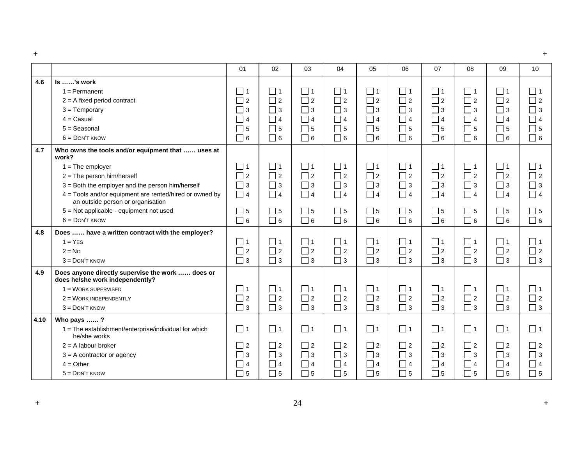01 | 02 | 03 | 04 | 05 | 06 | 07 | 08 | 09 | 10 **4.6 Is ……'s work**  1 <sup>=</sup> Permanent 2 = A fixed period contract 3 = Temporary  $4 \equiv$  Casual 5 = Seasonal  $6 =$ DON'T KNOW 1 2 3 4 5 6  $\Box$  1  $\Box$  2 3 4  $\Box$  5  $\Box$  6 1 2 3 4 5 6 1 2 3 4 5 6 1 2 3 4 5  $\Box$ 6 1 2 3 4 5 6 **4.7 Who owns the tools and/or equipment that …… uses at work?**  $1 =$ The employer 2 = The person him/herself 3 = Both the employer and the person him/herself 4 = Tools and/or equipment are rented/hired or owned by an outside person or organisation 5 = Not applicable - equipment not used  $6 =$  DON'T KNOW 1  $\Box$  2 3 4  $\Box$  5  $\Box$  6 1  $\Box$  2 3  $\Box$  4  $\Box$  5  $\Box$  6 1 2 3 4  $\Box$  5  $\Box$  6 1  $\Box$  2 3 4  $\Box$  5  $\Box$  6 1  $\Box$ 2 3  $\Box$  4  $\Box$  5  $\Box$  6 1 2 3 4  $\Box$  5  $\Box$  6 **4.8 Does …… have a written contract with the employer?**   $1 = YES$  2 <sup>=</sup> NO 3 <sup>=</sup> DON'T KNOW1 2 3 1  $\Box$  2 3 1 2 3 1 2 3 1  $\Box$ 2 3 1 2 3 **4.9 Does anyone directly supervise the work …… does or** 

1 2 3 4 5  $\Box$  6  $\Box$  1 2 3 4 5  $\Box$ 6 1 2 3 4 5 6 1 2 3 4 5 6 1 2 3  $\Box$  4  $\Box$  5  $\Box$  6  $\Box$  1 2 3 4  $\Box$  5  $\Box$  6 1 2 3 4  $\Box$  5  $\Box$  6 1 2 3 4  $\Box$  5  $\Box$ 1 2  $\Box$  3 1 2 3 1 2 3 1 2 3 **does he/she work independently?**  1 <sup>=</sup> WORK SUPERVISED 2 <sup>=</sup> WORK INDEPENDENTLY 3 <sup>=</sup> DON'T KNOW1  $\Box$ 2  $\Box$ 3 1  $\prod$ <sub>2</sub>  $\Box$ 3 1  $\Box$ 2  $\Box$ 3 1  $\Box$ 2  $\Box$  3 1  $\Box$ 2  $\Box$ 3 1  $\Box$ 2  $\Box$ 3 1  $\Box$ 2  $\Box$ 3 1  $\Box$ 2  $\Box$ 3 1  $\Box$ 2  $\Box$ 3 1  $\Box$ 2  $\Box$ 3 **4.10 Who pays …… ?**  1 <sup>=</sup> The establishment/enterprise/individual for which he/she works 2 = A labour broker  $3 = A$  contractor or agency  $4 = Other$  5 <sup>=</sup> DON'T KNOW $\Box$  1 2 3  $\Box$  4  $\Box$  $\Box$  1 2 3  $\Box$  4  $\Box$  $\Box$  1 2 3  $\Box$  4  $\Box$  $\Box$  1 2 3  $\Box$  4  $\Box$  5  $\Box$  1 2 3  $\Box$  4  $\Box$  $\Box$  1 2 3  $\Box$  4  $\Box$  5  $\Box$  1 2 3  $\Box$  4  $\Box$  5  $\Box$  1 2 3  $\Box$  4  $\Box$ 1 2 3  $\Box$  4  $\Box$  5  $\prod$  1 2 3  $\Box$  4  $\Box$ 

**+ +**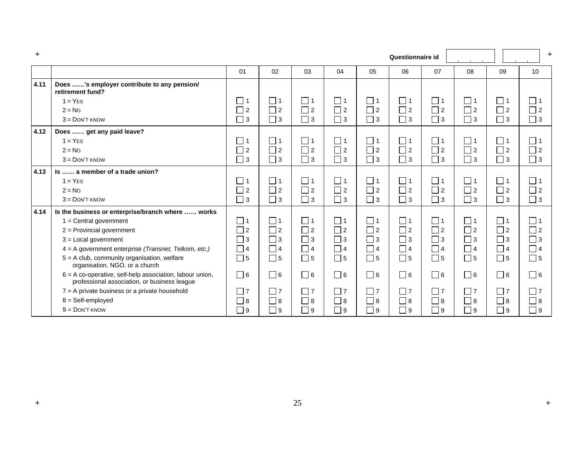| $+$  |                                                                                                          |          |          |             |             |             | Questionnaire id |          |             |             | $+$      |
|------|----------------------------------------------------------------------------------------------------------|----------|----------|-------------|-------------|-------------|------------------|----------|-------------|-------------|----------|
|      |                                                                                                          | 01       | 02       | 03          | 04          | 05          | 06               | 07       | 08          | 09          | 10       |
| 4.11 | Does 's employer contribute to any pension/<br>retirement fund?                                          |          |          |             |             |             |                  |          |             |             |          |
|      | $1 = YFS$                                                                                                | $\Box$ 1 | $\Box$ 1 | $\Box$ 1    | $\Box$ 1    | $\Box$ 1    | $\Box$ 1         | $\Box$ 1 | $\Box$ 1    | $\Box$ 1    | $\Box$ 1 |
|      | $2 = No$                                                                                                 | $\Box$ 2 | $\Box$ 2 | $\Box$ 2    | $\Box$ 2    | $\Box$ 2    | $\Box$ 2         | $\Box$ 2 | $\Box$ 2    | $\Box$ 2    | $\Box$ 2 |
|      | $3 =$ DON'T KNOW                                                                                         | $\Box$ 3 | $\Box$ 3 | $\square$ 3 | $\Box$ 3    | $\Box$ 3    | $\Box$ 3         | $\Box$ 3 | $\Box$ 3    | $\square$ 3 | $\Box$ 3 |
| 4.12 | Does  get any paid leave?                                                                                |          |          |             |             |             |                  |          |             |             |          |
|      | $1 = YES$                                                                                                | $\Box$ 1 | $\Box$ 1 | $\Box$ 1    | $\Box$ 1    | $\sqcap$ 1  | $\Box$ 1         | $\Box$ 1 | $\Box$ 1    | $\Box$ 1    | $\Box$ 1 |
|      | $2 = No$                                                                                                 | $\Box$ 2 | $\Box$ 2 | $\Box$ 2    | $\Box$ 2    | $\Box$ 2    | $\Box$ 2         | $\Box$ 2 | $\Box$ 2    | $\Box$ 2    | $\Box$ 2 |
|      | $3 =$ DON'T KNOW                                                                                         | $\Box$ 3 | $\Box$ 3 | $\Box$ 3    | $\Box$ 3    | $\Box$ 3    | $\Box$ 3         | $\Box$ 3 | $\Box$ 3    | $\Box$ 3    | $\Box$ 3 |
| 4.13 | Is  a member of a trade union?                                                                           |          |          |             |             |             |                  |          |             |             |          |
|      | $1 = YES$                                                                                                | $\Box$ 1 | $\Box$ 1 | l 1         | $\Box$ 1    | $\square$ 1 | $\Box$ 1         | $\Box$ 1 | $\Box$ 1    | $\Box$ 1    | $\Box$ 1 |
|      | $2 = No$                                                                                                 | $\Box$ 2 | $\Box$ 2 | $\Box$ 2    | $\Box$ 2    | $\Box$ 2    | $\Box$ 2         | $\Box$ 2 | $\Box$ 2    | $\Box$ 2    | $\Box$ 2 |
|      | $3 =$ DON'T KNOW                                                                                         | $\Box$ 3 | $\Box$ 3 | $\Box$ 3    | $\Box$ 3    | $\Box$ 3    | $\Box$ 3         | $\Box$ 3 | $\Box$ 3    | $\Box$ 3    | $\Box$ 3 |
| 4.14 | Is the business or enterprise/branch where  works                                                        |          |          |             |             |             |                  |          |             |             |          |
|      | $1 =$ Central government                                                                                 | $\Box$ 1 | $\Box$ 1 | $\Box$ 1    | $\Box$ 1    | $\Box$ 1    | $\Box$ 1         | $\Box$ 1 | $\square$ 1 | $\Box$ 1    | $\Box$ 1 |
|      | $2$ = Provincial government                                                                              | $\Box$ 2 | $\Box$ 2 | $\Box$ 2    | $\Box$ 2    | $\Box$ 2    | $\Box$ 2         | $\Box$ 2 | $\Box$ 2    | $\Box$ 2    | $\Box$ 2 |
|      | $3 =$ Local government                                                                                   | $\Box$ 3 | $\Box$ 3 | $\Box$ 3    | $\Box$ 3    | $\Box$ 3    | $\Box$ 3         | $\Box$ 3 | $\Box$ 3    | $\Box$ 3    | $\Box$ 3 |
|      | 4 = A government enterprise (Transnet, Telkom, etc.)                                                     | $\Box$ 4 | $\Box$ 4 | $\Box$ 4    | $\Box$ 4    | $\Box$ 4    | $\Box$ 4         | $\Box$ 4 | $\Box$ 4    | $\Box$ 4    | $\Box$ 4 |
|      | $5 = A$ club, community organisation, welfare<br>organisation, NGO, or a church                          | $\Box$ 5 | $\Box$ 5 | $\square$ 5 | $\square$ 5 | $\Box$ 5    | $\Box$ 5         | $\Box$ 5 | $\Box$ 5    | $\square$ 5 | $\Box$ 5 |
|      | 6 = A co-operative, self-help association, labour union,<br>professional association, or business league | $\Box$ 6 | $\Box$ 6 | $\Box$ 6    | $\Box$ 6    | $\Box$ 6    | $\Box$ 6         | $\Box$ 6 | $\Box$ 6    | $\Box$ 6    | $\Box$ 6 |
|      | $7 = A$ private business or a private household                                                          | $\Box$ 7 | $\Box$ 7 | $\Box$ 7    | $\Box$ 7    | $\Box$ 7    | $\Box$ 7         | $\Box$ 7 | $\Box$ 7    | $\Box$ 7    | $\Box$ 7 |
|      | $8 = Self$ -employed                                                                                     | $\Box$ 8 | $\Box$ 8 | $\Box$ 8    | $\Box$ 8    | $\Box$ 8    | $\Box$ 8         | $\Box$ 8 | $\Box$ 8    | $\Box$ 8    | $\Box$ 8 |
|      | $9 =$ DON'T KNOW                                                                                         | ヿ ๑      | $\Box$ 9 | $\Box$ 9    | $\Box$ 9    | ∏ 9         | $\Box$ 9         | $\Box$ 9 | $\Box$ 9    | $\Box$ 9    | $\Box$ 9 |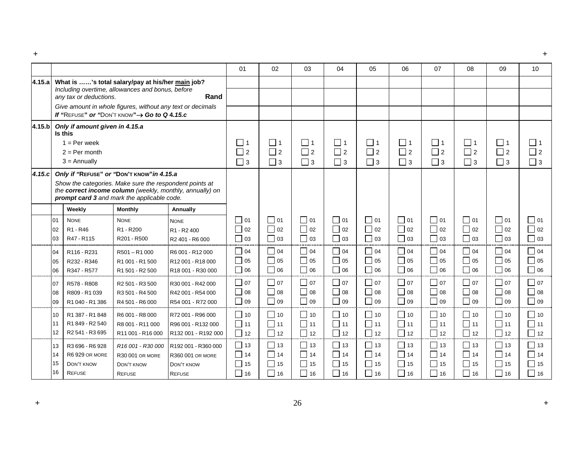| $\pm$  |    |                                           |                                                                                                      |                                                          |                                  |           |                   |                   |              |           |             |                   |            | $\pm$         |
|--------|----|-------------------------------------------|------------------------------------------------------------------------------------------------------|----------------------------------------------------------|----------------------------------|-----------|-------------------|-------------------|--------------|-----------|-------------|-------------------|------------|---------------|
|        |    |                                           |                                                                                                      |                                                          | 01                               | 02        | 03                | 04                | 05           | 06        | 07          | 08                | 09         | 10            |
| 4.15.a |    |                                           | What is 's total salary/pay at his/her main job?<br>Including overtime, allowances and bonus, before |                                                          |                                  |           |                   |                   |              |           |             |                   |            |               |
|        |    | any tax or deductions.                    |                                                                                                      | Rand                                                     |                                  |           |                   |                   |              |           |             |                   |            |               |
|        |    |                                           | Give amount in whole figures, without any text or decimals                                           |                                                          |                                  |           |                   |                   |              |           |             |                   |            |               |
|        |    |                                           | If "REFUSE" or "DON'T KNOW" -> Go to Q 4.15.c                                                        |                                                          |                                  |           |                   |                   |              |           |             |                   |            |               |
| 4.15.b |    | Only if amount given in 4.15.a<br>Is this |                                                                                                      |                                                          |                                  |           |                   |                   |              |           |             |                   |            |               |
|        |    | $1 = Per week$                            |                                                                                                      |                                                          | $\blacksquare$<br>$\overline{1}$ | $\Box$ 1  | $\Box$ 1          | $\Box$ 1          | $\vert$ 1    | $\Box$ 1  | $\Box$ 1    | l 11              | $\Box$ 1   |               |
|        |    | $2 = Per month$                           |                                                                                                      |                                                          | $\Box$ 2                         | $\Box$ 2  | $\Box$ 2          | $\Box$ 2          | $\Box$ 2     | $\Box$ 2  | $\square$ 2 | $\Box$ 2          | $\Box$ 2   | $\sqsupset$ 2 |
|        |    | $3 =$ Annually                            |                                                                                                      |                                                          | $\Box$ 3                         | $\Box$ 3  | $\Box$ 3          | $\Box$ 3          | $\Box$ 3     | $\Box$ 3  | $\Box$ 3    | $\Box$ 3          | $\Box$ 3   | $\Box$ 3      |
| 4.15.c |    |                                           | Only if "REFUSE" or "DON'T KNOW" in 4.15.a                                                           |                                                          |                                  |           |                   |                   |              |           |             |                   |            |               |
|        |    |                                           | Show the categories. Make sure the respondent points at                                              |                                                          |                                  |           |                   |                   |              |           |             |                   |            |               |
|        |    |                                           | prompt card 3 and mark the applicable code.                                                          | the correct income column (weekly, monthly, annually) on |                                  |           |                   |                   |              |           |             |                   |            |               |
|        |    | Weekly                                    | <b>Monthly</b>                                                                                       | Annually                                                 |                                  |           |                   |                   |              |           |             |                   |            |               |
|        | 01 | <b>NONE</b>                               | <b>NONE</b>                                                                                          | <b>NONE</b>                                              | 01                               | $\Box$ 01 | $\Box$ 01         | $\Box$ 01         | $\vert$ 01   | $\Box$ 01 | $\Box$ 01   | $\bigcap$ 01      | $\Box$ 01  | $\Box$ 01     |
|        | 02 | R <sub>1</sub> - R <sub>46</sub>          | R <sub>1</sub> - R <sub>200</sub>                                                                    | R <sub>1</sub> - R <sub>2</sub> 400                      | - 1<br>02                        | $\Box$ 02 | $\Box$ 02         | $\Box$ 02         | $\Box$ 02    | $\Box$ 02 | $\Box$ 02   | $\Box$ 02         | $\Box$ 02  | $\Box$<br>02  |
|        | 03 | R47 - R115                                | R201 - R500                                                                                          | R <sub>2</sub> 401 - R <sub>6</sub> 000                  | $\Box$ 03                        | $\Box$ 03 | $\Box$ 03         | $\Box$ 03         | $\Box$ 03    | $\Box$ 03 | $\Box$ 03   | $\Box$ 03         | $\Box$ 03  | $\Box$ 03     |
|        | 04 | R116 - R231                               | R501-R1000                                                                                           | R6 001 - R12 000                                         | 04                               | $\Box$ 04 | 04                | $\Box$ 04         | $\bigcup$ 04 | $\Box$ 04 | $\Box$ 04   | $\Box$ 04         | $\Box$ 04  | $\Box$ 04     |
|        | 05 | R232 - R346                               | R1 001 - R1 500                                                                                      | R12001 - R18000                                          | $\overline{\phantom{a}}$<br>05   | $\Box$ 05 | $\overline{05}$   | $\Box$ 05         | $\vert$ 05   | $\Box$ 05 | 05          | $\overline{0}$ 05 | $\Box$ 05  | $\Box$<br>05  |
|        | 06 | R347 - R577                               | R1 501 - R2 500                                                                                      | R18 001 - R30 000                                        | $\Box$ 06                        | $\Box$ 06 | $\Box$ 06         | $\Box$ 06         | $\Box$ 06    | $\Box$ 06 | $\Box$ 06   | $\Box$ 06         | $\Box$ 06  | $\Box$ 06     |
|        | 07 | R578 - R808                               | R2 501 - R3 500                                                                                      | R30 001 - R42 000                                        | - 1<br>07                        | $\Box$ 07 | 07                | $\Box$ 07         | $\Box$ 07    | $\Box$ 07 | 07          | $\bigcap$ 07      | $\vert$ 07 | $\Box$ 07     |
|        | 08 | R809 - R1 039                             | R3 501 - R4 500                                                                                      | R42 001 - R54 000                                        | $\overline{\phantom{a}}$<br>08   | $\Box$ 08 | $\Box$ 08         | $\Box$ 08         | $\Box$ 08    | $\Box$ 08 | $\Box$ 08   | $\Box$ 08         | $\Box$ 08  | $\Box$ 08     |
|        | 09 | R1 040 - R1 386                           | R4 501 - R6 000                                                                                      | R54 001 - R72 000                                        | - 1<br>09                        | $\Box$ 09 | $\Box$ 09         | $\Box$ 09         | פס ∏ו        | $\Box$ 09 | $\Box$ 09   | $\Box$ 09         | $\Box$ 09  | $\Box$ 09     |
|        | 10 | R1 387 - R1 848                           | R6 001 - R8 000                                                                                      | R72 001 - R96 000                                        | $\overline{\phantom{0}}$ 10      | $\Box$ 10 | $\overline{1}$ 10 | $\Box$ 10         | $\vert$ 10   | $\Box$ 10 | $\Box$ 10   | $\Box$ 10         | $\Box$ 10  | $\Box$ 10     |
|        | 11 | R1849 - R2540                             | R8 001 - R11 000                                                                                     | R96 001 - R132 000                                       | $\Box$ 11                        | $\Box$ 11 | $\Box$ 11         | $\Box$ 11         | $\Box$ 11    | $\Box$ 11 | $\Box$ 11   | $\Box$ 11         | $\Box$ 11  | $\Box$ 11     |
|        | 12 | R <sub>2</sub> 541 - R <sub>3</sub> 695   | R11 001 - R16 000                                                                                    | R132 001 - R192 000                                      | $\Box$ 12                        | $\Box$ 12 | $\Box$ 12         | $\Box$ 12         | $\Box$ 12    | $\Box$ 12 | $\Box$ 12   | $\Box$ 12         | $\Box$ 12  | $\Box$ 12     |
|        | 13 | R3 696 - R6 928                           | R16 001 - R30 000                                                                                    | R192 001 - R360 000                                      | ۰<br>13                          | $\Box$ 13 | $\vert$ 13        | $\overline{1}$ 13 | 13           | $\Box$ 13 | 13          | $\bigcap$ 13      | $\Box$ 13  | 13            |
|        | 14 | R6 929 OR MORE                            | R30 001 OR MORE                                                                                      | R360 001 OR MORE                                         | $\overline{\phantom{a}}$<br>14   | $\Box$ 14 | $\Box$ 14         | $\Box$ 14         | $\Box$ 14    | $\Box$ 14 | $\Box$ 14   | $\Box$ 14         | $\Box$ 14  | 14            |
|        | 15 | DON'T KNOW                                | DON'T KNOW                                                                                           | <b>DON'T KNOW</b>                                        | $\mathbb{Z}$<br>15               | $\Box$ 15 | $\Box$ 15         | $\Box$ 15         | $\Box$ 15    | $\Box$ 15 | $\Box$ 15   | $\Box$ 15         | $\Box$ 15  | П<br>15       |
|        | 16 | <b>REFUSE</b>                             | <b>REFUSE</b>                                                                                        | <b>REFUSE</b>                                            | $\overline{\phantom{0}}$ 16      | $\Box$ 16 | 16                | $\Box$ 16         | $\Box$ 16    | $\Box$ 16 | $\Box$ 16   | $\Box$ 16         | $\Box$ 16  | П<br>16       |

 $\pm$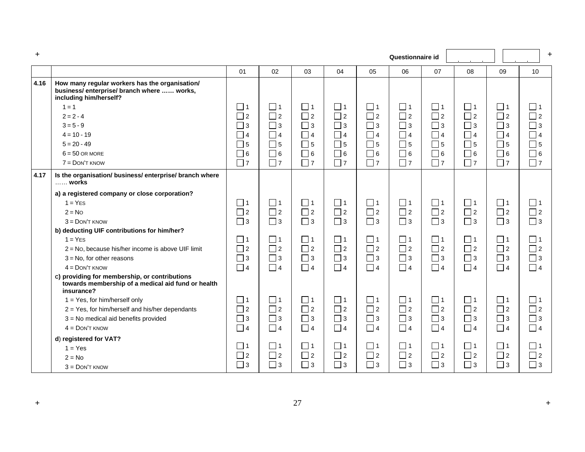| $\overline{+}$ |                                                                                                                      |             |          |             |          |          | Questionnaire id |             |             |             | $\ddot{}$ |
|----------------|----------------------------------------------------------------------------------------------------------------------|-------------|----------|-------------|----------|----------|------------------|-------------|-------------|-------------|-----------|
|                |                                                                                                                      | 01          | 02       | 03          | 04       | 05       | 06               | 07          | 08          | 09          | 10        |
| 4.16           | How many regular workers has the organisation/<br>business/enterprise/branch where  works,<br>including him/herself? |             |          |             |          |          |                  |             |             |             |           |
|                | $1 = 1$                                                                                                              | $\Box$ 1    | $\Box$ 1 | $\Box$ 1    | $\Box$ 1 | $\Box$ 1 | $\Box$ 1         | $\square$ 1 | ∐ 1         | $\Box$ 1    | $\Box$ 1  |
|                | $2 = 2 - 4$                                                                                                          | $\Box$ 2    | $\Box$ 2 | $\Box$ 2    | $\Box$ 2 | $\Box$ 2 | $\Box$ 2         | $\Box$ 2    | $\Box$ 2    | $\Box$ 2    | $\Box$ 2  |
|                | $3 = 5 - 9$                                                                                                          | $\Box$ 3    | $\Box$ 3 | $\Box$ 3    | $\Box$ 3 | $\Box$ 3 | $\Box$ 3         | $\Box$ 3    | $\Box$ 3    | $\Box$ 3    | $\Box$ 3  |
|                | $4 = 10 - 19$                                                                                                        | $\Box$ 4    | $\Box$ 4 | $\Box$ 4    | $\Box$ 4 | $\Box$ 4 | $\Box$ 4         | $\Box$ 4    | $\Box$ 4    | $\Box$ 4    | $\Box$ 4  |
|                | $5 = 20 - 49$                                                                                                        | $\Box$ 5    | $\Box$ 5 | $\Box$ 5    | $\Box$ 5 | $\Box$ 5 | $\Box$ 5         | $\Box$ 5    | $\square$ 5 | $\Box$ 5    | $\Box$ 5  |
|                | $6 = 50$ OR MORE                                                                                                     | $\Box$ 6    | $\Box$ 6 | $\Box$ 6    | $\Box$ 6 | $\Box$ 6 | $\Box$ 6         | $\Box$ 6    | $\Box$ 6    | $\Box$ 6    | $\Box$ 6  |
|                | $7 =$ DON'T KNOW                                                                                                     | $\Box$ 7    | $\Box$ 7 | $\Box$ 7    | $\Box$ 7 | $\Box$ 7 | $\Box$ 7         | $\Box$ 7    | $\Box$ 7    | $\Box$ 7    | $\Box$ 7  |
| 4.17           | Is the organisation/ business/ enterprise/ branch where<br>works                                                     |             |          |             |          |          |                  |             |             |             |           |
|                | a) a registered company or close corporation?                                                                        |             |          |             |          |          |                  |             |             |             |           |
|                | $1 = YES$                                                                                                            | $\Box$ 1    | $\Box$ 1 | $\Box$ 1    | $\Box$ 1 | $\Box$ 1 | $\Box$ 1         | $\Box$ 1    | $\Box$ 1    | $\Box$ 1    | $\Box$ 1  |
|                | $2 = No$                                                                                                             | $\Box$ 2    | $\Box$ 2 | $\Box$ 2    | $\Box$ 2 | $\Box$ 2 | $\Box$ 2         | $\Box$ 2    | $\Box$ 2    | $\Box$ 2    | $\Box$ 2  |
|                | $3 =$ DON'T KNOW                                                                                                     | $\Box$ 3    | $\Box$ 3 | $\Box$ 3    | $\Box$ 3 | $\Box$ 3 | $\Box$ 3         | $\Box$ 3    | $\Box$ 3    | $\Box$ 3    | $\Box$ 3  |
|                | b) deducting UIF contributions for him/her?                                                                          |             |          |             |          |          |                  |             |             |             |           |
|                | $1 = YES$                                                                                                            | $\Box$ 1    | $\Box$ 1 | $\Box$ 1    | $\Box$ 1 | $\Box$ 1 | $\Box$ 1         | $\Box$ 1    | $\Box$ 1    | $\Box$ 1    | $\Box$ 1  |
|                | 2 = No, because his/her income is above UIF limit                                                                    | $\Box$ 2    | $\Box$ 2 | $\Box$ 2    | $\Box$ 2 | $\Box$ 2 | $\Box$ 2         | $\Box$ 2    | $\Box$ 2    | $\Box$ 2    | $\Box$ 2  |
|                | $3 = No$ , for other reasons                                                                                         | $\Box$ 3    | $\Box$ 3 | $\Box$ 3    | $\Box$ 3 | $\Box$ 3 | $\square$ 3      | $\Box$ 3    | $\Box$ 3    | $\Box$ 3    | $\Box$ 3  |
|                | $4 =$ DON'T KNOW                                                                                                     | $\Box$ 4    | $\Box$ 4 | $\Box$ 4    | $\Box$ 4 | $\Box$ 4 | $\Box$ 4         | $\Box$ 4    | $\Box$ 4    | $\Box$ 4    | $\Box$ 4  |
|                | c) providing for membership, or contributions<br>towards membership of a medical aid fund or health<br>insurance?    |             |          |             |          |          |                  |             |             |             |           |
|                | 1 = Yes, for him/herself only                                                                                        | $\Box$ 1    | $\Box$ 1 | $\Box$ 1    | $\Box$ 1 | $\Box$ 1 | $\Box$ 1         | $\square$ 1 | $\Box$ 1    | $\Box$ 1    | $\Box$ 1  |
|                | 2 = Yes, for him/herself and his/her dependants                                                                      | $\Box$ 2    | $\Box$ 2 | $\Box$ 2    | $\Box$ 2 | $\Box$ 2 | $\Box$ 2         | $\Box$ 2    | $\Box$ 2    | $\Box$ 2    | $\Box$ 2  |
|                | 3 = No medical aid benefits provided                                                                                 | $\Box$ 3    | $\Box$ 3 | $\Box$ 3    | $\Box$ 3 | $\Box$ 3 | $\Box$ 3         | $\Box$ 3    | $\Box$ 3    | $\Box$ 3    | $\Box$ 3  |
|                | $4 =$ DON'T KNOW                                                                                                     | $\Box$ 4    | $\Box$ 4 | $\Box$ 4    | $\Box$ 4 | $\Box$ 4 | $\Box$ 4         | $\Box$ 4    | $\Box$ 4    | $\Box$ 4    | $\Box$ 4  |
|                | d) registered for VAT?                                                                                               |             |          |             |          |          |                  |             |             |             |           |
|                | $1 = Yes$                                                                                                            | $\square$ 1 | $\Box$ 1 | $\square$ 1 | $\Box$ 1 | $\Box$ 1 | $\Box$ 1         | $\Box$ 1    | $\Box$ 1    | $\square$ 1 | $\Box$ 1  |
|                | $2 = No$                                                                                                             | $\Box$ 2    | $\Box$ 2 | $\Box$ 2    | $\Box$ 2 | $\Box$ 2 | $\Box$ 2         | $\Box$ 2    | $\Box$ 2    | $\Box$ 2    | $\Box$ 2  |
|                | $3 =$ DON'T KNOW                                                                                                     | $\Box$ 3    | $\Box$ 3 | $\Box$ 3    | $\Box$ 3 | $\Box$ 3 | $\Box$ 3         | $\Box$ 3    | $\Box$ 3    | $\Box$ 3    | $\Box$ 3  |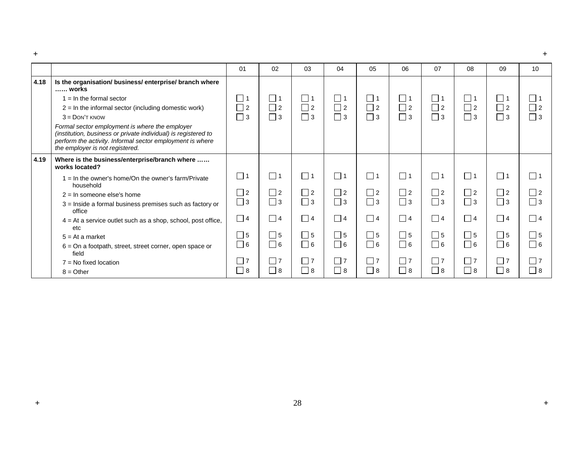|      |                                                                                                                                                                                                                  | 01       | 02       | 03          | 04       | 05       | 06                         | 07         | 08            | 09       | 10       |
|------|------------------------------------------------------------------------------------------------------------------------------------------------------------------------------------------------------------------|----------|----------|-------------|----------|----------|----------------------------|------------|---------------|----------|----------|
| 4.18 | Is the organisation/ business/ enterprise/ branch where<br>works                                                                                                                                                 |          |          |             |          |          |                            |            |               |          |          |
|      | $1 = \ln \text{ the formal sector}$                                                                                                                                                                              | $\Box$ 1 | $\Box$ 1 | $\Box$ 1    | $\Box$ 1 | l 11     | $\Box$ 1                   | $\Box$ 1   | l 11          | $\Box$ 1 | l 11     |
|      | $2 = \ln$ the informal sector (including domestic work)                                                                                                                                                          | $\Box$ 2 | $\Box$ 2 | $\Box$ 2    | $\Box$ 2 | $\Box$ 2 | $\Box$ 2                   | $\Box$ 2   | $\Box$ 2      | $\Box$ 2 | $\Box$ 2 |
|      | $3 =$ DON'T KNOW                                                                                                                                                                                                 | $\Box$ 3 | $\Box$ 3 | $\Box$ 3    | $\Box$ 3 | $\Box$ 3 | $\Box$ 3                   | $\Box$ 3   | $\Box$ 3      | $\Box$ 3 | $\Box$ 3 |
|      | Formal sector employment is where the employer<br>(institution, business or private individual) is registered to<br>perform the activity. Informal sector employment is where<br>the employer is not registered. |          |          |             |          |          |                            |            |               |          |          |
| 4.19 | Where is the business/enterprise/branch where<br>works located?                                                                                                                                                  |          |          |             |          |          |                            |            |               |          |          |
|      | $1 = \ln$ the owner's home/On the owner's farm/Private<br>household                                                                                                                                              | $\Box$ 1 | $\Box$ 1 | $\Box$ 1    | $\Box$ 1 | $\Box$ 1 | $\Box$ 1                   | $\sqcup$ 1 | $\Box$ 1      | $\Box$ 1 | l 11     |
|      | $2 = \ln$ someone else's home                                                                                                                                                                                    | $\Box$ 2 | $\Box$ 2 | $\Box$ 2    | $\Box$ 2 | $\Box$ 2 | $\Box$ 2                   | $\Box$ 2   | $\sqsupset$ 2 | $\Box$ 2 | $\Box$ 2 |
|      | $3$ = Inside a formal business premises such as factory or<br>office                                                                                                                                             | $\Box$ 3 | $\Box$ 3 | $\Box$ 3    | $\Box$ 3 | $\Box$ 3 | $\Box$ 3                   | $\Box$ 3   | $\Box$ 3      | $\Box$ 3 | $\Box$ 3 |
|      | $4 = At a$ service outlet such as a shop, school, post office,<br>etc                                                                                                                                            | $\Box$ 4 | $\Box$ 4 | $\Box$ 4    | $\Box$ 4 | $\Box$ 4 | $\Box$ 4                   | $\Box$ 4   | $ $   4       | $\Box$ 4 | $\Box$ 4 |
|      | $5 = At a market$                                                                                                                                                                                                | $\Box$ 5 | $\Box$ 5 | $\square$ 5 | $\Box$ 5 | $\Box$ 5 | $\Box$ 5                   | $\Box$ 5   | $\Box$ 5      | $\Box$ 5 | $\Box$ 5 |
|      | $6$ = On a footpath, street, street corner, open space or<br>field                                                                                                                                               | $\Box$ 6 | $\Box$ 6 | $\Box$ 6    | $\Box$ 6 | $\Box$ 6 | $\Box$ 6                   | $\Box$ 6   | $\Box$ 6      | $\Box$ 6 | $\Box$ 6 |
|      | $7 = No fixed location$                                                                                                                                                                                          | $\Box$ 7 | $\Box$ 7 | $\Box$ 7    | $\Box$ 7 | $\Box$ 7 | $\Box$ 7                   | $\Box$ 7   | $\sqsupset$ 7 | $\Box$ 7 | l 17     |
|      | $8 =$ Other                                                                                                                                                                                                      | $\Box$ 8 | $\Box$ 8 | $\square$ 8 | $\Box$ 8 | $\Box$ 8 | $\overline{\phantom{0}}$ 8 | $\Box$ 8   | $\Box$ 8      | $\Box$ 8 | $\Box$ 8 |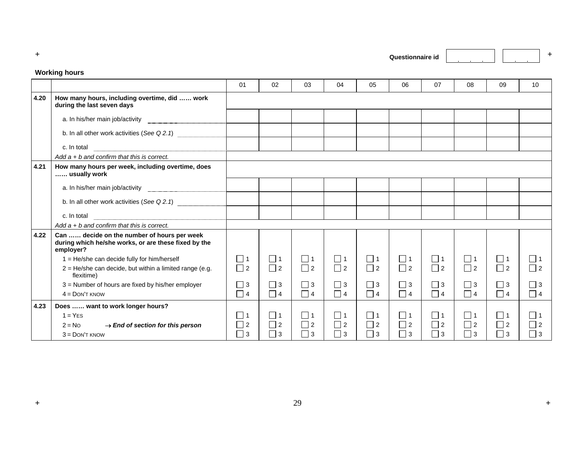**Working hours** 01 | 02 | 03 | 04 | 05 | 06 | 07 | 08 | 09 | 10 **4.20 How many hours, including overtime, did …… work during the last seven days** a. In his/her main job/activity b. In all other work activities (*See Q 2.1*) c. In total  *Add a + b and confirm that this is correct.* **4.21 How many hours per week, including overtime, does …… usually work**  a. In his/her main job/activity b. In all other work activities (*See Q 2.1*) c. In total  *Add a + b and confirm that this is correct.* **4.22 Can …… decide on the number of hours per week during which he/she works, or are these fixed by the employer?**   $1 = He/she$  can decide fully for him/herself  $2 =$  He/she can decide, but within a limited range (e.g. flexitime) 3 = Number of hours are fixed by his/her employer 4 <sup>=</sup> DON'T KNOW1 2 3 4 1 2 3 4 1 2 3 4 1 2 3 4 1 2 3 4 1 2 3 4 1 2 3 4 1 2 3 4 1 2 3 4 1 2 3 4 **4.23 Does …… want to work longer hours?**   $1 = YES$  2 <sup>=</sup> NO → *End of section for this person*  3 <sup>=</sup> DON'T KNOW1 2 3 1 2 3 1 2 3 1 2 3 1 2 3 1 2 3 1 2 3 1 2 3 1 2 3 1 2  $\Box$  3

**+Questionnaire id<sup>+</sup>**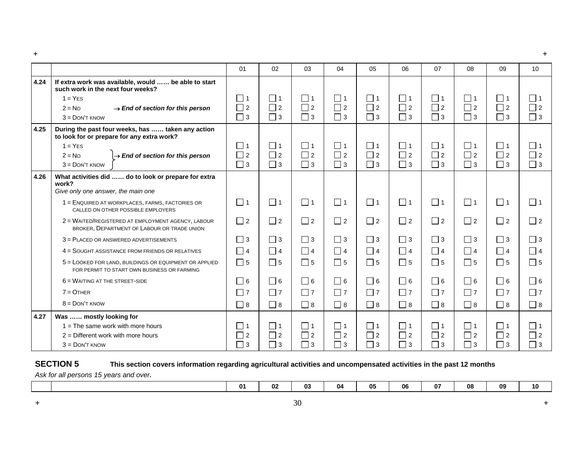|      |                                                                                                                                                                                        | 01                               | 02                               | 03                               | 04                               | 05                               | 06                               | 07                               | 08                               | 09                               | 10                               |
|------|----------------------------------------------------------------------------------------------------------------------------------------------------------------------------------------|----------------------------------|----------------------------------|----------------------------------|----------------------------------|----------------------------------|----------------------------------|----------------------------------|----------------------------------|----------------------------------|----------------------------------|
| 4.24 | If extra work was available, would  be able to start<br>such work in the next four weeks?<br>$1 = YES$<br>$2 = NQ$<br>$\rightarrow$ End of section for this person<br>$3 =$ DON'T KNOW | $\Box$ 1<br>$\Box$ 2<br>$\Box$ 3 | $\Box$ 1<br>$\Box$ 2<br>$\Box$ 3 | $\Box$ 1<br>$\Box$ 2<br>$\Box$ 3 | $\Box$ 1<br>$\Box$ 2<br>$\Box$ 3 | $\Box$ 1<br>$\Box$ 2<br>$\Box$ 3 | $\Box$ 1<br>$\Box$ 2<br>$\Box$ 3 | $\Box$ 1<br>$\Box$ 2<br>$\Box$ 3 | $\Box$ 1<br>$\Box$ 2<br>$\Box$ 3 | $\Box$ 1<br>$\Box$ 2<br>$\Box$ 3 | $\Box$ 1<br>$\Box$ 2<br>$\Box$ 3 |
| 4.25 | During the past four weeks, has  taken any action<br>to look for or prepare for any extra work?                                                                                        |                                  |                                  |                                  |                                  |                                  |                                  |                                  |                                  |                                  |                                  |
|      | $1 = YES$                                                                                                                                                                              | $\Box$ 1                         | $\Box$ 1                         | $\Box$ 1                         | $\Box$ 1                         | $\Box$ 1                         | $\Box$ 1                         | $\Box$ 1                         | $\Box$ 1                         | $\Box$ 1                         | $\Box$ 1                         |
|      | $2 = No$<br>$\rightarrow$ End of section for this person                                                                                                                               | $\Box$ 2                         | $\Box$ 2                         | $\Box$ 2                         | $\Box$ 2                         | $\Box$ 2                         | $\Box$ 2                         | $\Box$ 2                         | $\Box$ 2                         | $\Box$ 2                         | $\Box$ 2                         |
|      | $3 =$ DON'T KNOW                                                                                                                                                                       | $\Box$ 3                         | $\Box$ 3                         | $\Box$ 3                         | $\Box$ 3                         | $\Box$ 3                         | $\Box$ 3                         | $\sqsupset$ 3                    | $\Box$ 3                         | $\Box$ 3                         | $\Box$ 3                         |
| 4.26 | What activities did  do to look or prepare for extra<br>work?<br>Give only one answer, the main one                                                                                    |                                  |                                  |                                  |                                  |                                  |                                  |                                  |                                  |                                  |                                  |
|      | 1 = ENQUIRED AT WORKPLACES, FARMS, FACTORIES OR<br>CALLED ON OTHER POSSIBLE EMPLOYERS                                                                                                  | $\Box$ 1                         | $\Box$ 1                         | $\Box$ 1                         | $\Box$ 1                         | $\Box$ 1                         | $\Box$ 1                         | $\Box$ 1                         | $\Box$ 1                         | $\Box$ 1                         | $\Box$ 1                         |
|      | 2 = WAITED/REGISTERED AT EMPLOYMENT AGENCY, LABOUR<br>BROKER, DEPARTMENT OF LABOUR OR TRADE UNION                                                                                      | $\Box$ 2                         | $\Box$ 2                         | $\Box$ 2                         | $\Box$ 2                         | $\Box$ 2                         | $\Box$ 2                         | $\sqsupset$ 2                    | $\Box$ 2                         | $\Box$ 2                         | $\Box$ 2                         |
|      | $3$ = PLACED OR ANSWERED ADVERTISEMENTS                                                                                                                                                | $\Box$ 3                         | $\Box$ 3                         | $\Box$ 3                         | $\Box$ 3                         | $\Box$ 3                         | $\Box$ 3                         | $\Box$ 3                         | $\Box$ 3                         | $\Box$ 3                         | $\Box$ 3                         |
|      | 4 = SOUGHT ASSISTANCE FROM FRIENDS OR RELATIVES                                                                                                                                        | $\Box$ 4                         | $\Box$ 4                         | $\Box$ 4                         | $\Box$ 4                         | $\Box$ 4                         | $\Box$ 4                         | $\Box$ 4                         | $\Box$ 4                         | $\Box$ 4                         | $\Box$ 4                         |
|      | 5 = LOOKED FOR LAND, BUILDINGS OR EQUIPMENT OR APPLIED<br>FOR PERMIT TO START OWN BUSINESS OR FARMING                                                                                  | $\Box$ 5                         | $\Box$ 5                         | $\Box$ 5                         | $\Box$ 5                         | $\Box$ 5                         | $\Box$ 5                         | $\Box$ 5                         | $\Box$ 5                         | $\Box$ 5                         | $\Box$ 5                         |
|      | 6 = WAITING AT THE STREET-SIDE                                                                                                                                                         | $\Box$ 6                         | $\Box$ 6                         | $\Box$ 6                         | $\Box$ 6                         | $\Box$ 6                         | $\Box$ 6                         | $\Box$ 6                         | $\Box$ 6                         | $\Box$ 6                         | $\Box$ 6                         |
|      | $7 = 0$ THER                                                                                                                                                                           | $\Box$ 7                         | $\Box$ 7                         | $\Box$ 7                         | $\Box$ 7                         | $\Box$ 7                         | $\Box$ 7                         | $\Box$ 7                         | $\Box$ 7                         | $\Box$ 7                         | $\Box$ 7                         |
|      | $8 =$ DON'T KNOW                                                                                                                                                                       | $\Box$ 8                         | $\Box$ 8                         | $\Box$ 8                         | $\Box$ 8                         | $\Box$ 8                         | $\Box$ 8                         | $\Box$ 8                         | $\Box$ 8                         | $\Box$ 8                         | $\Box$ 8                         |
| 4.27 | Was  mostly looking for                                                                                                                                                                |                                  |                                  |                                  |                                  |                                  |                                  |                                  |                                  |                                  |                                  |
|      | $1 =$ The same work with more hours                                                                                                                                                    | ヿ1                               | $\Box$ 1                         | $\Box$ 1                         | $\Box$ 1                         | $\Box$ 1                         | $\Box$ 1                         | $\Box$ 1                         | $\Box$ 1                         | $\Box$ 1                         | $\Box$ 1                         |
|      | $2 =$ Different work with more hours                                                                                                                                                   | $\Box$ 2                         | $\Box$ 2                         | $\Box$ 2                         | $\Box$ 2                         | $\Box$ 2                         | $\Box$ 2                         | $\overline{1}$                   | $\Box$ 2                         | $\Box$ 2                         | $\Box$ 2                         |
|      | $3 =$ DON'T KNOW                                                                                                                                                                       | $\Box$ 3                         | $\Box$ 3                         | $\Box$ 3                         | $\Box$ 3                         | $\Box$ 3                         | $\Box$ 3                         | $\Box$ 3                         | $\Box$ 3                         | $\Box$ 3                         | $\Box$ 3                         |

### SECTION 5 This section covers information regarding agricultural activities and uncompensated activities in the past 12 months

*Ask for all persons 15 years and over***.**

|  |  |  |  | 02 | $ -$<br>п.,<br>UJ. | 04 | 05 | 06 | __<br>07 | 08 | 09 | 10 |
|--|--|--|--|----|--------------------|----|----|----|----------|----|----|----|
|--|--|--|--|----|--------------------|----|----|----|----------|----|----|----|

**+ +**  $\pm$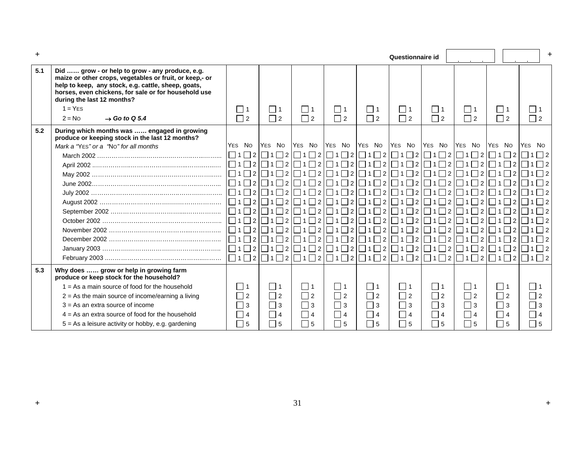|     |                                                                                                                                                                                                                                                         |                            |                                                                                                                        |                                     |                                                                       |                            | Questionnaire id                          |                          |                                                                                                                                                                               |                             |                                     |
|-----|---------------------------------------------------------------------------------------------------------------------------------------------------------------------------------------------------------------------------------------------------------|----------------------------|------------------------------------------------------------------------------------------------------------------------|-------------------------------------|-----------------------------------------------------------------------|----------------------------|-------------------------------------------|--------------------------|-------------------------------------------------------------------------------------------------------------------------------------------------------------------------------|-----------------------------|-------------------------------------|
| 5.1 | Did  grow - or help to grow - any produce, e.g.<br>maize or other crops, vegetables or fruit, or keep,- or<br>help to keep, any stock, e.g. cattle, sheep, goats,<br>horses, even chickens, for sale or for household use<br>during the last 12 months? |                            |                                                                                                                        |                                     |                                                                       |                            |                                           |                          |                                                                                                                                                                               |                             |                                     |
|     | $1 = YES$                                                                                                                                                                                                                                               | $\vert$ 1                  | $ $ 1                                                                                                                  | 111                                 | $\Box$ 1                                                              | 111                        | l 11                                      | $\Box$ 1                 | 111                                                                                                                                                                           | $\vert$ 1                   | l 11                                |
|     | $2 = No$<br>$\rightarrow$ Go to Q 5.4                                                                                                                                                                                                                   | $\sqsupset$ 2              | $\Box$ 2                                                                                                               | $\Box$ 2                            | $\Box$ 2                                                              | $\Box$ 2                   | $\Box$ 2                                  | $\Box$ 2                 | $\Box$ 2                                                                                                                                                                      | $\Box$ 2                    | $\Box$ 2                            |
| 5.2 | During which months was  engaged in growing<br>produce or keeping stock in the last 12 months?                                                                                                                                                          |                            |                                                                                                                        |                                     |                                                                       |                            |                                           |                          |                                                                                                                                                                               |                             |                                     |
|     | Mark a "YES" or a "No" for all months                                                                                                                                                                                                                   | YES NO                     | YES NO                                                                                                                 | YES NO                              | YES No                                                                | YES NO                     | YES NO                                    |                          | YES NO YES NO YES NO                                                                                                                                                          |                             | YES NO                              |
|     |                                                                                                                                                                                                                                                         |                            |                                                                                                                        |                                     |                                                                       |                            |                                           |                          | $\left[\Box$ 1 $\Box$ 2 $\left[\Box$ 1 $\Box$ 2 $\left[\Box$ 1 $\Box$ 2 $\left[\Box$ 1 $\Box$ 2 $\left[\Box$ 1 $\Box$ 2 $\left[\Box\right]$ 1 $\Box$ 2 $\left[\right]\right]$ |                             | $\Box$ 1 $\Box$ 2 $\Box$ 1 $\Box$ 2 |
|     |                                                                                                                                                                                                                                                         | $\Box$ 1 $\Box$ 2          | $1 \square 2$                                                                                                          | $\Box$ 1 $\Box$ 2                   | $\overline{2}$<br>111                                                 | $\Box$ 2<br>$\vert$   1    | $\prod_{1}\prod_{2}$                      | $\Box$ 1 $\Box$ 2        | <b>コ2</b> I<br>$\Box$ 1                                                                                                                                                       | $\vert$ 1<br>$\vert$ 12     |                                     |
|     |                                                                                                                                                                                                                                                         |                            | $\Box$ 1 $\Box$ 2                                                                                                      | $\Box$ 1 $\Box$ 2                   | $\overline{1}$ 2<br>1 <sup>1</sup>                                    | $\Box$ 2<br>$\Box$ 1       | $\Box$ 1 $\Box$ 2                         | $\Box$ 1 $\Box$ 2        | $\Box$ 1 $\Box$ 2 $\Box$                                                                                                                                                      | $\Box$ 1 $\Box$ 2 $\Box$    |                                     |
|     |                                                                                                                                                                                                                                                         |                            | $\left \left[\right]\right $ 1 $\left[\right]$ 2 $\left[\right]$ 1 $\left[\right]$ 1 $\left[\right]$ 2 $\left[\right]$ | $\Box$ 1 $\Box$ 2                   |                                                                       |                            |                                           |                          | $\Box$ 1 $\Box$ 2 $\Box$ 1 $\Box$ 2 $\Box$ 1 $\Box$ 1 $\Box$ 2 $\Box$ 1 $\Box$ 2 $\parallel$                                                                                  | $\Box$ 1 $\Box$ 2           |                                     |
|     |                                                                                                                                                                                                                                                         |                            | $\Box$ 1 $\Box$ 2 $\Box$ 1 $\Box$ 2 $\Box$                                                                             | $\Box$ 1 $\Box$ 2                   | $\Box$ 1 $\Box$ 2 $\Box$ 1 $\Box$ 2 $\Box$ 1 $\Box$ 1 $\Box$ 2 $\Box$ |                            |                                           |                          |                                                                                                                                                                               |                             |                                     |
|     |                                                                                                                                                                                                                                                         | $\Box$ 1 $\Box$ 2          | $1 \square 2$                                                                                                          | $\Box$ 1 $\Box$ 2                   | $\overline{1}$ 2<br>111                                               | $\Box$ 2<br>$\vert$ 11     | $\Box$ 1 $\Box$ 2                         | $\Box$ 1 $\Box$ 2        | $\sqsupset$ 2<br>$\Box$ 1                                                                                                                                                     | $\overline{11}$<br>$\Box$ 2 |                                     |
|     |                                                                                                                                                                                                                                                         | $\Box$ 1 $\Box$ 2          | 1     2                                                                                                                | $\vert$ $\vert$ 1 $\vert$ $\vert$ 2 | $\vert$ 2                                                             | $\Box$ 2<br>$\vert$   1    | $\Box$ 1 $\Box$ 2                         | $\Box$ 1 $\Box$ 2 $\Box$ | $\Box$ 1<br>$\vert$ 2                                                                                                                                                         | $\vert$ 1<br>$\vert$ 2      |                                     |
|     |                                                                                                                                                                                                                                                         | $\Box$ 1 $\Box$ 2          | $1 \square 2$                                                                                                          | $\Box$ 1 $\Box$ 2                   | $\Box$ 1 $\Box$ 2 $\Box$                                              |                            |                                           |                          | $\Box$ 1 $\Box$ 2 $\Box$                                                                                                                                                      | $\Box$ 1 $\Box$ 2 $\Box$    |                                     |
|     |                                                                                                                                                                                                                                                         |                            |                                                                                                                        |                                     | $\Box$ 1 $\Box$ 2 $\Box$ 1 $\Box$ 2 $\Box$ 1 $\Box$ 2 $\Box$          |                            |                                           | $\Box$ 1 $\Box$ 2 $\Box$ |                                                                                                                                                                               |                             |                                     |
|     |                                                                                                                                                                                                                                                         | $1 \square 2$              | $1 \square 2$                                                                                                          | $\Box$ 1 $\Box$ 2                   | $\overline{1}2$                                                       | $\sqsupset$ 2<br>$\vert$ 1 | $1 \square 2$<br>$\overline{\phantom{0}}$ | П<br>$11 \square 2$      | $\Box$ 2<br>$\Box$ 1                                                                                                                                                          | 2                           |                                     |
|     |                                                                                                                                                                                                                                                         |                            |                                                                                                                        | $\Box$ 1 $\Box$ 2                   |                                                                       |                            |                                           |                          | $1 \square 2 \square 1 \square 2 \square 1 \square 2 \square 1 \square 2 \square 1 \square 2 \square 1 \square 1 \square 2 \square$                                           |                             |                                     |
|     |                                                                                                                                                                                                                                                         |                            |                                                                                                                        |                                     |                                                                       |                            |                                           |                          |                                                                                                                                                                               |                             |                                     |
| 5.3 | Why does  grow or help in growing farm<br>produce or keep stock for the household?                                                                                                                                                                      |                            |                                                                                                                        |                                     |                                                                       |                            |                                           |                          |                                                                                                                                                                               |                             |                                     |
|     | $1 = As a main source of food for the household$                                                                                                                                                                                                        | $\Box$ 1                   | $\Box$ 1                                                                                                               | $\Box$ 1                            | $\Box$ 1                                                              | l 11                       | $\Box$ 1                                  | $\Box$ 1                 | $\Box$ 1                                                                                                                                                                      | $\Box$ 1                    | $\Box$ 1                            |
|     | $2 = As$ the main source of income/earning a living                                                                                                                                                                                                     | $\overline{\phantom{1}}$ 2 | $\Box$ 2                                                                                                               | $\Box$ 2                            | $\Box$ 2                                                              | $\Box$ 2                   | $\Box$ 2                                  | $\Box$ 2                 | $\Box$ 2                                                                                                                                                                      | $\Box$ 2                    | $\Box$ 2                            |
|     | $3 = As$ an extra source of income                                                                                                                                                                                                                      | $\sqsupset$ 3              | $\Box$ 3                                                                                                               | $\Box$ 3                            | $\Box$ 3                                                              | $\Box$ 3                   | $\Box$ 3                                  | $\Box$ 3                 | $\Box$ 3                                                                                                                                                                      | $\Box$ 3                    | $\Box$ 3                            |
|     | $4 = As$ an extra source of food for the household                                                                                                                                                                                                      | $\overline{4}$             | $\Box$<br>$\overline{4}$                                                                                               | $\Box$ 4                            | $\Box$ 4                                                              | $\Box$ 4                   | $\Box$ 4                                  | $\Box$ 4                 | $\Box$ 4                                                                                                                                                                      | $\Box$ 4                    | $\Box$ 4                            |
|     | $5 = As$ a leisure activity or hobby, e.g. gardening                                                                                                                                                                                                    | $\sqrt{5}$                 | $\Box$ 5                                                                                                               | $\Box$ 5                            | $\Box$ 5                                                              | $\Box$ 5                   | $\Box$ 5                                  | $\Box$ 5                 | $\Box$ 5                                                                                                                                                                      | $\Box$ 5                    | $\Box$ 5                            |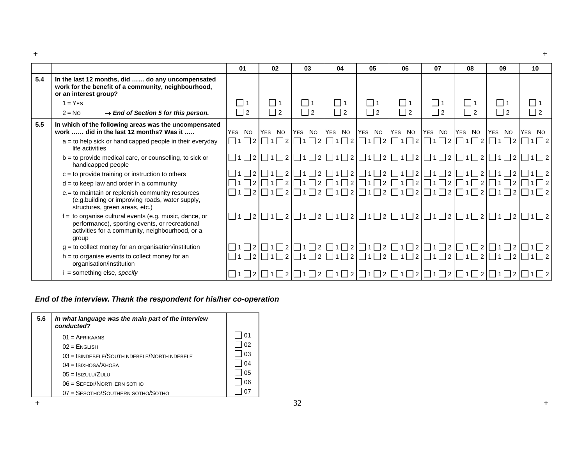|     |                                                                                                                                                                        | 01         | 02       | 03       | 04                   | 05       | 06       | 07            | 08       | 09       | 10                                                                                                                                                                                                                                                                                                                                                            |
|-----|------------------------------------------------------------------------------------------------------------------------------------------------------------------------|------------|----------|----------|----------------------|----------|----------|---------------|----------|----------|---------------------------------------------------------------------------------------------------------------------------------------------------------------------------------------------------------------------------------------------------------------------------------------------------------------------------------------------------------------|
| 5.4 | In the last 12 months, did  do any uncompensated<br>work for the benefit of a community, neighbourhood,<br>or an interest group?                                       |            |          |          |                      |          |          |               |          |          |                                                                                                                                                                                                                                                                                                                                                               |
|     | $1 = YES$                                                                                                                                                              | $\sqcup$ 1 | $\Box$ 1 | l 11     | $\Box$ 1             | l 11     | $\Box$ 1 | $\Box$ 1      | $\Box$ 1 | $\Box$ 1 | $\Box$ 1                                                                                                                                                                                                                                                                                                                                                      |
|     | $2 = No$<br>$\rightarrow$ End of Section 5 for this person.                                                                                                            | $\Box$ 2   | $\Box$ 2 | $\Box$ 2 | $\Box$ 2             | $\Box$ 2 | $\Box$ 2 | $\Box$ 2      | $\Box$ 2 | $\Box$ 2 | $\Box$ 2                                                                                                                                                                                                                                                                                                                                                      |
| 5.5 | In which of the following areas was the uncompensated<br>work  did in the last 12 months? Was it<br>$a =$ to help sick or handicapped people in their everyday         | YES NO     | YES NO   | YES NO   | YES NO YES NO YES NO |          |          | YES NO YES NO |          | YES NO   | YES NO<br>$\Box$ 1 \Box 2 \Box 1 \Box 2 \Box 1 \Box 2 \Box 1 \Box 2 \Box 1 \Box 2 \Box 1 \Box 2 \Box 1 \Box 2 \Box 1 \Box 2 \Box 1 \Box 2 \Box 1 \Box 2 \Box 1 \Box 2                                                                                                                                                                                         |
|     | life activities                                                                                                                                                        |            |          |          |                      |          |          |               |          |          |                                                                                                                                                                                                                                                                                                                                                               |
|     | $b =$ to provide medical care, or counselling, to sick or<br>handicapped people                                                                                        |            |          |          |                      |          |          |               |          |          | $\boxed{ \Box 1 \Box 2 \, \Box 1 \, \Box 2 \, \Box 1 \, \Box 2 \, \Box 1 \, \Box 2 \, \Box 1 \, \Box 2 \, \Box 1 \, \Box 2 \, \Box 1 \, \Box 2 \, \Box 1 \, \Box 2 \, \Box 1 \, \Box 2 \, \Box 1 \, \Box 2 \, \Box 1 \, \Box 2}}$                                                                                                                             |
|     | $c =$ to provide training or instruction to others                                                                                                                     |            |          |          |                      |          |          |               |          |          | $\Box$ 1 \Box 2 \vert \Box1 \Box 2 \vert \Box1 $\Box$ 1 $\Box$ 2 $\vert \Box$ 1 $\Box$ 2 $\vert \Box$ 1 $\Box$ 2 $\vert \Box$ 1 $\Box$ 2 $\Box$ 1 $\Box$ 1 $\Box$ 2 $\vert \Box$ 1 $\Box$ 2 $\Box$ 1 $\Box$ 2 $\Box$ 1 $\Box$ 2 $\Box$ 1 $\Box$ 2 $\Box$ 1 $\Box$ 2 $\Box$ 1 $\Box$ 2 $\Box$ 1 $\Box$ 2 $\Box$ 1 $\Box$ 2 $\Box$ 1 $\Box$ 2 $\Box$ 1 $\Box$ 2 |
|     | $d =$ to keep law and order in a community                                                                                                                             |            |          |          |                      |          |          |               |          |          | $\Box$ 1\Box2 $\Box$ 1 $\Box$ 2 $\Box$ 1 $\Box$ 2 $\Box$ 1 $\Box$ 2 $\Box$ 1 $\Box$ 2 $\Box$ 1 $\Box$ 2 $\Box$ 1 $\Box$ 2 $\Box$ 1 $\Box$ 2 $\Box$ 1 $\Box$ 2                                                                                                                                                                                                 |
|     | e.= to maintain or replenish community resources<br>(e.g.building or improving roads, water supply,<br>structures, green areas, etc.)                                  |            |          |          |                      |          |          |               |          |          | $\Box$ 1 \Box 2 \Box 1 \Box 2 \Box 1 \Box 2 \Box 1 \Box 2 \Box 1 \Box 2 \Box 1 \Box 2 \Box 1 \Box 2 \Box 1 \Box 2 \Box 1 \Box 2 \Box 1 \Box 2 \Box 1 \Box 2                                                                                                                                                                                                   |
|     | $f =$ to organise cultural events (e.g. music, dance, or<br>performance), sporting events, or recreational<br>activities for a community, neighbourhood, or a<br>group |            |          |          |                      |          |          |               |          |          | $\boxed{ \square 1 \square 2 \square 1 \square 2 \square 1 \square 2 \square 1 \square 2 \square 1 \square 2 \square 1 \square 2 \square 1 \square 2 \square 1 \square 2 \square 1 \square 2 \square 1 \square 2 \square 1 \square 2}$                                                                                                                        |
|     | $g =$ to collect money for an organisation/institution                                                                                                                 |            |          |          |                      |          |          |               |          |          | $\boxed{ \square 1 \square 2 \square 1 \square 2 \square 1 \square 2 \square 1 \square 2 \square 1 \square 2 \square 1 \square 2 \square 1 \square 2 \square 1 \square 2 \square 1 \square 2 \square 1 \square 2 \square 1 \square 2}$                                                                                                                        |
|     | h = to organise events to collect money for an<br>organisation/institution                                                                                             |            |          |          |                      |          |          |               |          |          | $\Box$ 1 \Box2 $\Box$ 1 $\Box$ 2 $\Box$ 1 $\Box$ 2 $\Box$ 1 $\Box$ 2 $\Box$ 1 $\Box$ 2 $\Box$ 1 $\Box$ 2 $\Box$ 1 $\Box$ 2 $\Box$ 1 $\Box$ 2 $\Box$ 1 $\Box$ 2 $\Box$ 1 $\Box$ 2                                                                                                                                                                              |
|     | i = something else, specify                                                                                                                                            |            |          |          |                      |          |          |               |          |          | $\Box$ 1 \Box 2 \Box 1 \Box 2 \Box 1 \Box 2 \Box 1 \Box 2 \Box 1 \Box 2 \Box 1 \Box 2 \Box 1 \Box 2 \Box 1 \Box 2 \Box 1 \Box 2 \Box 1 \Box 2 \Box 1 \Box 2                                                                                                                                                                                                   |

#### *End of the interview. Thank the respondent for his/her co-operation*

| 5.6 | In what language was the main part of the interview<br>conducted? |                   |
|-----|-------------------------------------------------------------------|-------------------|
|     | $01 = AFRIKAANS$                                                  | l 01              |
|     | $02$ = ENGLISH                                                    | $\sqrt{02}$       |
|     | 03 = ISINDEBELE/SOUTH NDEBELE/NORTH NDEBELE                       | $\overline{0}$    |
|     | $04 =$ ISIXHOSA/XHOSA                                             | $\overline{0}$ 04 |
|     | $05 =$ Isizulu/Zulu                                               | l 05              |
|     | $06 =$ SEPEDI/NORTHERN SOTHO                                      | 06                |
|     | 07 = SESOTHO/SOUTHERN SOTHO/SOTHO                                 |                   |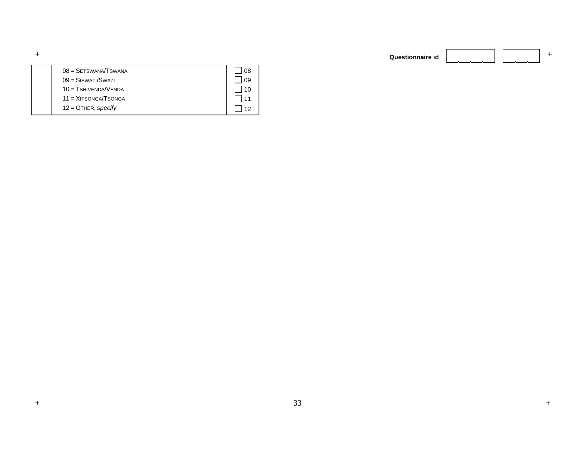| $08 =$ SETSWANA/TSWANA  | 08 |
|-------------------------|----|
| $09 =$ SISWATI/SWAZI    | 09 |
| $10 = T$ SHIVENDA/VENDA | 10 |
| $11 = XITSONGA/TSONGA$  | 11 |
| $12 =$ OTHER, specify   | 12 |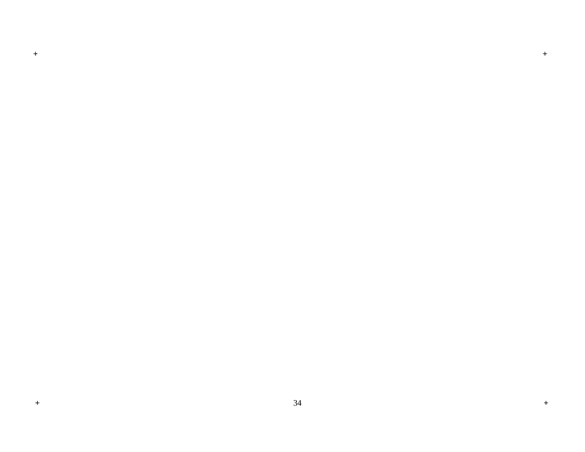**+ +** 

 $\pm$